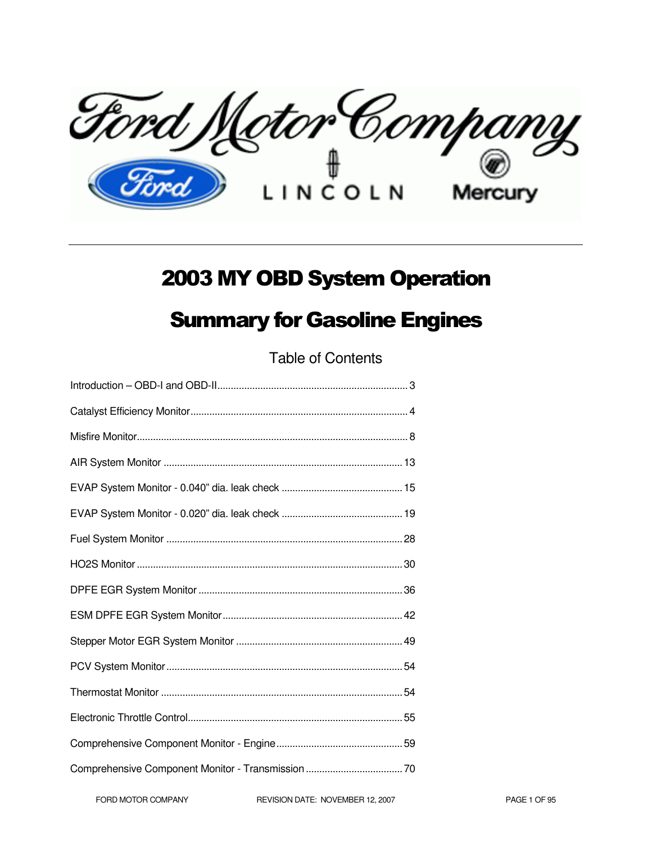Ford Motor Company

# 2003 MY OBD System Operation

# Summary for Gasoline Engines

Table of Contents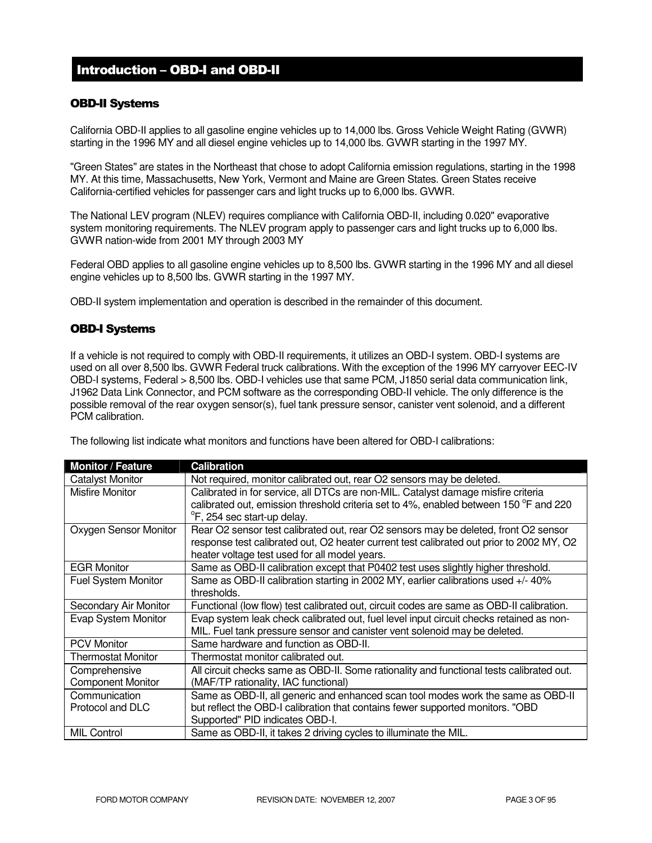# Introduction – OBD-I and OBD-II

#### OBD-II Systems

California OBD-II applies to all gasoline engine vehicles up to 14,000 lbs. Gross Vehicle Weight Rating (GVWR) starting in the 1996 MY and all diesel engine vehicles up to 14,000 lbs. GVWR starting in the 1997 MY.

"Green States" are states in the Northeast that chose to adopt California emission regulations, starting in the 1998 MY. At this time, Massachusetts, New York, Vermont and Maine are Green States. Green States receive California-certified vehicles for passenger cars and light trucks up to 6,000 lbs. GVWR.

The National LEV program (NLEV) requires compliance with California OBD-II, including 0.020" evaporative system monitoring requirements. The NLEV program apply to passenger cars and light trucks up to 6,000 lbs. GVWR nation-wide from 2001 MY through 2003 MY

Federal OBD applies to all gasoline engine vehicles up to 8,500 lbs. GVWR starting in the 1996 MY and all diesel engine vehicles up to 8,500 lbs. GVWR starting in the 1997 MY.

OBD-II system implementation and operation is described in the remainder of this document.

#### OBD-I Systems

If a vehicle is not required to comply with OBD-II requirements, it utilizes an OBD-I system. OBD-I systems are used on all over 8,500 lbs. GVWR Federal truck calibrations. With the exception of the 1996 MY carryover EEC-IV OBD-I systems, Federal > 8,500 lbs. OBD-I vehicles use that same PCM, J1850 serial data communication link, J1962 Data Link Connector, and PCM software as the corresponding OBD-II vehicle. The only difference is the possible removal of the rear oxygen sensor(s), fuel tank pressure sensor, canister vent solenoid, and a different PCM calibration.

The following list indicate what monitors and functions have been altered for OBD-I calibrations:

| <b>Monitor / Feature</b>   | <b>Calibration</b>                                                                                                                                                         |
|----------------------------|----------------------------------------------------------------------------------------------------------------------------------------------------------------------------|
| <b>Catalyst Monitor</b>    | Not required, monitor calibrated out, rear O2 sensors may be deleted.                                                                                                      |
| <b>Misfire Monitor</b>     | Calibrated in for service, all DTCs are non-MIL. Catalyst damage misfire criteria<br>calibrated out, emission threshold criteria set to 4%, enabled between 150 °F and 220 |
|                            | <sup>o</sup> F, 254 sec start-up delay.                                                                                                                                    |
| Oxygen Sensor Monitor      | Rear O2 sensor test calibrated out, rear O2 sensors may be deleted, front O2 sensor                                                                                        |
|                            | response test calibrated out, O2 heater current test calibrated out prior to 2002 MY, O2                                                                                   |
|                            | heater voltage test used for all model years.                                                                                                                              |
| <b>EGR Monitor</b>         | Same as OBD-II calibration except that P0402 test uses slightly higher threshold.                                                                                          |
| <b>Fuel System Monitor</b> | Same as OBD-II calibration starting in 2002 MY, earlier calibrations used +/- 40%<br>thresholds.                                                                           |
| Secondary Air Monitor      | Functional (low flow) test calibrated out, circuit codes are same as OBD-II calibration.                                                                                   |
| Evap System Monitor        | Evap system leak check calibrated out, fuel level input circuit checks retained as non-<br>MIL. Fuel tank pressure sensor and canister vent solenoid may be deleted.       |
| <b>PCV Monitor</b>         | Same hardware and function as OBD-II.                                                                                                                                      |
| <b>Thermostat Monitor</b>  | Thermostat monitor calibrated out.                                                                                                                                         |
| Comprehensive              | All circuit checks same as OBD-II. Some rationality and functional tests calibrated out.                                                                                   |
| <b>Component Monitor</b>   | (MAF/TP rationality, IAC functional)                                                                                                                                       |
| Communication              | Same as OBD-II, all generic and enhanced scan tool modes work the same as OBD-II                                                                                           |
| Protocol and DLC           | but reflect the OBD-I calibration that contains fewer supported monitors. "OBD                                                                                             |
|                            | Supported" PID indicates OBD-I.                                                                                                                                            |
| <b>MIL Control</b>         | Same as OBD-II, it takes 2 driving cycles to illuminate the MIL.                                                                                                           |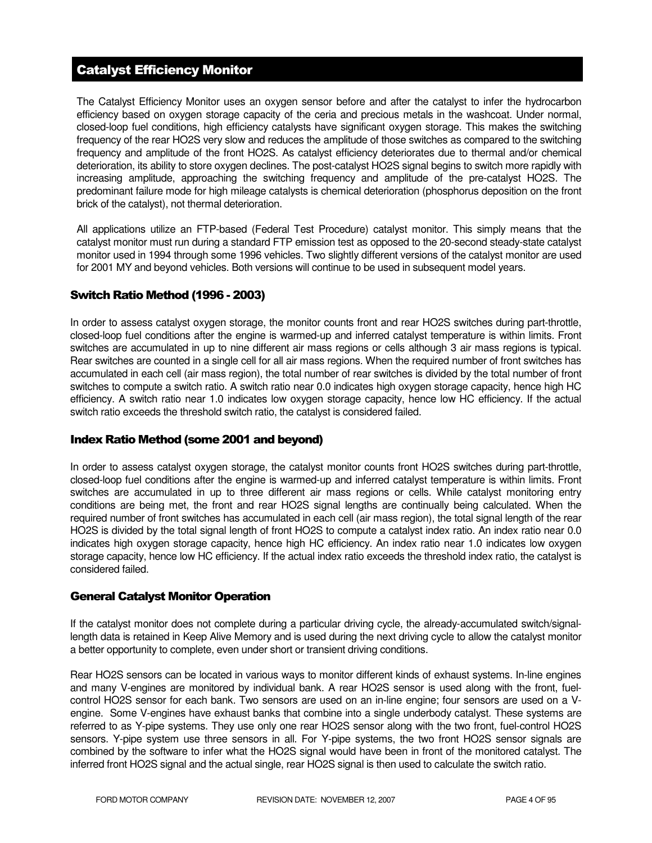# Catalyst Efficiency Monitor

The Catalyst Efficiency Monitor uses an oxygen sensor before and after the catalyst to infer the hydrocarbon efficiency based on oxygen storage capacity of the ceria and precious metals in the washcoat. Under normal, closed-loop fuel conditions, high efficiency catalysts have significant oxygen storage. This makes the switching frequency of the rear HO2S very slow and reduces the amplitude of those switches as compared to the switching frequency and amplitude of the front HO2S. As catalyst efficiency deteriorates due to thermal and/or chemical deterioration, its ability to store oxygen declines. The post-catalyst HO2S signal begins to switch more rapidly with increasing amplitude, approaching the switching frequency and amplitude of the pre-catalyst HO2S. The predominant failure mode for high mileage catalysts is chemical deterioration (phosphorus deposition on the front brick of the catalyst), not thermal deterioration.

All applications utilize an FTP-based (Federal Test Procedure) catalyst monitor. This simply means that the catalyst monitor must run during a standard FTP emission test as opposed to the 20-second steady-state catalyst monitor used in 1994 through some 1996 vehicles. Two slightly different versions of the catalyst monitor are used for 2001 MY and beyond vehicles. Both versions will continue to be used in subsequent model years.

#### Switch Ratio Method (1996 - 2003)

In order to assess catalyst oxygen storage, the monitor counts front and rear HO2S switches during part-throttle, closed-loop fuel conditions after the engine is warmed-up and inferred catalyst temperature is within limits. Front switches are accumulated in up to nine different air mass regions or cells although 3 air mass regions is typical. Rear switches are counted in a single cell for all air mass regions. When the required number of front switches has accumulated in each cell (air mass region), the total number of rear switches is divided by the total number of front switches to compute a switch ratio. A switch ratio near 0.0 indicates high oxygen storage capacity, hence high HC efficiency. A switch ratio near 1.0 indicates low oxygen storage capacity, hence low HC efficiency. If the actual switch ratio exceeds the threshold switch ratio, the catalyst is considered failed.

#### Index Ratio Method (some 2001 and beyond)

In order to assess catalyst oxygen storage, the catalyst monitor counts front HO2S switches during part-throttle, closed-loop fuel conditions after the engine is warmed-up and inferred catalyst temperature is within limits. Front switches are accumulated in up to three different air mass regions or cells. While catalyst monitoring entry conditions are being met, the front and rear HO2S signal lengths are continually being calculated. When the required number of front switches has accumulated in each cell (air mass region), the total signal length of the rear HO2S is divided by the total signal length of front HO2S to compute a catalyst index ratio. An index ratio near 0.0 indicates high oxygen storage capacity, hence high HC efficiency. An index ratio near 1.0 indicates low oxygen storage capacity, hence low HC efficiency. If the actual index ratio exceeds the threshold index ratio, the catalyst is considered failed.

#### General Catalyst Monitor Operation

If the catalyst monitor does not complete during a particular driving cycle, the already-accumulated switch/signallength data is retained in Keep Alive Memory and is used during the next driving cycle to allow the catalyst monitor a better opportunity to complete, even under short or transient driving conditions.

Rear HO2S sensors can be located in various ways to monitor different kinds of exhaust systems. In-line engines and many V-engines are monitored by individual bank. A rear HO2S sensor is used along with the front, fuelcontrol HO2S sensor for each bank. Two sensors are used on an in-line engine; four sensors are used on a Vengine. Some V-engines have exhaust banks that combine into a single underbody catalyst. These systems are referred to as Y-pipe systems. They use only one rear HO2S sensor along with the two front, fuel-control HO2S sensors. Y-pipe system use three sensors in all. For Y-pipe systems, the two front HO2S sensor signals are combined by the software to infer what the HO2S signal would have been in front of the monitored catalyst. The inferred front HO2S signal and the actual single, rear HO2S signal is then used to calculate the switch ratio.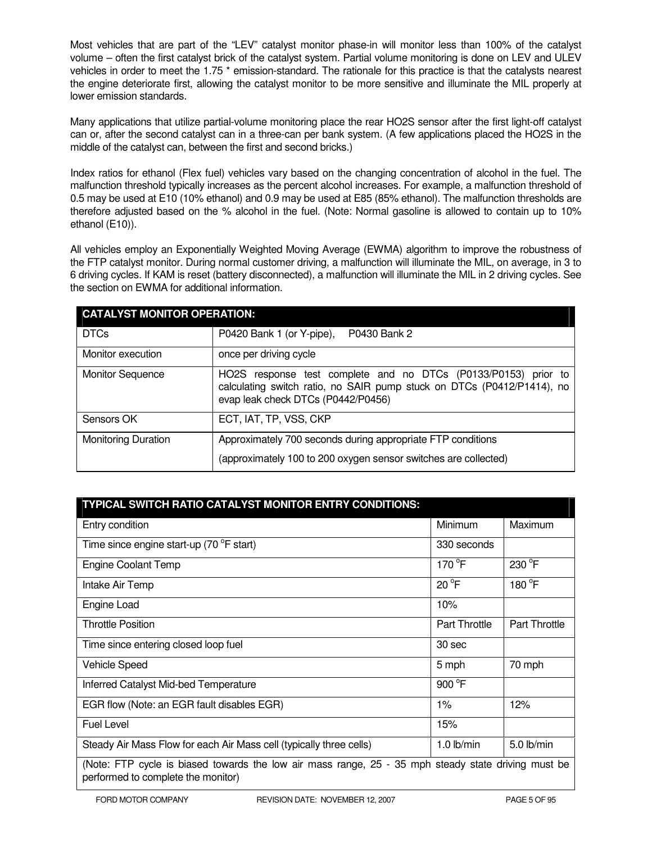Most vehicles that are part of the "LEV" catalyst monitor phase-in will monitor less than 100% of the catalyst volume – often the first catalyst brick of the catalyst system. Partial volume monitoring is done on LEV and ULEV vehicles in order to meet the 1.75<sup>\*</sup> emission-standard. The rationale for this practice is that the catalysts nearest the engine deteriorate first, allowing the catalyst monitor to be more sensitive and illuminate the MIL properly at lower emission standards.

Many applications that utilize partial-volume monitoring place the rear HO2S sensor after the first light-off catalyst can or, after the second catalyst can in a three-can per bank system. (A few applications placed the HO2S in the middle of the catalyst can, between the first and second bricks.)

Index ratios for ethanol (Flex fuel) vehicles vary based on the changing concentration of alcohol in the fuel. The malfunction threshold typically increases as the percent alcohol increases. For example, a malfunction threshold of 0.5 may be used at E10 (10% ethanol) and 0.9 may be used at E85 (85% ethanol). The malfunction thresholds are therefore adjusted based on the % alcohol in the fuel. (Note: Normal gasoline is allowed to contain up to 10% ethanol (E10)).

All vehicles employ an Exponentially Weighted Moving Average (EWMA) algorithm to improve the robustness of the FTP catalyst monitor. During normal customer driving, a malfunction will illuminate the MIL, on average, in 3 to 6 driving cycles. If KAM is reset (battery disconnected), a malfunction will illuminate the MIL in 2 driving cycles. See the section on EWMA for additional information.

| <b>CATALYST MONITOR OPERATION:</b> |                                                                                                                                                                                |  |  |
|------------------------------------|--------------------------------------------------------------------------------------------------------------------------------------------------------------------------------|--|--|
| <b>DTCs</b>                        | P0430 Bank 2<br>P0420 Bank 1 (or Y-pipe),                                                                                                                                      |  |  |
| Monitor execution                  | once per driving cycle                                                                                                                                                         |  |  |
| <b>Monitor Sequence</b>            | HO2S response test complete and no DTCs (P0133/P0153) prior to<br>calculating switch ratio, no SAIR pump stuck on DTCs (P0412/P1414), no<br>evap leak check DTCs (P0442/P0456) |  |  |
| Sensors OK                         | ECT, IAT, TP, VSS, CKP                                                                                                                                                         |  |  |
| <b>Monitoring Duration</b>         | Approximately 700 seconds during appropriate FTP conditions<br>(approximately 100 to 200 oxygen sensor switches are collected)                                                 |  |  |

| TYPICAL SWITCH RATIO CATALYST MONITOR ENTRY CONDITIONS:                                                                                   |                      |                      |  |
|-------------------------------------------------------------------------------------------------------------------------------------------|----------------------|----------------------|--|
| Entry condition                                                                                                                           | Minimum              | Maximum              |  |
| Time since engine start-up (70 °F start)                                                                                                  | 330 seconds          |                      |  |
| <b>Engine Coolant Temp</b>                                                                                                                | $170^{\circ}$ F      | 230 °F               |  |
| Intake Air Temp                                                                                                                           | $20^{\circ}$ F       | 180 °F               |  |
| Engine Load                                                                                                                               | 10%                  |                      |  |
| <b>Throttle Position</b>                                                                                                                  | <b>Part Throttle</b> | <b>Part Throttle</b> |  |
| Time since entering closed loop fuel                                                                                                      | 30 sec               |                      |  |
| <b>Vehicle Speed</b>                                                                                                                      | 5 mph                | 70 mph               |  |
| Inferred Catalyst Mid-bed Temperature                                                                                                     | 900 °F               |                      |  |
| EGR flow (Note: an EGR fault disables EGR)                                                                                                | $1\%$                | 12%                  |  |
| <b>Fuel Level</b>                                                                                                                         | 15%                  |                      |  |
| Steady Air Mass Flow for each Air Mass cell (typically three cells)                                                                       | 1.0 $lb/min$         | 5.0 lb/min           |  |
| (Note: FTP cycle is biased towards the low air mass range, 25 - 35 mph steady state driving must be<br>performed to complete the monitor) |                      |                      |  |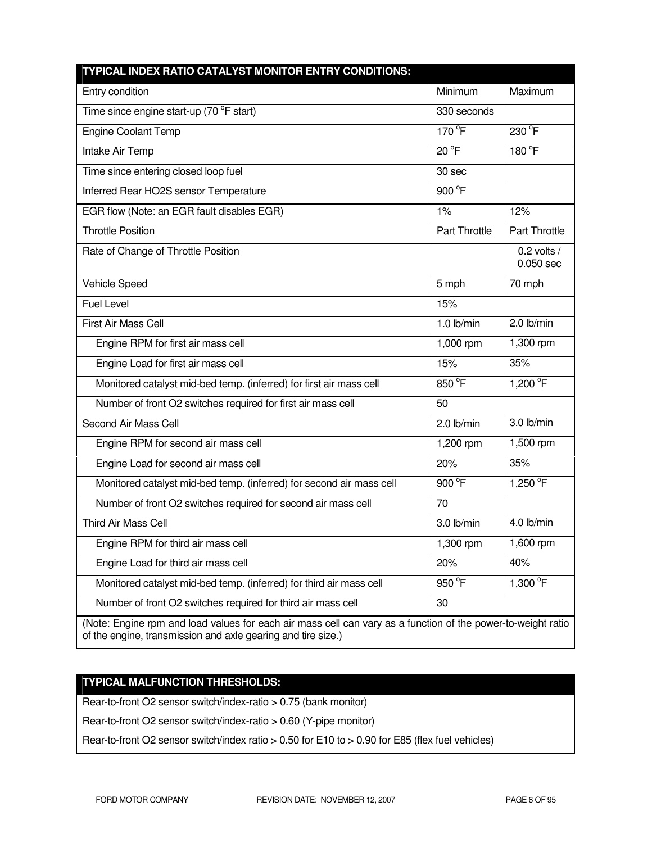| TYPICAL INDEX RATIO CATALYST MONITOR ENTRY CONDITIONS:                                                                                                                       |               |                              |
|------------------------------------------------------------------------------------------------------------------------------------------------------------------------------|---------------|------------------------------|
| Entry condition                                                                                                                                                              | Minimum       | Maximum                      |
| Time since engine start-up (70 °F start)                                                                                                                                     | 330 seconds   |                              |
| <b>Engine Coolant Temp</b>                                                                                                                                                   | 170 °F        | 230 °F                       |
| Intake Air Temp                                                                                                                                                              | $20^{\circ}F$ | 180 °F                       |
| Time since entering closed loop fuel                                                                                                                                         | 30 sec        |                              |
| Inferred Rear HO2S sensor Temperature                                                                                                                                        | 900 °F        |                              |
| EGR flow (Note: an EGR fault disables EGR)                                                                                                                                   | 1%            | 12%                          |
| <b>Throttle Position</b>                                                                                                                                                     | Part Throttle | Part Throttle                |
| Rate of Change of Throttle Position                                                                                                                                          |               | $0.2$ volts /<br>$0.050$ sec |
| Vehicle Speed                                                                                                                                                                | 5 mph         | 70 mph                       |
| <b>Fuel Level</b>                                                                                                                                                            | 15%           |                              |
| First Air Mass Cell                                                                                                                                                          | $1.0$ lb/min  | 2.0 lb/min                   |
| Engine RPM for first air mass cell                                                                                                                                           | 1,000 rpm     | 1,300 rpm                    |
| Engine Load for first air mass cell                                                                                                                                          | 15%           | 35%                          |
| Monitored catalyst mid-bed temp. (inferred) for first air mass cell                                                                                                          | 850 °F        | 1,200 °F                     |
| Number of front O2 switches required for first air mass cell                                                                                                                 | 50            |                              |
| Second Air Mass Cell                                                                                                                                                         | $2.0$ lb/min  | 3.0 lb/min                   |
| Engine RPM for second air mass cell                                                                                                                                          | 1,200 rpm     | 1,500 rpm                    |
| Engine Load for second air mass cell                                                                                                                                         | 20%           | 35%                          |
| Monitored catalyst mid-bed temp. (inferred) for second air mass cell                                                                                                         | 900 °F        | 1,250 °F                     |
| Number of front O2 switches required for second air mass cell                                                                                                                | 70            |                              |
| <b>Third Air Mass Cell</b>                                                                                                                                                   | 3.0 lb/min    | 4.0 lb/min                   |
| Engine RPM for third air mass cell                                                                                                                                           | 1,300 rpm     | 1,600 rpm                    |
| Engine Load for third air mass cell                                                                                                                                          | 20%           | 40%                          |
| Monitored catalyst mid-bed temp. (inferred) for third air mass cell                                                                                                          | 950 °F        | 1,300 $^{\circ}$ F           |
| Number of front O2 switches required for third air mass cell                                                                                                                 | 30            |                              |
| (Note: Engine rpm and load values for each air mass cell can vary as a function of the power-to-weight ratio<br>of the engine, transmission and axle gearing and tire size.) |               |                              |

# **TYPICAL MALFUNCTION THRESHOLDS:**

Rear-to-front O2 sensor switch/index-ratio > 0.75 (bank monitor)

Rear-to-front O2 sensor switch/index-ratio > 0.60 (Y-pipe monitor)

Rear-to-front O2 sensor switch/index ratio > 0.50 for E10 to > 0.90 for E85 (flex fuel vehicles)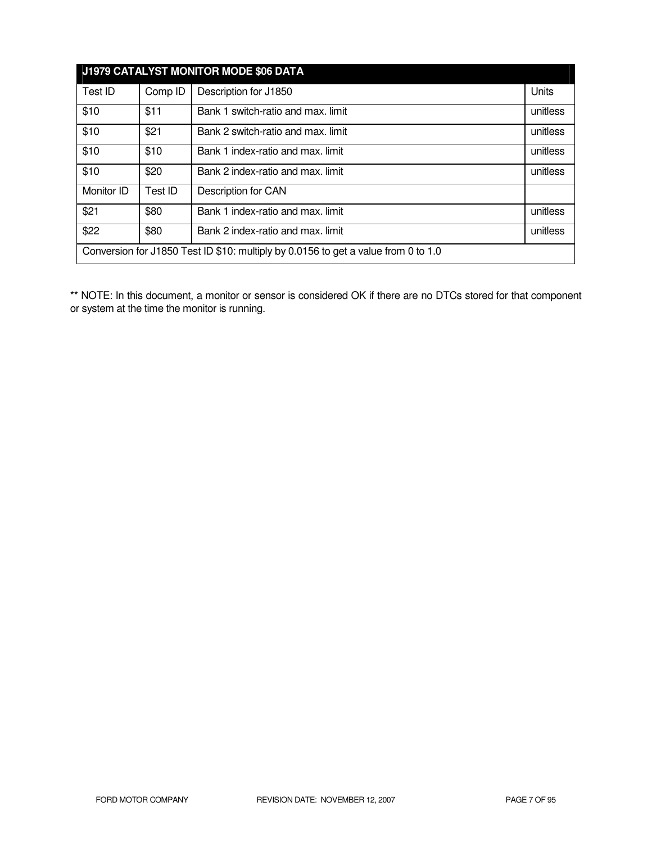| J1979 CATALYST MONITOR MODE \$06 DATA                                              |         |                                    |          |
|------------------------------------------------------------------------------------|---------|------------------------------------|----------|
| Test ID                                                                            | Comp ID | Description for J1850              | Units    |
| \$10                                                                               | \$11    | Bank 1 switch-ratio and max. limit | unitless |
| \$10                                                                               | \$21    | Bank 2 switch-ratio and max. limit | unitless |
| \$10                                                                               | \$10    | Bank 1 index-ratio and max. limit  | unitless |
| \$10                                                                               | \$20    | Bank 2 index-ratio and max. limit  | unitless |
| Monitor ID                                                                         | Test ID | Description for CAN                |          |
| \$21                                                                               | \$80    | Bank 1 index-ratio and max. limit  | unitless |
| \$22                                                                               | \$80    | Bank 2 index-ratio and max. limit  | unitless |
| Conversion for J1850 Test ID \$10: multiply by 0.0156 to get a value from 0 to 1.0 |         |                                    |          |

\*\* NOTE: In this document, a monitor or sensor is considered OK if there are no DTCs stored for that component or system at the time the monitor is running.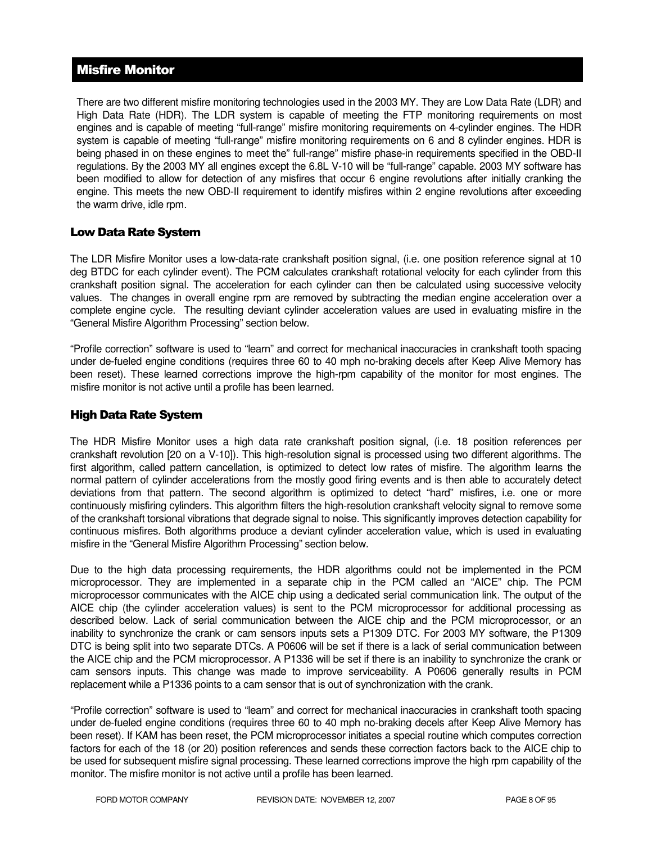# Misfire Monitor

There are two different misfire monitoring technologies used in the 2003 MY. They are Low Data Rate (LDR) and High Data Rate (HDR). The LDR system is capable of meeting the FTP monitoring requirements on most engines and is capable of meeting "full-range" misfire monitoring requirements on 4-cylinder engines. The HDR system is capable of meeting "full-range" misfire monitoring requirements on 6 and 8 cylinder engines. HDR is being phased in on these engines to meet the" full-range" misfire phase-in requirements specified in the OBD-II regulations. By the 2003 MY all engines except the 6.8L V-10 will be "full-range" capable. 2003 MY software has been modified to allow for detection of any misfires that occur 6 engine revolutions after initially cranking the engine. This meets the new OBD-II requirement to identify misfires within 2 engine revolutions after exceeding the warm drive, idle rpm.

#### Low Data Rate System

The LDR Misfire Monitor uses a low-data-rate crankshaft position signal, (i.e. one position reference signal at 10 deg BTDC for each cylinder event). The PCM calculates crankshaft rotational velocity for each cylinder from this crankshaft position signal. The acceleration for each cylinder can then be calculated using successive velocity values. The changes in overall engine rpm are removed by subtracting the median engine acceleration over a complete engine cycle. The resulting deviant cylinder acceleration values are used in evaluating misfire in the "General Misfire Algorithm Processing" section below.

"Profile correction" software is used to "learn" and correct for mechanical inaccuracies in crankshaft tooth spacing under de-fueled engine conditions (requires three 60 to 40 mph no-braking decels after Keep Alive Memory has been reset). These learned corrections improve the high-rpm capability of the monitor for most engines. The misfire monitor is not active until a profile has been learned.

#### High Data Rate System

The HDR Misfire Monitor uses a high data rate crankshaft position signal, (i.e. 18 position references per crankshaft revolution [20 on a V-10]). This high-resolution signal is processed using two different algorithms. The first algorithm, called pattern cancellation, is optimized to detect low rates of misfire. The algorithm learns the normal pattern of cylinder accelerations from the mostly good firing events and is then able to accurately detect deviations from that pattern. The second algorithm is optimized to detect "hard" misfires, i.e. one or more continuously misfiring cylinders. This algorithm filters the high-resolution crankshaft velocity signal to remove some of the crankshaft torsional vibrations that degrade signal to noise. This significantly improves detection capability for continuous misfires. Both algorithms produce a deviant cylinder acceleration value, which is used in evaluating misfire in the "General Misfire Algorithm Processing" section below.

Due to the high data processing requirements, the HDR algorithms could not be implemented in the PCM microprocessor. They are implemented in a separate chip in the PCM called an "AICE" chip. The PCM microprocessor communicates with the AICE chip using a dedicated serial communication link. The output of the AICE chip (the cylinder acceleration values) is sent to the PCM microprocessor for additional processing as described below. Lack of serial communication between the AICE chip and the PCM microprocessor, or an inability to synchronize the crank or cam sensors inputs sets a P1309 DTC. For 2003 MY software, the P1309 DTC is being split into two separate DTCs. A P0606 will be set if there is a lack of serial communication between the AICE chip and the PCM microprocessor. A P1336 will be set if there is an inability to synchronize the crank or cam sensors inputs. This change was made to improve serviceability. A P0606 generally results in PCM replacement while a P1336 points to a cam sensor that is out of synchronization with the crank.

"Profile correction" software is used to "learn" and correct for mechanical inaccuracies in crankshaft tooth spacing under de-fueled engine conditions (requires three 60 to 40 mph no-braking decels after Keep Alive Memory has been reset). If KAM has been reset, the PCM microprocessor initiates a special routine which computes correction factors for each of the 18 (or 20) position references and sends these correction factors back to the AICE chip to be used for subsequent misfire signal processing. These learned corrections improve the high rpm capability of the monitor. The misfire monitor is not active until a profile has been learned.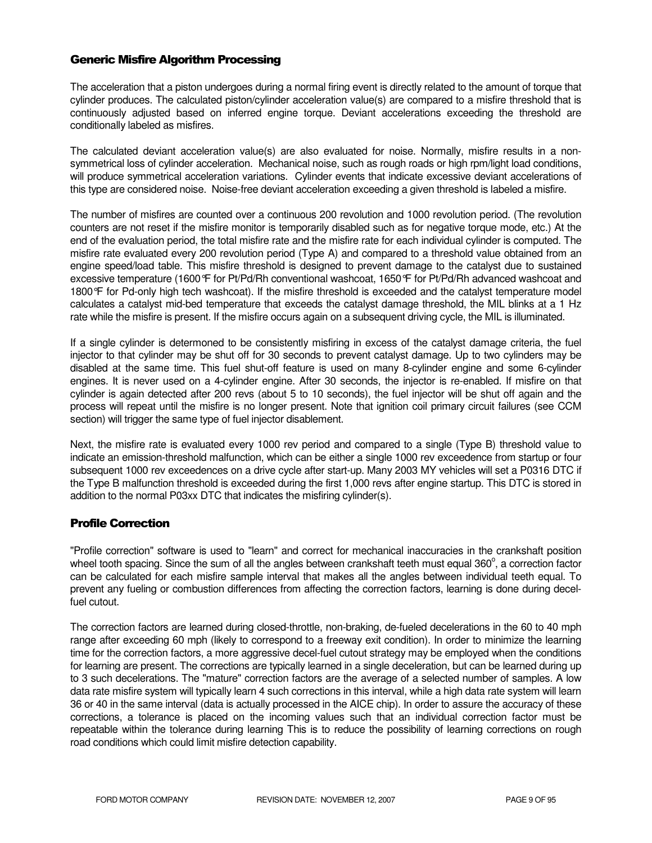#### Generic Misfire Algorithm Processing

The acceleration that a piston undergoes during a normal firing event is directly related to the amount of torque that cylinder produces. The calculated piston/cylinder acceleration value(s) are compared to a misfire threshold that is continuously adjusted based on inferred engine torque. Deviant accelerations exceeding the threshold are conditionally labeled as misfires.

The calculated deviant acceleration value(s) are also evaluated for noise. Normally, misfire results in a nonsymmetrical loss of cylinder acceleration. Mechanical noise, such as rough roads or high rpm/light load conditions, will produce symmetrical acceleration variations. Cylinder events that indicate excessive deviant accelerations of this type are considered noise. Noise-free deviant acceleration exceeding a given threshold is labeled a misfire.

The number of misfires are counted over a continuous 200 revolution and 1000 revolution period. (The revolution counters are not reset if the misfire monitor is temporarily disabled such as for negative torque mode, etc.) At the end of the evaluation period, the total misfire rate and the misfire rate for each individual cylinder is computed. The misfire rate evaluated every 200 revolution period (Type A) and compared to a threshold value obtained from an engine speed/load table. This misfire threshold is designed to prevent damage to the catalyst due to sustained excessive temperature (1600°F for Pt/Pd/Rh conventional washcoat, 1650°F for Pt/Pd/Rh advanced washcoat and 1800°F for Pd-only high tech washcoat). If the misfire threshold is exceeded and the catalyst temperature model calculates a catalyst mid-bed temperature that exceeds the catalyst damage threshold, the MIL blinks at a 1 Hz rate while the misfire is present. If the misfire occurs again on a subsequent driving cycle, the MIL is illuminated.

If a single cylinder is determoned to be consistently misfiring in excess of the catalyst damage criteria, the fuel injector to that cylinder may be shut off for 30 seconds to prevent catalyst damage. Up to two cylinders may be disabled at the same time. This fuel shut-off feature is used on many 8-cylinder engine and some 6-cylinder engines. It is never used on a 4-cylinder engine. After 30 seconds, the injector is re-enabled. If misfire on that cylinder is again detected after 200 revs (about 5 to 10 seconds), the fuel injector will be shut off again and the process will repeat until the misfire is no longer present. Note that ignition coil primary circuit failures (see CCM section) will trigger the same type of fuel injector disablement.

Next, the misfire rate is evaluated every 1000 rev period and compared to a single (Type B) threshold value to indicate an emission-threshold malfunction, which can be either a single 1000 rev exceedence from startup or four subsequent 1000 rev exceedences on a drive cycle after start-up. Many 2003 MY vehicles will set a P0316 DTC if the Type B malfunction threshold is exceeded during the first 1,000 revs after engine startup. This DTC is stored in addition to the normal P03xx DTC that indicates the misfiring cylinder(s).

#### Profile Correction

"Profile correction" software is used to "learn" and correct for mechanical inaccuracies in the crankshaft position wheel tooth spacing. Since the sum of all the angles between crankshaft teeth must equal 360 $^{\circ}$ , a correction factor can be calculated for each misfire sample interval that makes all the angles between individual teeth equal. To prevent any fueling or combustion differences from affecting the correction factors, learning is done during decelfuel cutout.

The correction factors are learned during closed-throttle, non-braking, de-fueled decelerations in the 60 to 40 mph range after exceeding 60 mph (likely to correspond to a freeway exit condition). In order to minimize the learning time for the correction factors, a more aggressive decel-fuel cutout strategy may be employed when the conditions for learning are present. The corrections are typically learned in a single deceleration, but can be learned during up to 3 such decelerations. The "mature" correction factors are the average of a selected number of samples. A low data rate misfire system will typically learn 4 such corrections in this interval, while a high data rate system will learn 36 or 40 in the same interval (data is actually processed in the AICE chip). In order to assure the accuracy of these corrections, a tolerance is placed on the incoming values such that an individual correction factor must be repeatable within the tolerance during learning This is to reduce the possibility of learning corrections on rough road conditions which could limit misfire detection capability.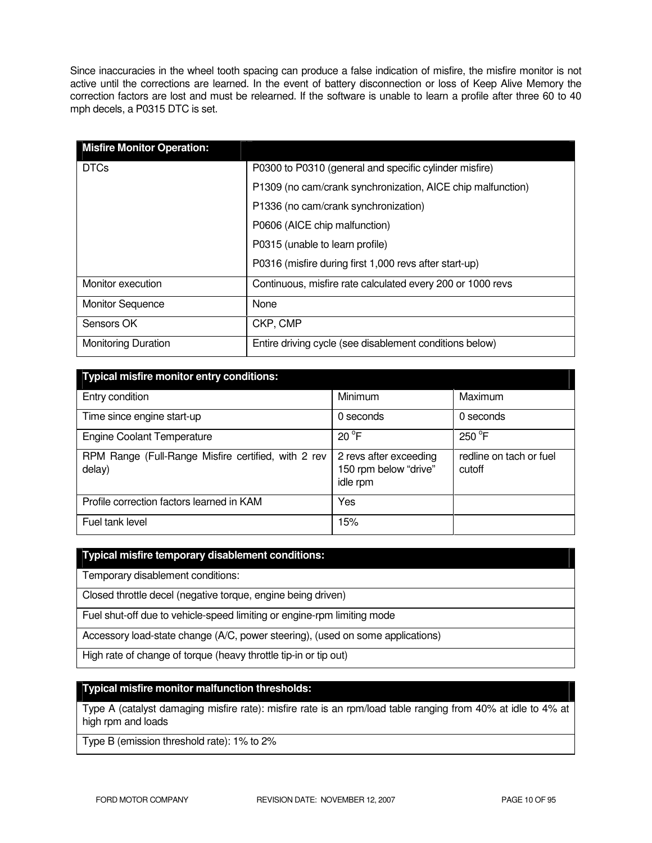Since inaccuracies in the wheel tooth spacing can produce a false indication of misfire, the misfire monitor is not active until the corrections are learned. In the event of battery disconnection or loss of Keep Alive Memory the correction factors are lost and must be relearned. If the software is unable to learn a profile after three 60 to 40 mph decels, a P0315 DTC is set.

| <b>Misfire Monitor Operation:</b> |                                                             |
|-----------------------------------|-------------------------------------------------------------|
| <b>DTCs</b>                       | P0300 to P0310 (general and specific cylinder misfire)      |
|                                   | P1309 (no cam/crank synchronization, AICE chip malfunction) |
|                                   | P1336 (no cam/crank synchronization)                        |
|                                   | P0606 (AICE chip malfunction)                               |
|                                   | P0315 (unable to learn profile)                             |
|                                   | P0316 (misfire during first 1,000 revs after start-up)      |
| Monitor execution                 | Continuous, misfire rate calculated every 200 or 1000 revs  |
| <b>Monitor Sequence</b>           | None                                                        |
| Sensors OK                        | CKP, CMP                                                    |
| <b>Monitoring Duration</b>        | Entire driving cycle (see disablement conditions below)     |

| <b>Typical misfire monitor entry conditions:</b>              |                                                             |                                   |  |  |
|---------------------------------------------------------------|-------------------------------------------------------------|-----------------------------------|--|--|
| Entry condition                                               | Minimum                                                     | Maximum                           |  |  |
| Time since engine start-up                                    | 0 seconds                                                   | 0 seconds                         |  |  |
| <b>Engine Coolant Temperature</b>                             | $20^{\circ}$ F                                              | $250^{\circ}$ F                   |  |  |
| RPM Range (Full-Range Misfire certified, with 2 rev<br>delay) | 2 revs after exceeding<br>150 rpm below "drive"<br>idle rpm | redline on tach or fuel<br>cutoff |  |  |
| Profile correction factors learned in KAM                     | Yes                                                         |                                   |  |  |
| Fuel tank level                                               | 15%                                                         |                                   |  |  |

#### **Typical misfire temporary disablement conditions:**

Temporary disablement conditions:

Closed throttle decel (negative torque, engine being driven)

Fuel shut-off due to vehicle-speed limiting or engine-rpm limiting mode

Accessory load-state change (A/C, power steering), (used on some applications)

High rate of change of torque (heavy throttle tip-in or tip out)

#### **Typical misfire monitor malfunction thresholds:**

Type A (catalyst damaging misfire rate): misfire rate is an rpm/load table ranging from 40% at idle to 4% at high rpm and loads

Type B (emission threshold rate): 1% to 2%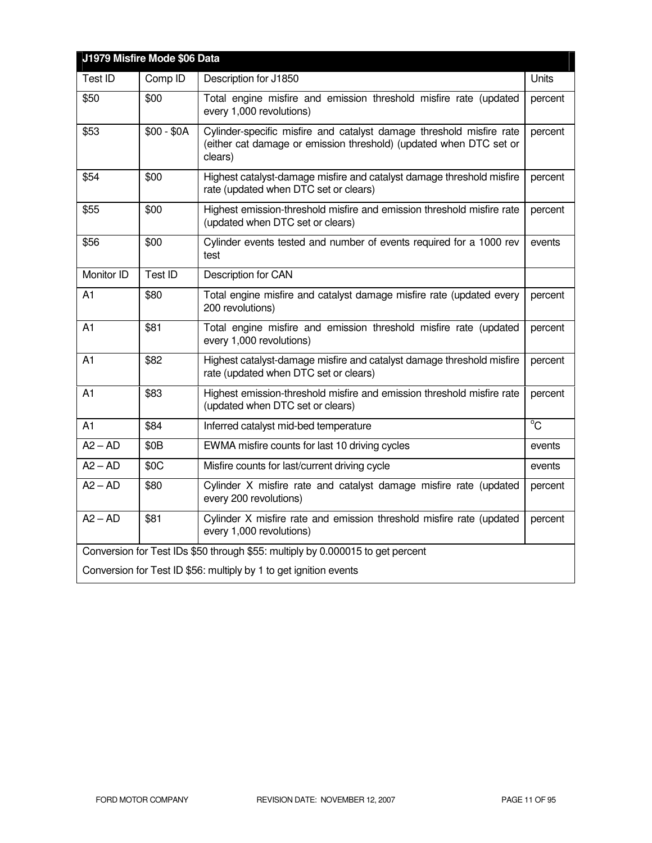| J1979 Misfire Mode \$06 Data                                                   |                  |                                                                                                                                                       |                |
|--------------------------------------------------------------------------------|------------------|-------------------------------------------------------------------------------------------------------------------------------------------------------|----------------|
| Test ID                                                                        | Comp ID          | Description for J1850                                                                                                                                 | Units          |
| \$50                                                                           | \$00             | Total engine misfire and emission threshold misfire rate (updated<br>every 1,000 revolutions)                                                         | percent        |
| \$53                                                                           | $$00 - $0A$      | Cylinder-specific misfire and catalyst damage threshold misfire rate<br>(either cat damage or emission threshold) (updated when DTC set or<br>clears) | percent        |
| \$54                                                                           | \$00             | Highest catalyst-damage misfire and catalyst damage threshold misfire<br>rate (updated when DTC set or clears)                                        | percent        |
| \$55                                                                           | \$00             | Highest emission-threshold misfire and emission threshold misfire rate<br>(updated when DTC set or clears)                                            | percent        |
| \$56                                                                           | \$00             | Cylinder events tested and number of events required for a 1000 rev<br>test                                                                           | events         |
| Monitor ID                                                                     | Test ID          | Description for CAN                                                                                                                                   |                |
| A <sub>1</sub>                                                                 | \$80             | Total engine misfire and catalyst damage misfire rate (updated every<br>200 revolutions)                                                              | percent        |
| A1                                                                             | \$81             | Total engine misfire and emission threshold misfire rate (updated<br>every 1,000 revolutions)                                                         | percent        |
| A1                                                                             | \$82             | Highest catalyst-damage misfire and catalyst damage threshold misfire<br>rate (updated when DTC set or clears)                                        | percent        |
| A1                                                                             | \$83             | Highest emission-threshold misfire and emission threshold misfire rate<br>(updated when DTC set or clears)                                            | percent        |
| A1                                                                             | \$84             | Inferred catalyst mid-bed temperature                                                                                                                 | $\overline{C}$ |
| $A2 - AD$                                                                      | \$0 <sub>B</sub> | EWMA misfire counts for last 10 driving cycles                                                                                                        | events         |
| $A2 - AD$                                                                      | \$0C             | Misfire counts for last/current driving cycle                                                                                                         | events         |
| $A2 - AD$                                                                      | \$80             | Cylinder X misfire rate and catalyst damage misfire rate (updated<br>every 200 revolutions)                                                           | percent        |
| $A2 - AD$                                                                      | \$81             | Cylinder X misfire rate and emission threshold misfire rate (updated<br>every 1,000 revolutions)                                                      | percent        |
| Conversion for Test IDs \$50 through \$55: multiply by 0.000015 to get percent |                  |                                                                                                                                                       |                |
| Conversion for Test ID \$56: multiply by 1 to get ignition events              |                  |                                                                                                                                                       |                |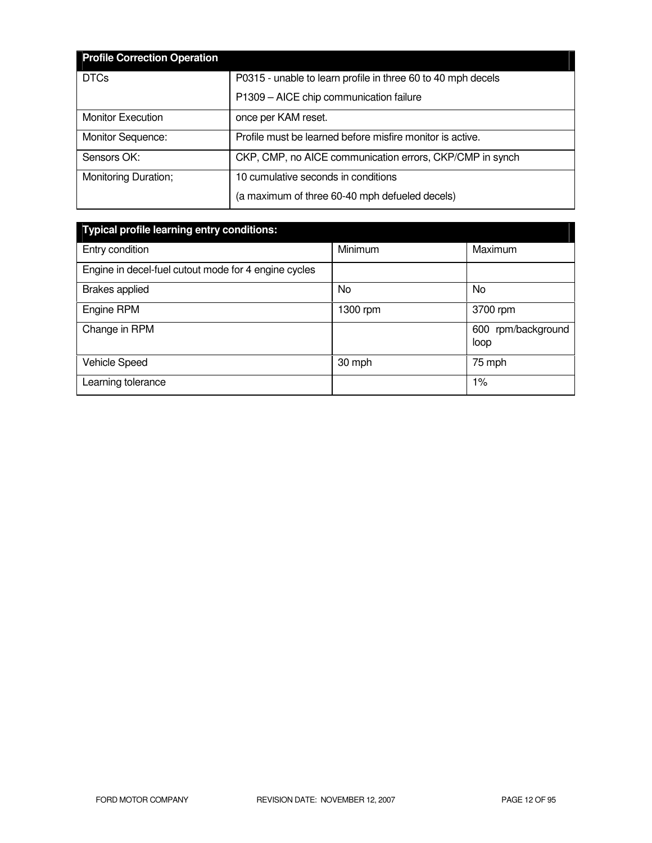| <b>Profile Correction Operation</b> |                                                              |
|-------------------------------------|--------------------------------------------------------------|
| <b>DTCs</b>                         | P0315 - unable to learn profile in three 60 to 40 mph decels |
|                                     | P1309 - AICE chip communication failure                      |
| <b>Monitor Execution</b>            | once per KAM reset.                                          |
| Monitor Sequence:                   | Profile must be learned before misfire monitor is active.    |
| Sensors OK:                         | CKP, CMP, no AICE communication errors, CKP/CMP in synch     |
| Monitoring Duration;                | 10 cumulative seconds in conditions                          |
|                                     | (a maximum of three 60-40 mph defueled decels)               |

| <b>Typical profile learning entry conditions:</b>    |          |                            |  |  |
|------------------------------------------------------|----------|----------------------------|--|--|
| Entry condition                                      | Minimum  | Maximum                    |  |  |
| Engine in decel-fuel cutout mode for 4 engine cycles |          |                            |  |  |
| <b>Brakes</b> applied                                | No       | <b>No</b>                  |  |  |
| Engine RPM                                           | 1300 rpm | 3700 rpm                   |  |  |
| Change in RPM                                        |          | 600 rpm/background<br>loop |  |  |
| <b>Vehicle Speed</b>                                 | 30 mph   | 75 mph                     |  |  |
| Learning tolerance                                   |          | $1\%$                      |  |  |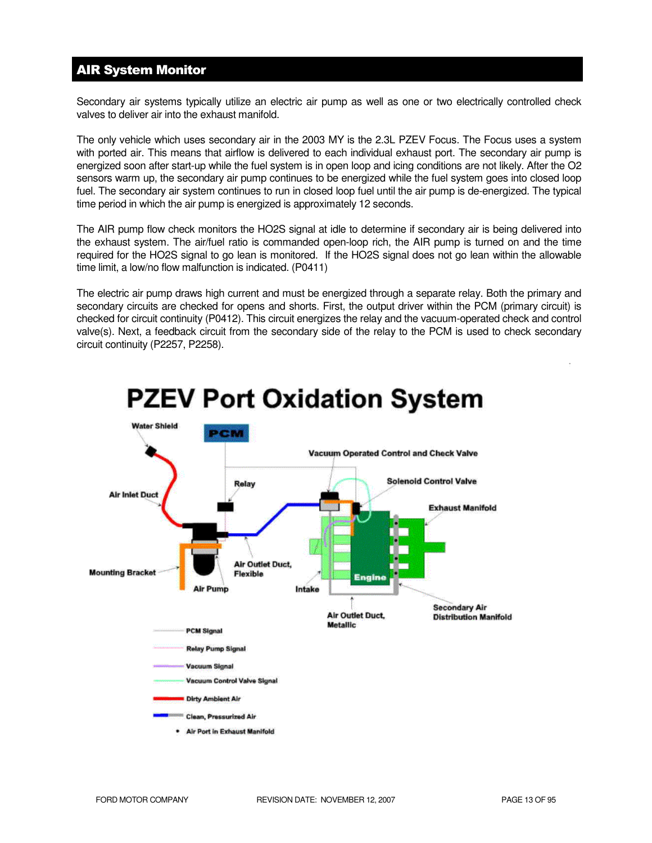# AIR System Monitor

Secondary air systems typically utilize an electric air pump as well as one or two electrically controlled check valves to deliver air into the exhaust manifold.

The only vehicle which uses secondary air in the 2003 MY is the 2.3L PZEV Focus. The Focus uses a system with ported air. This means that airflow is delivered to each individual exhaust port. The secondary air pump is energized soon after start-up while the fuel system is in open loop and icing conditions are not likely. After the O2 sensors warm up, the secondary air pump continues to be energized while the fuel system goes into closed loop fuel. The secondary air system continues to run in closed loop fuel until the air pump is de-energized. The typical time period in which the air pump is energized is approximately 12 seconds.

The AIR pump flow check monitors the HO2S signal at idle to determine if secondary air is being delivered into the exhaust system. The air/fuel ratio is commanded open-loop rich, the AIR pump is turned on and the time required for the HO2S signal to go lean is monitored. If the HO2S signal does not go lean within the allowable time limit, a low/no flow malfunction is indicated. (P0411)

The electric air pump draws high current and must be energized through a separate relay. Both the primary and secondary circuits are checked for opens and shorts. First, the output driver within the PCM (primary circuit) is checked for circuit continuity (P0412). This circuit energizes the relay and the vacuum-operated check and control valve(s). Next, a feedback circuit from the secondary side of the relay to the PCM is used to check secondary circuit continuity (P2257, P2258).



# **PZEV Port Oxidation System**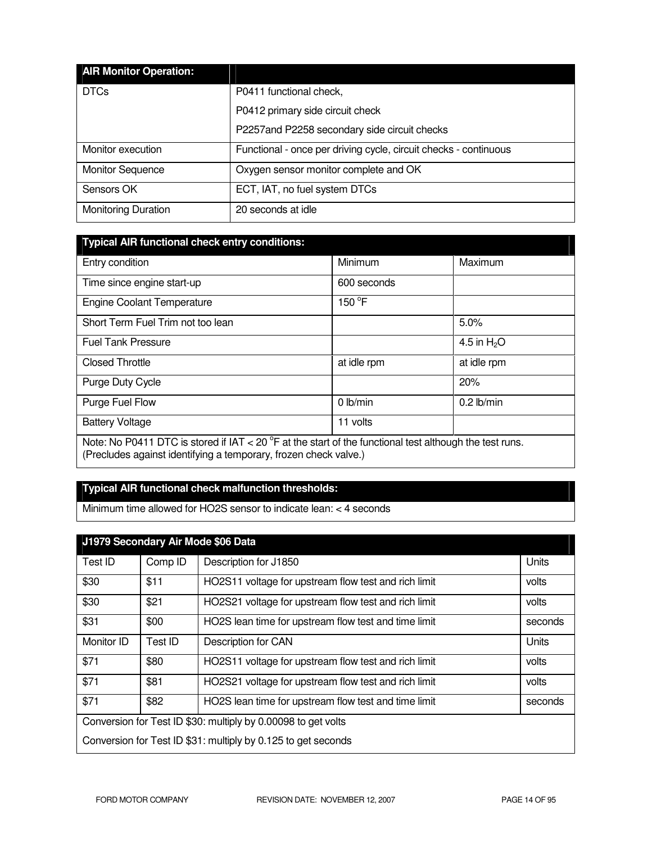| <b>AIR Monitor Operation:</b> |                                                                  |
|-------------------------------|------------------------------------------------------------------|
| <b>DTCs</b>                   | P0411 functional check,                                          |
|                               | P0412 primary side circuit check                                 |
|                               | P2257and P2258 secondary side circuit checks                     |
| Monitor execution             | Functional - once per driving cycle, circuit checks - continuous |
| <b>Monitor Sequence</b>       | Oxygen sensor monitor complete and OK                            |
| Sensors OK                    | ECT, IAT, no fuel system DTCs                                    |
| <b>Monitoring Duration</b>    | 20 seconds at idle                                               |

| Typical AIR functional check entry conditions: |  |
|------------------------------------------------|--|
|                                                |  |
|                                                |  |
|                                                |  |

| Entry condition                                                                                                                                                                       | Minimum         | Maximum      |
|---------------------------------------------------------------------------------------------------------------------------------------------------------------------------------------|-----------------|--------------|
| Time since engine start-up                                                                                                                                                            | 600 seconds     |              |
| <b>Engine Coolant Temperature</b>                                                                                                                                                     | $150^{\circ}$ F |              |
| Short Term Fuel Trim not too lean                                                                                                                                                     |                 | 5.0%         |
| <b>Fuel Tank Pressure</b>                                                                                                                                                             |                 | 4.5 in $H2O$ |
| <b>Closed Throttle</b>                                                                                                                                                                | at idle rpm     | at idle rpm  |
| Purge Duty Cycle                                                                                                                                                                      |                 | 20%          |
| Purge Fuel Flow                                                                                                                                                                       | $0$ lb/min      | $0.2$ lb/min |
| <b>Battery Voltage</b>                                                                                                                                                                | 11 volts        |              |
| Note: No P0411 DTC is stored if IAT < 20 $^{\circ}$ F at the start of the functional test although the test runs.<br>(Precludes against identifying a temporary, frozen check valve.) |                 |              |

# **Typical AIR functional check malfunction thresholds:**

Minimum time allowed for HO2S sensor to indicate lean: < 4 seconds

| J1979 Secondary Air Mode \$06 Data                            |         |                                                               |         |
|---------------------------------------------------------------|---------|---------------------------------------------------------------|---------|
| Test ID                                                       | Comp ID | Description for J1850                                         | Units   |
| \$30                                                          | \$11    | HO2S11 voltage for upstream flow test and rich limit          | volts   |
| \$30                                                          | \$21    | HO2S21 voltage for upstream flow test and rich limit          | volts   |
| \$31                                                          | \$00    | HO2S lean time for upstream flow test and time limit          | seconds |
| Monitor ID                                                    | Test ID | Description for CAN                                           | Units   |
| \$71                                                          | \$80    | HO2S11 voltage for upstream flow test and rich limit          | volts   |
| \$71                                                          | \$81    | HO2S21 voltage for upstream flow test and rich limit          | volts   |
| \$71                                                          | \$82    | HO2S lean time for upstream flow test and time limit          | seconds |
| Conversion for Test ID \$30: multiply by 0.00098 to get volts |         |                                                               |         |
|                                                               |         | Conversion for Test ID \$31: multiply by 0.125 to get seconds |         |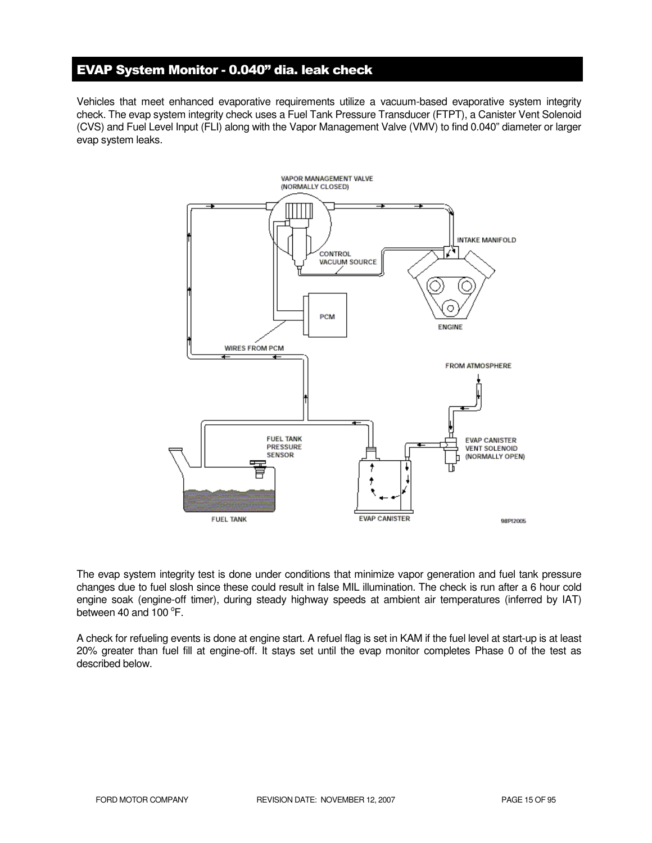# EVAP System Monitor - 0.040" dia. leak check

Vehicles that meet enhanced evaporative requirements utilize a vacuum-based evaporative system integrity check. The evap system integrity check uses a Fuel Tank Pressure Transducer (FTPT), a Canister Vent Solenoid (CVS) and Fuel Level Input (FLI) along with the Vapor Management Valve (VMV) to find 0.040" diameter or larger evap system leaks.



The evap system integrity test is done under conditions that minimize vapor generation and fuel tank pressure changes due to fuel slosh since these could result in false MIL illumination. The check is run after a 6 hour cold engine soak (engine-off timer), during steady highway speeds at ambient air temperatures (inferred by IAT) between 40 and  $100^{\circ}$ F.

A check for refueling events is done at engine start. A refuel flag is set in KAM if the fuel level at start-up is at least 20% greater than fuel fill at engine-off. It stays set until the evap monitor completes Phase 0 of the test as described below.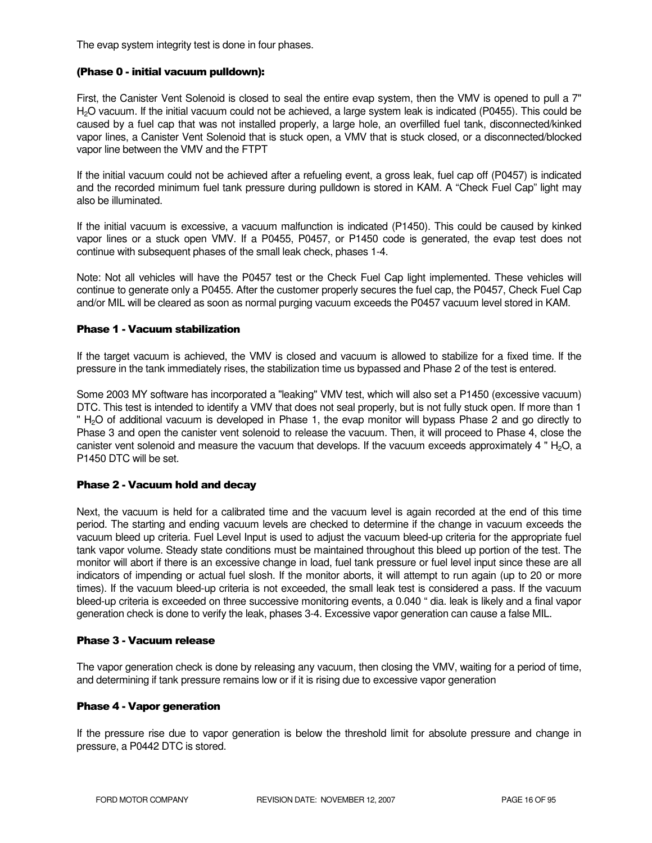The evap system integrity test is done in four phases.

#### (Phase 0 - initial vacuum pulldown):

First, the Canister Vent Solenoid is closed to seal the entire evap system, then the VMV is opened to pull a 7" H2O vacuum. If the initial vacuum could not be achieved, a large system leak is indicated (P0455). This could be caused by a fuel cap that was not installed properly, a large hole, an overfilled fuel tank, disconnected/kinked vapor lines, a Canister Vent Solenoid that is stuck open, a VMV that is stuck closed, or a disconnected/blocked vapor line between the VMV and the FTPT

If the initial vacuum could not be achieved after a refueling event, a gross leak, fuel cap off (P0457) is indicated and the recorded minimum fuel tank pressure during pulldown is stored in KAM. A "Check Fuel Cap" light may also be illuminated.

If the initial vacuum is excessive, a vacuum malfunction is indicated (P1450). This could be caused by kinked vapor lines or a stuck open VMV. If a P0455, P0457, or P1450 code is generated, the evap test does not continue with subsequent phases of the small leak check, phases 1-4.

Note: Not all vehicles will have the P0457 test or the Check Fuel Cap light implemented. These vehicles will continue to generate only a P0455. After the customer properly secures the fuel cap, the P0457, Check Fuel Cap and/or MIL will be cleared as soon as normal purging vacuum exceeds the P0457 vacuum level stored in KAM.

#### Phase 1 - Vacuum stabilization

If the target vacuum is achieved, the VMV is closed and vacuum is allowed to stabilize for a fixed time. If the pressure in the tank immediately rises, the stabilization time us bypassed and Phase 2 of the test is entered.

Some 2003 MY software has incorporated a "leaking" VMV test, which will also set a P1450 (excessive vacuum) DTC. This test is intended to identify a VMV that does not seal properly, but is not fully stuck open. If more than 1 " H<sub>2</sub>O of additional vacuum is developed in Phase 1, the evap monitor will bypass Phase 2 and go directly to Phase 3 and open the canister vent solenoid to release the vacuum. Then, it will proceed to Phase 4, close the canister vent solenoid and measure the vacuum that develops. If the vacuum exceeds approximately 4 " $H<sub>2</sub>O$ , a P1450 DTC will be set.

#### Phase 2 - Vacuum hold and decay

Next, the vacuum is held for a calibrated time and the vacuum level is again recorded at the end of this time period. The starting and ending vacuum levels are checked to determine if the change in vacuum exceeds the vacuum bleed up criteria. Fuel Level Input is used to adjust the vacuum bleed-up criteria for the appropriate fuel tank vapor volume. Steady state conditions must be maintained throughout this bleed up portion of the test. The monitor will abort if there is an excessive change in load, fuel tank pressure or fuel level input since these are all indicators of impending or actual fuel slosh. If the monitor aborts, it will attempt to run again (up to 20 or more times). If the vacuum bleed-up criteria is not exceeded, the small leak test is considered a pass. If the vacuum bleed-up criteria is exceeded on three successive monitoring events, a 0.040 " dia. leak is likely and a final vapor generation check is done to verify the leak, phases 3-4. Excessive vapor generation can cause a false MIL.

#### Phase 3 - Vacuum release

The vapor generation check is done by releasing any vacuum, then closing the VMV, waiting for a period of time, and determining if tank pressure remains low or if it is rising due to excessive vapor generation

#### Phase 4 - Vapor generation

If the pressure rise due to vapor generation is below the threshold limit for absolute pressure and change in pressure, a P0442 DTC is stored.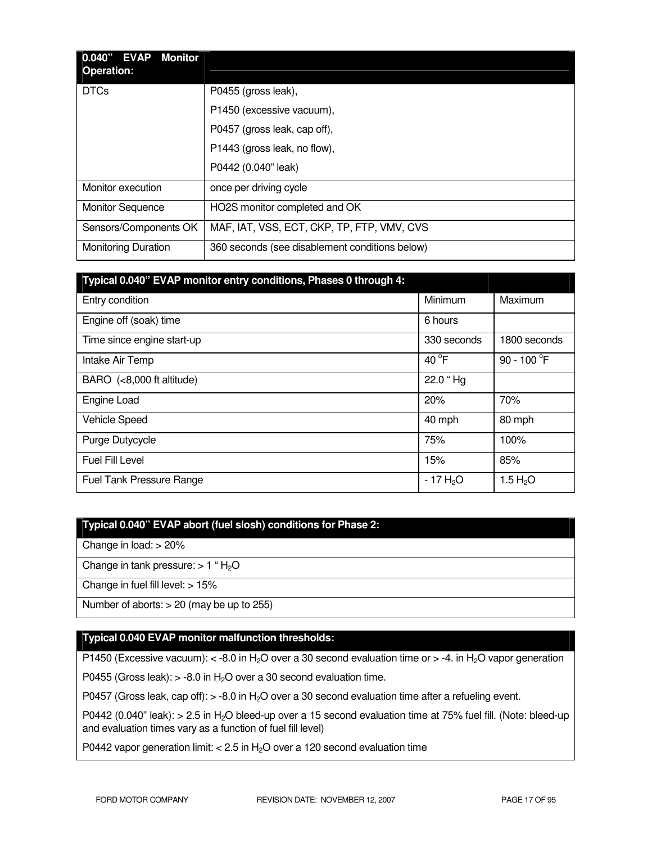| 0.040" EVAP<br>Monitor<br><b>Operation:</b> |                                                |
|---------------------------------------------|------------------------------------------------|
| <b>DTCs</b>                                 | P0455 (gross leak),                            |
|                                             | P1450 (excessive vacuum),                      |
|                                             | P0457 (gross leak, cap off),                   |
|                                             | P1443 (gross leak, no flow),                   |
|                                             | P0442 (0.040" leak)                            |
| Monitor execution                           | once per driving cycle                         |
| <b>Monitor Sequence</b>                     | HO2S monitor completed and OK                  |
| Sensors/Components OK                       | MAF, IAT, VSS, ECT, CKP, TP, FTP, VMV, CVS     |
| <b>Monitoring Duration</b>                  | 360 seconds (see disablement conditions below) |

| Typical 0.040" EVAP monitor entry conditions, Phases 0 through 4: |                 |                      |
|-------------------------------------------------------------------|-----------------|----------------------|
| Entry condition                                                   | Minimum         | Maximum              |
| Engine off (soak) time                                            | 6 hours         |                      |
| Time since engine start-up                                        | 330 seconds     | 1800 seconds         |
| Intake Air Temp                                                   | 40 $^{\circ}$ F | 90 - 100 $\degree$ F |
| BARO (<8,000 ft altitude)                                         | 22.0 "Hg        |                      |
| Engine Load                                                       | 20%             | 70%                  |
| <b>Vehicle Speed</b>                                              | 40 mph          | 80 mph               |
| Purge Dutycycle                                                   | 75%             | 100%                 |
| Fuel Fill Level                                                   | 15%             | 85%                  |
| <b>Fuel Tank Pressure Range</b>                                   | $-17H2O$        | 1.5 $H_2O$           |

#### **Typical 0.040" EVAP abort (fuel slosh) conditions for Phase 2:**

Change in load: > 20%

Change in tank pressure:  $> 1$  "  $H<sub>2</sub>O$ 

Change in fuel fill level: > 15%

Number of aborts: > 20 (may be up to 255)

#### **Typical 0.040 EVAP monitor malfunction thresholds:**

P1450 (Excessive vacuum):  $<$  -8.0 in H<sub>2</sub>O over a 30 second evaluation time or  $>$  -4. in H<sub>2</sub>O vapor generation

P0455 (Gross leak):  $> -8.0$  in H<sub>2</sub>O over a 30 second evaluation time.

P0457 (Gross leak, cap off):  $> -8.0$  in H<sub>2</sub>O over a 30 second evaluation time after a refueling event.

P0442 (0.040" leak):  $> 2.5$  in H<sub>2</sub>O bleed-up over a 15 second evaluation time at 75% fuel fill. (Note: bleed-up and evaluation times vary as a function of fuel fill level)

P0442 vapor generation limit:  $< 2.5$  in H<sub>2</sub>O over a 120 second evaluation time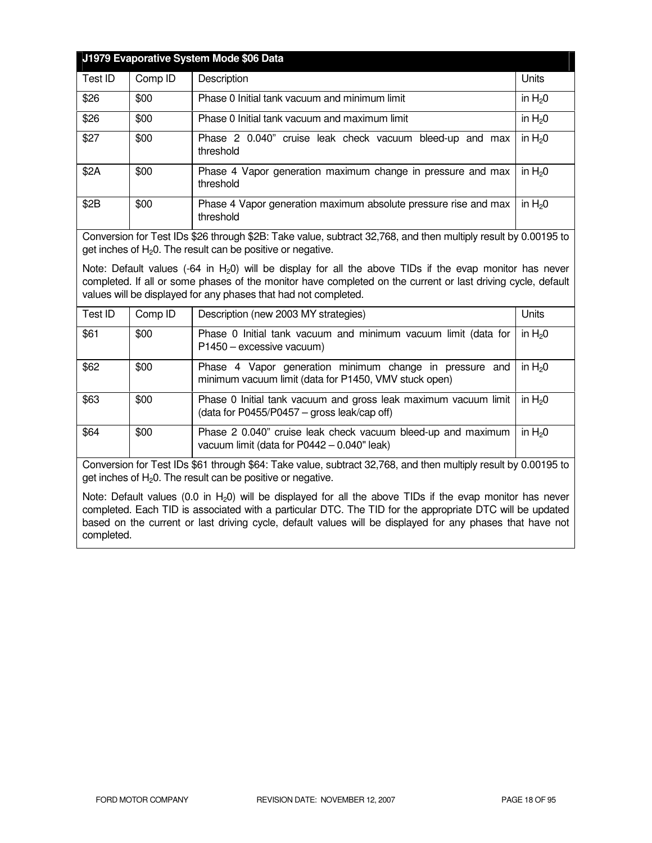|                                                                                                                                                                                                                                                                                               |         | J1979 Evaporative System Mode \$06 Data                                      |          |
|-----------------------------------------------------------------------------------------------------------------------------------------------------------------------------------------------------------------------------------------------------------------------------------------------|---------|------------------------------------------------------------------------------|----------|
| Test ID                                                                                                                                                                                                                                                                                       | Comp ID | Description                                                                  | Units    |
| \$26                                                                                                                                                                                                                                                                                          | \$00    | Phase 0 Initial tank vacuum and minimum limit                                | in $H20$ |
| \$26                                                                                                                                                                                                                                                                                          | \$00    | Phase 0 Initial tank vacuum and maximum limit                                | in $H20$ |
| \$27                                                                                                                                                                                                                                                                                          | \$00    | Phase 2 0.040" cruise leak check vacuum bleed-up and max<br>threshold        | in $H20$ |
| \$2A                                                                                                                                                                                                                                                                                          | \$00    | Phase 4 Vapor generation maximum change in pressure and max<br>threshold     | in $H20$ |
| \$2B                                                                                                                                                                                                                                                                                          | \$00    | Phase 4 Vapor generation maximum absolute pressure rise and max<br>threshold | in $H20$ |
| Conversion for Test IDs \$26 through \$2B: Take value, subtract 32,768, and then multiply result by 0.00195 to<br>get inches of $H_2O$ . The result can be positive or negative.                                                                                                              |         |                                                                              |          |
| Note: Default values (-64 in $H_2$ 0) will be display for all the above TIDs if the evap monitor has never<br>completed. If all or some phases of the monitor have completed on the current or last driving cycle, default<br>values will be displayed for any phases that had not completed. |         |                                                                              |          |
| Test ID                                                                                                                                                                                                                                                                                       | Comp ID | Description (new 2003 MY strategies)                                         | Units    |

| Test ID | Comp ID | Description (new 2003 MY strategies)                                                                             | Units    |
|---------|---------|------------------------------------------------------------------------------------------------------------------|----------|
| \$61    | \$00    | Phase 0 Initial tank vacuum and minimum vacuum limit (data for<br>P1450 - excessive vacuum)                      | in $H20$ |
| \$62    | \$00    | Phase 4 Vapor generation minimum change in pressure and<br>minimum vacuum limit (data for P1450, VMV stuck open) | in $H20$ |
| \$63    | \$00    | Phase 0 Initial tank vacuum and gross leak maximum vacuum limit<br>(data for P0455/P0457 – gross leak/cap off)   | in $H20$ |
| \$64    | \$00    | Phase 2 0.040" cruise leak check vacuum bleed-up and maximum<br>vacuum limit (data for $P0442 - 0.040$ " leak)   | in $H20$ |

Conversion for Test IDs \$61 through \$64: Take value, subtract 32,768, and then multiply result by 0.00195 to get inches of  $H_2O$ . The result can be positive or negative.

Note: Default values (0.0 in  $H_2$ 0) will be displayed for all the above TIDs if the evap monitor has never completed. Each TID is associated with a particular DTC. The TID for the appropriate DTC will be updated based on the current or last driving cycle, default values will be displayed for any phases that have not completed.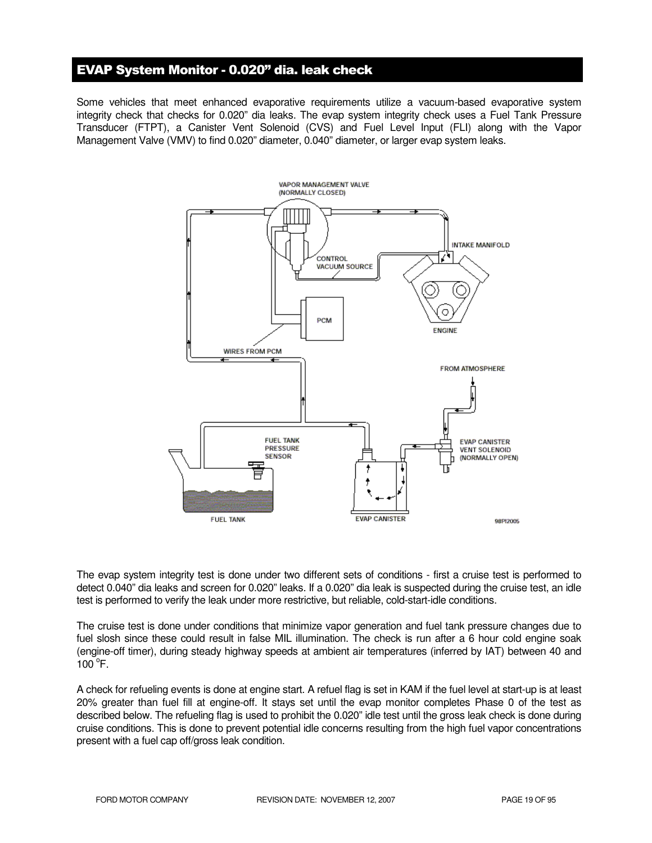## EVAP System Monitor - 0.020" dia. leak check

Some vehicles that meet enhanced evaporative requirements utilize a vacuum-based evaporative system integrity check that checks for 0.020" dia leaks. The evap system integrity check uses a Fuel Tank Pressure Transducer (FTPT), a Canister Vent Solenoid (CVS) and Fuel Level Input (FLI) along with the Vapor Management Valve (VMV) to find 0.020" diameter, 0.040" diameter, or larger evap system leaks.



The evap system integrity test is done under two different sets of conditions - first a cruise test is performed to detect 0.040" dia leaks and screen for 0.020" leaks. If a 0.020" dia leak is suspected during the cruise test, an idle test is performed to verify the leak under more restrictive, but reliable, cold-start-idle conditions.

The cruise test is done under conditions that minimize vapor generation and fuel tank pressure changes due to fuel slosh since these could result in false MIL illumination. The check is run after a 6 hour cold engine soak (engine-off timer), during steady highway speeds at ambient air temperatures (inferred by IAT) between 40 and  $100^{\circ}$ F.

A check for refueling events is done at engine start. A refuel flag is set in KAM if the fuel level at start-up is at least 20% greater than fuel fill at engine-off. It stays set until the evap monitor completes Phase 0 of the test as described below. The refueling flag is used to prohibit the 0.020" idle test until the gross leak check is done during cruise conditions. This is done to prevent potential idle concerns resulting from the high fuel vapor concentrations present with a fuel cap off/gross leak condition.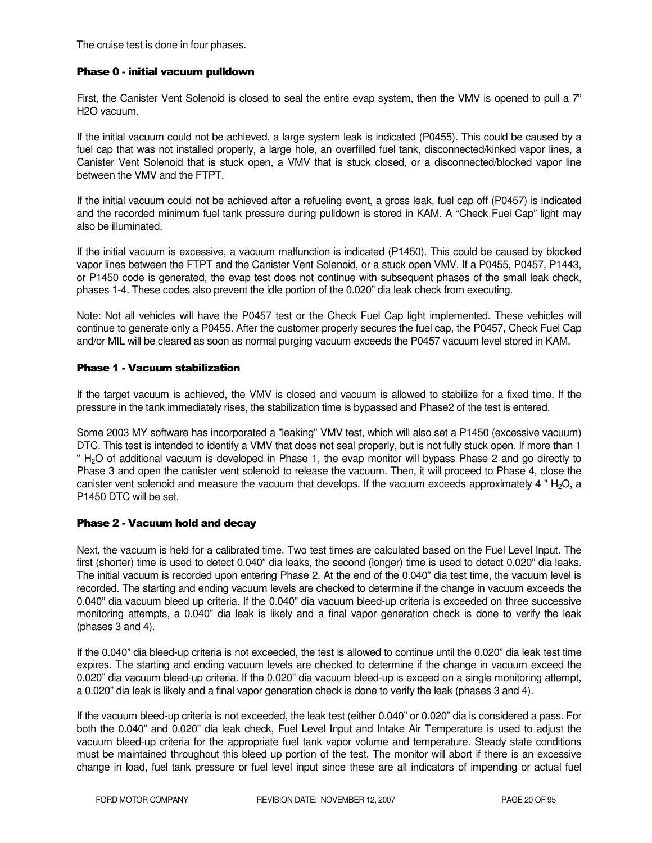The cruise test is done in four phases.

#### Phase 0 - initial vacuum pulldown

First, the Canister Vent Solenoid is closed to seal the entire evap system, then the VMV is opened to pull a 7" H2O vacuum.

If the initial vacuum could not be achieved, a large system leak is indicated (P0455). This could be caused by a fuel cap that was not installed properly, a large hole, an overfilled fuel tank, disconnected/kinked vapor lines, a Canister Vent Solenoid that is stuck open, a VMV that is stuck closed, or a disconnected/blocked vapor line between the VMV and the FTPT.

If the initial vacuum could not be achieved after a refueling event, a gross leak, fuel cap off (P0457) is indicated and the recorded minimum fuel tank pressure during pulldown is stored in KAM. A "Check Fuel Cap" light may also be illuminated.

If the initial vacuum is excessive, a vacuum malfunction is indicated (P1450). This could be caused by blocked vapor lines between the FTPT and the Canister Vent Solenoid, or a stuck open VMV. If a P0455, P0457, P1443, or P1450 code is generated, the evap test does not continue with subsequent phases of the small leak check, phases 1-4. These codes also prevent the idle portion of the 0.020" dia leak check from executing.

Note: Not all vehicles will have the P0457 test or the Check Fuel Cap light implemented. These vehicles will continue to generate only a P0455. After the customer properly secures the fuel cap, the P0457, Check Fuel Cap and/or MIL will be cleared as soon as normal purging vacuum exceeds the P0457 vacuum level stored in KAM.

#### Phase 1 - Vacuum stabilization

If the target vacuum is achieved, the VMV is closed and vacuum is allowed to stabilize for a fixed time. If the pressure in the tank immediately rises, the stabilization time is bypassed and Phase2 of the test is entered.

Some 2003 MY software has incorporated a "leaking" VMV test, which will also set a P1450 (excessive vacuum) DTC. This test is intended to identify a VMV that does not seal properly, but is not fully stuck open. If more than 1 " H<sub>2</sub>O of additional vacuum is developed in Phase 1, the evap monitor will bypass Phase 2 and go directly to Phase 3 and open the canister vent solenoid to release the vacuum. Then, it will proceed to Phase 4, close the canister vent solenoid and measure the vacuum that develops. If the vacuum exceeds approximately 4 "  $H_2O$ , a P1450 DTC will be set.

#### Phase 2 - Vacuum hold and decay

Next, the vacuum is held for a calibrated time. Two test times are calculated based on the Fuel Level Input. The first (shorter) time is used to detect 0.040" dia leaks, the second (longer) time is used to detect 0.020" dia leaks. The initial vacuum is recorded upon entering Phase 2. At the end of the 0.040" dia test time, the vacuum level is recorded. The starting and ending vacuum levels are checked to determine if the change in vacuum exceeds the 0.040" dia vacuum bleed up criteria. If the 0.040" dia vacuum bleed-up criteria is exceeded on three successive monitoring attempts, a 0.040" dia leak is likely and a final vapor generation check is done to verify the leak (phases 3 and 4).

If the 0.040" dia bleed-up criteria is not exceeded, the test is allowed to continue until the 0.020" dia leak test time expires. The starting and ending vacuum levels are checked to determine if the change in vacuum exceed the 0.020" dia vacuum bleed-up criteria. If the 0.020" dia vacuum bleed-up is exceed on a single monitoring attempt, a 0.020" dia leak is likely and a final vapor generation check is done to verify the leak (phases 3 and 4).

If the vacuum bleed-up criteria is not exceeded, the leak test (either 0.040" or 0.020" dia is considered a pass. For both the 0.040" and 0.020" dia leak check, Fuel Level Input and Intake Air Temperature is used to adjust the vacuum bleed-up criteria for the appropriate fuel tank vapor volume and temperature. Steady state conditions must be maintained throughout this bleed up portion of the test. The monitor will abort if there is an excessive change in load, fuel tank pressure or fuel level input since these are all indicators of impending or actual fuel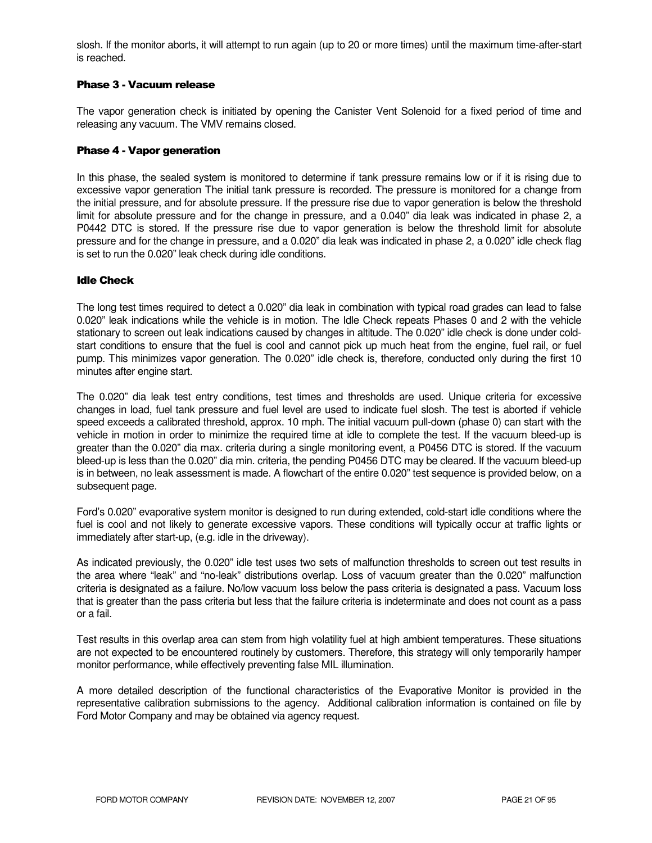slosh. If the monitor aborts, it will attempt to run again (up to 20 or more times) until the maximum time-after-start is reached.

#### Phase 3 - Vacuum release

The vapor generation check is initiated by opening the Canister Vent Solenoid for a fixed period of time and releasing any vacuum. The VMV remains closed.

#### Phase 4 - Vapor generation

In this phase, the sealed system is monitored to determine if tank pressure remains low or if it is rising due to excessive vapor generation The initial tank pressure is recorded. The pressure is monitored for a change from the initial pressure, and for absolute pressure. If the pressure rise due to vapor generation is below the threshold limit for absolute pressure and for the change in pressure, and a 0.040" dia leak was indicated in phase 2, a P0442 DTC is stored. If the pressure rise due to vapor generation is below the threshold limit for absolute pressure and for the change in pressure, and a 0.020" dia leak was indicated in phase 2, a 0.020" idle check flag is set to run the 0.020" leak check during idle conditions.

#### Idle Check

The long test times required to detect a 0.020" dia leak in combination with typical road grades can lead to false 0.020" leak indications while the vehicle is in motion. The Idle Check repeats Phases 0 and 2 with the vehicle stationary to screen out leak indications caused by changes in altitude. The 0.020" idle check is done under coldstart conditions to ensure that the fuel is cool and cannot pick up much heat from the engine, fuel rail, or fuel pump. This minimizes vapor generation. The 0.020" idle check is, therefore, conducted only during the first 10 minutes after engine start.

The 0.020" dia leak test entry conditions, test times and thresholds are used. Unique criteria for excessive changes in load, fuel tank pressure and fuel level are used to indicate fuel slosh. The test is aborted if vehicle speed exceeds a calibrated threshold, approx. 10 mph. The initial vacuum pull-down (phase 0) can start with the vehicle in motion in order to minimize the required time at idle to complete the test. If the vacuum bleed-up is greater than the 0.020" dia max. criteria during a single monitoring event, a P0456 DTC is stored. If the vacuum bleed-up is less than the 0.020" dia min. criteria, the pending P0456 DTC may be cleared. If the vacuum bleed-up is in between, no leak assessment is made. A flowchart of the entire 0.020" test sequence is provided below, on a subsequent page.

Ford's 0.020" evaporative system monitor is designed to run during extended, cold-start idle conditions where the fuel is cool and not likely to generate excessive vapors. These conditions will typically occur at traffic lights or immediately after start-up, (e.g. idle in the driveway).

As indicated previously, the 0.020" idle test uses two sets of malfunction thresholds to screen out test results in the area where "leak" and "no-leak" distributions overlap. Loss of vacuum greater than the 0.020" malfunction criteria is designated as a failure. No/low vacuum loss below the pass criteria is designated a pass. Vacuum loss that is greater than the pass criteria but less that the failure criteria is indeterminate and does not count as a pass or a fail.

Test results in this overlap area can stem from high volatility fuel at high ambient temperatures. These situations are not expected to be encountered routinely by customers. Therefore, this strategy will only temporarily hamper monitor performance, while effectively preventing false MIL illumination.

A more detailed description of the functional characteristics of the Evaporative Monitor is provided in the representative calibration submissions to the agency. Additional calibration information is contained on file by Ford Motor Company and may be obtained via agency request.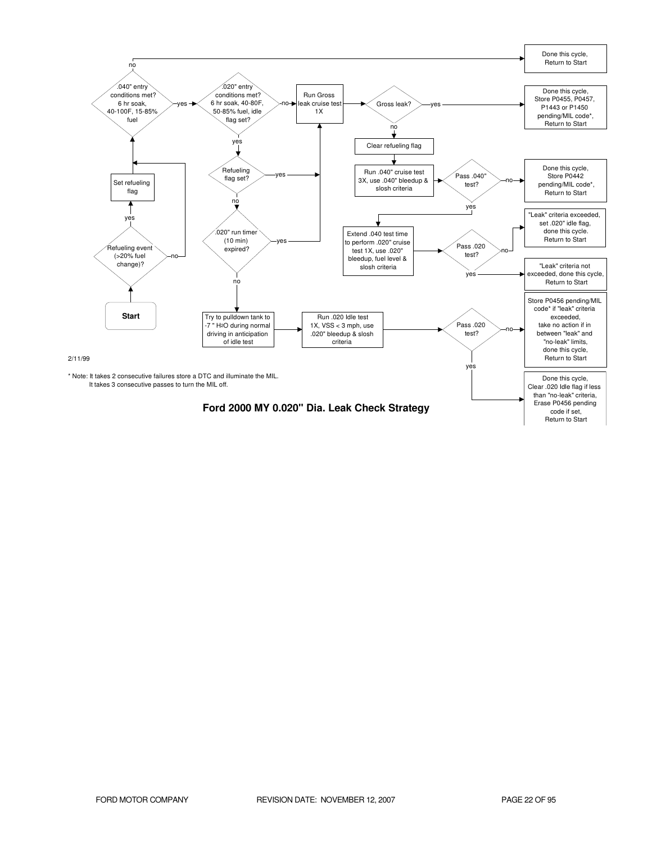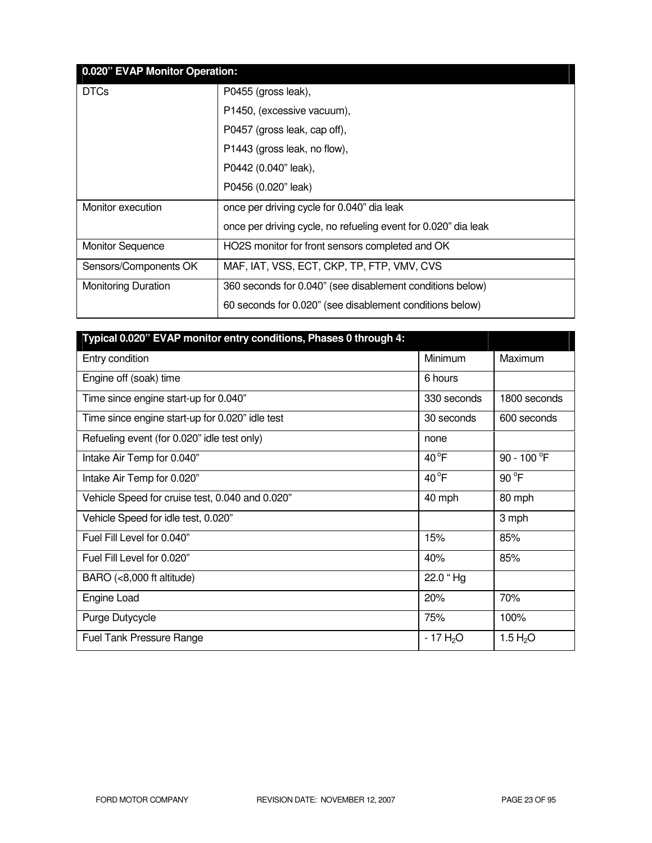| 0.020" EVAP Monitor Operation: |                                                                |  |
|--------------------------------|----------------------------------------------------------------|--|
| <b>DTCs</b>                    | P0455 (gross leak),                                            |  |
|                                | P1450, (excessive vacuum),                                     |  |
|                                | P0457 (gross leak, cap off),                                   |  |
|                                | P1443 (gross leak, no flow),                                   |  |
|                                | P0442 (0.040" leak),                                           |  |
|                                | P0456 (0.020" leak)                                            |  |
| Monitor execution              | once per driving cycle for 0.040" dia leak                     |  |
|                                | once per driving cycle, no refueling event for 0.020" dia leak |  |
| <b>Monitor Sequence</b>        | HO2S monitor for front sensors completed and OK                |  |
| Sensors/Components OK          | MAF, IAT, VSS, ECT, CKP, TP, FTP, VMV, CVS                     |  |
| <b>Monitoring Duration</b>     | 360 seconds for 0.040" (see disablement conditions below)      |  |
|                                | 60 seconds for 0.020" (see disablement conditions below)       |  |

| Typical 0.020" EVAP monitor entry conditions, Phases 0 through 4: |                |                |
|-------------------------------------------------------------------|----------------|----------------|
| Entry condition                                                   | Minimum        | Maximum        |
| Engine off (soak) time                                            | 6 hours        |                |
| Time since engine start-up for 0.040"                             | 330 seconds    | 1800 seconds   |
| Time since engine start-up for 0.020" idle test                   | 30 seconds     | 600 seconds    |
| Refueling event (for 0.020" idle test only)                       | none           |                |
| Intake Air Temp for 0.040"                                        | $40^{\circ}$ F | 90 - 100 °F    |
| Intake Air Temp for 0.020"                                        | $40^{\circ}$ F | $90^{\circ}$ F |
| Vehicle Speed for cruise test, 0.040 and 0.020"                   | 40 mph         | 80 mph         |
| Vehicle Speed for idle test, 0.020"                               |                | 3 mph          |
| Fuel Fill Level for 0.040"                                        | 15%            | 85%            |
| Fuel Fill Level for 0.020"                                        | 40%            | 85%            |
| BARO (<8,000 ft altitude)                                         | 22.0 "Hg       |                |
| Engine Load                                                       | 20%            | 70%            |
| Purge Dutycycle                                                   | 75%            | 100%           |
| <b>Fuel Tank Pressure Range</b>                                   | $-17H2O$       | 1.5 $H_2O$     |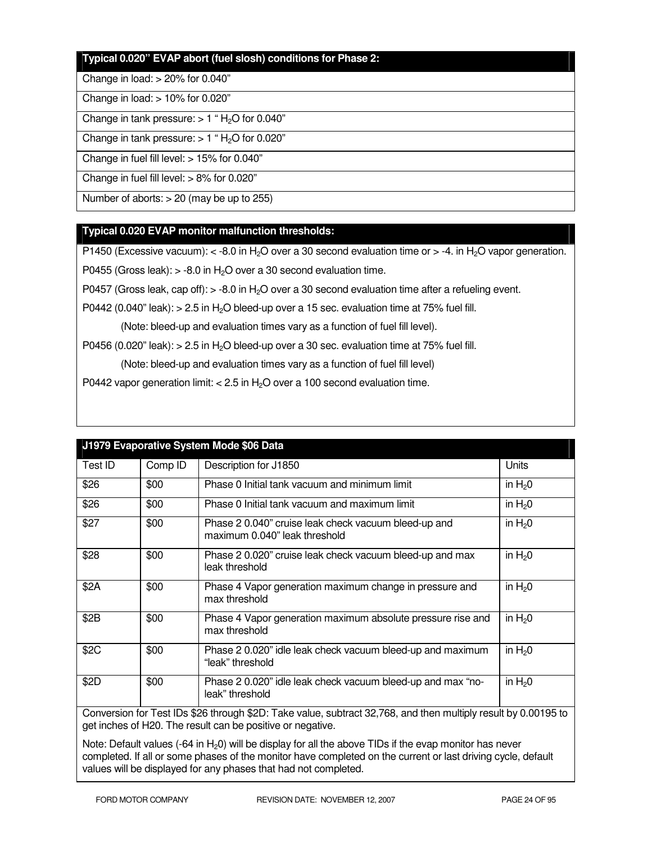#### **Typical 0.020" EVAP abort (fuel slosh) conditions for Phase 2:**

#### Change in load: > 20% for 0.040"

#### Change in load: > 10% for 0.020"

Change in tank pressure:  $> 1$  " H<sub>2</sub>O for 0.040"

Change in tank pressure:  $> 1$  "H<sub>2</sub>O for 0.020"

Change in fuel fill level: > 15% for 0.040"

Change in fuel fill level: > 8% for 0.020"

Number of aborts: > 20 (may be up to 255)

#### **Typical 0.020 EVAP monitor malfunction thresholds:**

P1450 (Excessive vacuum):  $\lt$  -8.0 in H<sub>2</sub>O over a 30 second evaluation time or  $>$  -4. in H<sub>2</sub>O vapor generation.

P0455 (Gross leak):  $> -8.0$  in H<sub>2</sub>O over a 30 second evaluation time.

P0457 (Gross leak, cap off):  $>$  -8.0 in H<sub>2</sub>O over a 30 second evaluation time after a refueling event.

P0442 (0.040" leak):  $> 2.5$  in H<sub>2</sub>O bleed-up over a 15 sec. evaluation time at 75% fuel fill.

(Note: bleed-up and evaluation times vary as a function of fuel fill level).

P0456 (0.020" leak):  $> 2.5$  in H<sub>2</sub>O bleed-up over a 30 sec. evaluation time at 75% fuel fill.

(Note: bleed-up and evaluation times vary as a function of fuel fill level)

P0442 vapor generation limit:  $< 2.5$  in H<sub>2</sub>O over a 100 second evaluation time.

| J1979 Evaporative System Mode \$06 Data                                                                        |         |                                                                                       |          |
|----------------------------------------------------------------------------------------------------------------|---------|---------------------------------------------------------------------------------------|----------|
| Test ID                                                                                                        | Comp ID | Description for J1850                                                                 | Units    |
| \$26                                                                                                           | \$00    | Phase 0 Initial tank vacuum and minimum limit                                         | in $H20$ |
| \$26                                                                                                           | \$00    | Phase 0 Initial tank vacuum and maximum limit                                         | in $H20$ |
| \$27                                                                                                           | \$00    | Phase 2 0.040" cruise leak check vacuum bleed-up and<br>maximum 0.040" leak threshold | in $H20$ |
| \$28                                                                                                           | \$00    | Phase 2 0.020" cruise leak check vacuum bleed-up and max<br>leak threshold            | in $H20$ |
| \$2A                                                                                                           | \$00    | Phase 4 Vapor generation maximum change in pressure and<br>max threshold              | in $H20$ |
| \$2B                                                                                                           | \$00    | Phase 4 Vapor generation maximum absolute pressure rise and<br>max threshold          | in $H20$ |
| \$2C                                                                                                           | \$00    | Phase 2 0.020" idle leak check vacuum bleed-up and maximum<br>"leak" threshold        | in $H20$ |
| \$2D                                                                                                           | \$00    | Phase 2 0.020" idle leak check vacuum bleed-up and max "no-<br>leak" threshold        | in $H20$ |
| Communicated Text IDe 000 through 00D; Teles unline authorized 00,700 and then multiply requisit by 0,0010F to |         |                                                                                       |          |

Conversion for Test IDs \$26 through \$2D: Take value, subtract 32,768, and then multiply result by 0.00195 to get inches of H20. The result can be positive or negative.

Note: Default values  $(-64 \text{ in } H_20)$  will be display for all the above TIDs if the evap monitor has never completed. If all or some phases of the monitor have completed on the current or last driving cycle, default values will be displayed for any phases that had not completed.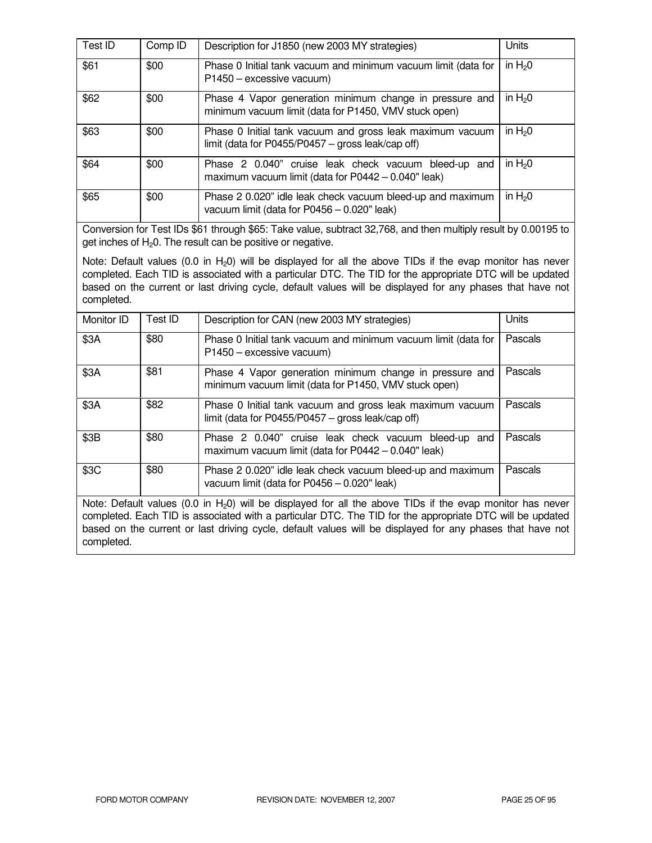| Test ID | Comp ID | Description for J1850 (new 2003 MY strategies)                                                                   | Units    |
|---------|---------|------------------------------------------------------------------------------------------------------------------|----------|
| \$61    | \$00    | Phase 0 Initial tank vacuum and minimum vacuum limit (data for<br>P1450 - excessive vacuum)                      | in $H20$ |
| \$62    | \$00    | Phase 4 Vapor generation minimum change in pressure and<br>minimum vacuum limit (data for P1450, VMV stuck open) | in $H20$ |
| \$63    | \$00    | Phase 0 Initial tank vacuum and gross leak maximum vacuum<br>limit (data for P0455/P0457 – gross leak/cap off)   | in $H20$ |
| \$64    | \$00    | Phase 2 0.040" cruise leak check vacuum bleed-up and<br>maximum vacuum limit (data for P0442 - 0.040" leak)      | in $H20$ |
| \$65    | \$00    | Phase 2 0.020" idle leak check vacuum bleed-up and maximum<br>vacuum limit (data for P0456 - 0.020" leak)        | in $H20$ |

Conversion for Test IDs \$61 through \$65: Take value, subtract 32,768, and then multiply result by 0.00195 to get inches of  $H<sub>2</sub>0$ . The result can be positive or negative.

Note: Default values (0.0 in  $H_2$ 0) will be displayed for all the above TIDs if the evap monitor has never completed. Each TID is associated with a particular DTC. The TID for the appropriate DTC will be updated based on the current or last driving cycle, default values will be displayed for any phases that have not completed.

| Monitor ID                                                                                                                                                                                                                                                                                                                                                                                                                                             | Test ID | Description for CAN (new 2003 MY strategies)                                                                     | Units   |
|--------------------------------------------------------------------------------------------------------------------------------------------------------------------------------------------------------------------------------------------------------------------------------------------------------------------------------------------------------------------------------------------------------------------------------------------------------|---------|------------------------------------------------------------------------------------------------------------------|---------|
| \$3A                                                                                                                                                                                                                                                                                                                                                                                                                                                   | \$80    | Phase 0 Initial tank vacuum and minimum vacuum limit (data for<br>P1450 - excessive vacuum)                      | Pascals |
| \$3A                                                                                                                                                                                                                                                                                                                                                                                                                                                   | \$81    | Phase 4 Vapor generation minimum change in pressure and<br>minimum vacuum limit (data for P1450, VMV stuck open) | Pascals |
| \$3A                                                                                                                                                                                                                                                                                                                                                                                                                                                   | \$82    | Phase 0 Initial tank vacuum and gross leak maximum vacuum<br>limit (data for P0455/P0457 - gross leak/cap off)   | Pascals |
| \$3B                                                                                                                                                                                                                                                                                                                                                                                                                                                   | \$80    | Phase 2 0.040" cruise leak check vacuum bleed-up and<br>maximum vacuum limit (data for $P0442 - 0.040$ " leak)   | Pascals |
| \$3C                                                                                                                                                                                                                                                                                                                                                                                                                                                   | \$80    | Phase 2 0.020" idle leak check vacuum bleed-up and maximum<br>vacuum limit (data for $P0456 - 0.020$ " leak)     | Pascals |
| $M = 1$ $\mathbb{R}$ $\mathbb{R}$ $\mathbb{R}$ $\mathbb{R}$ $\mathbb{R}$ $\mathbb{R}$ $\mathbb{R}$ $\mathbb{R}$ $\mathbb{R}$ $\mathbb{R}$ $\mathbb{R}$ $\mathbb{R}$ $\mathbb{R}$ $\mathbb{R}$ $\mathbb{R}$ $\mathbb{R}$ $\mathbb{R}$ $\mathbb{R}$ $\mathbb{R}$ $\mathbb{R}$ $\mathbb{R}$ $\mathbb{R}$ $\mathbb{R}$ $\mathbb{R}$<br>$(0,0,1)$ . If $(0,1,1)$ if the contract of the contract of $\mathbb{R} \setminus \{0,1\}$ is a contract of $(0,1)$ |         |                                                                                                                  |         |

Note: Default values (0.0 in  $H_2$ 0) will be displayed for all the above TIDs if the evap monitor has never completed. Each TID is associated with a particular DTC. The TID for the appropriate DTC will be updated based on the current or last driving cycle, default values will be displayed for any phases that have not completed.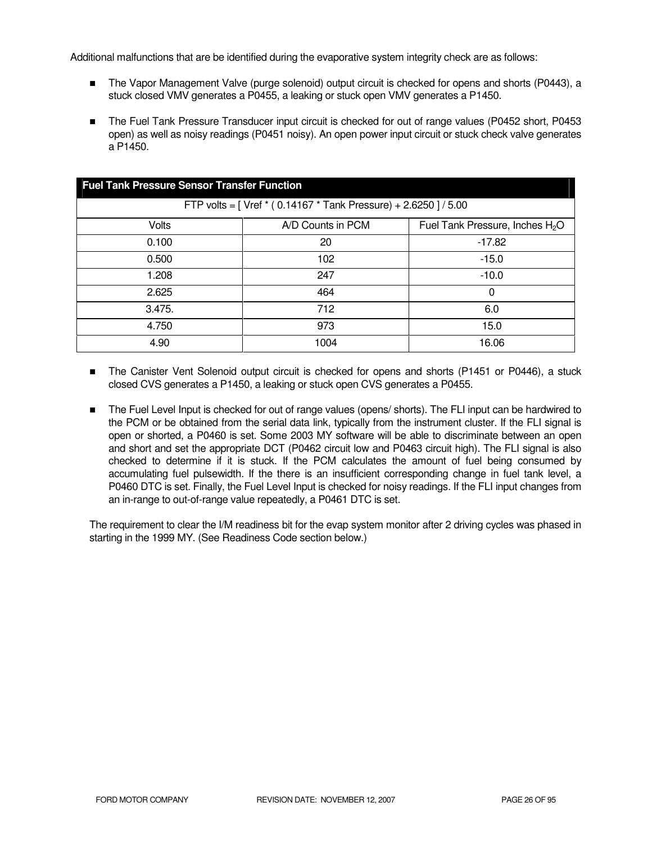Additional malfunctions that are be identified during the evaporative system integrity check are as follows:

- The Vapor Management Valve (purge solenoid) output circuit is checked for opens and shorts (P0443), a stuck closed VMV generates a P0455, a leaking or stuck open VMV generates a P1450.
- The Fuel Tank Pressure Transducer input circuit is checked for out of range values (P0452 short, P0453 open) as well as noisy readings (P0451 noisy). An open power input circuit or stuck check valve generates a P1450.

| <b>Fuel Tank Pressure Sensor Transfer Function</b>               |                   |                                             |  |
|------------------------------------------------------------------|-------------------|---------------------------------------------|--|
| FTP volts = [ Vref * (0.14167 * Tank Pressure) + 2.6250 ] / 5.00 |                   |                                             |  |
| <b>Volts</b>                                                     | A/D Counts in PCM | Fuel Tank Pressure, Inches H <sub>2</sub> O |  |
| 0.100                                                            | 20                | $-17.82$                                    |  |
| 0.500                                                            | 102               | $-15.0$                                     |  |
| 1.208                                                            | 247               | $-10.0$                                     |  |
| 2.625                                                            | 464               | 0                                           |  |
| 3.475.                                                           | 712               | 6.0                                         |  |
| 4.750                                                            | 973               | 15.0                                        |  |
| 4.90                                                             | 1004              | 16.06                                       |  |

- The Canister Vent Solenoid output circuit is checked for opens and shorts (P1451 or P0446), a stuck closed CVS generates a P1450, a leaking or stuck open CVS generates a P0455.
- The Fuel Level Input is checked for out of range values (opens/ shorts). The FLI input can be hardwired to the PCM or be obtained from the serial data link, typically from the instrument cluster. If the FLI signal is open or shorted, a P0460 is set. Some 2003 MY software will be able to discriminate between an open and short and set the appropriate DCT (P0462 circuit low and P0463 circuit high). The FLI signal is also checked to determine if it is stuck. If the PCM calculates the amount of fuel being consumed by accumulating fuel pulsewidth. If the there is an insufficient corresponding change in fuel tank level, a P0460 DTC is set. Finally, the Fuel Level Input is checked for noisy readings. If the FLI input changes from an in-range to out-of-range value repeatedly, a P0461 DTC is set.

The requirement to clear the I/M readiness bit for the evap system monitor after 2 driving cycles was phased in starting in the 1999 MY. (See Readiness Code section below.)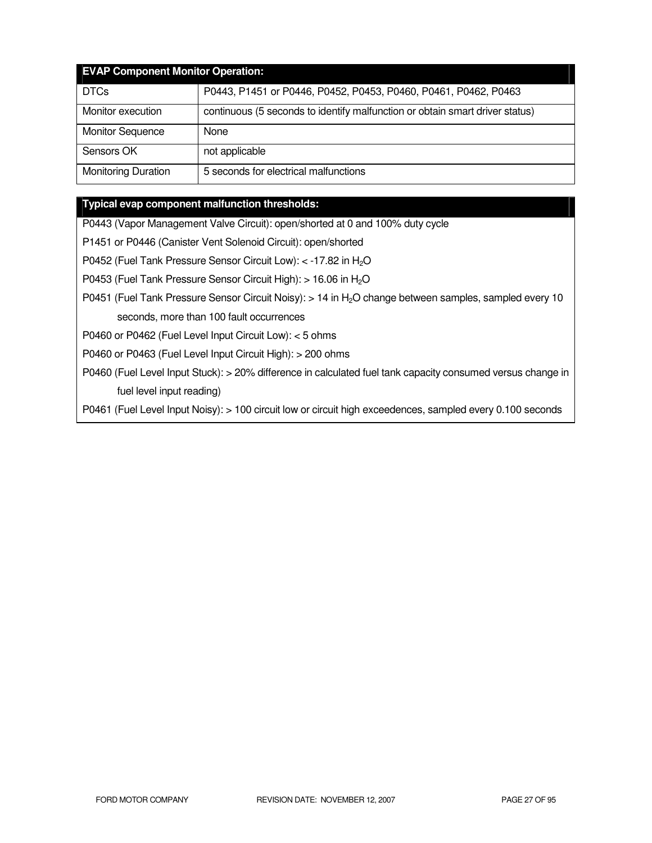| <b>EVAP Component Monitor Operation:</b> |                                                                              |  |  |
|------------------------------------------|------------------------------------------------------------------------------|--|--|
| <b>DTCs</b>                              | P0443, P1451 or P0446, P0452, P0453, P0460, P0461, P0462, P0463              |  |  |
| Monitor execution                        | continuous (5 seconds to identify malfunction or obtain smart driver status) |  |  |
| <b>Monitor Sequence</b>                  | None                                                                         |  |  |
| Sensors OK                               | not applicable                                                               |  |  |
| <b>Monitoring Duration</b>               | 5 seconds for electrical malfunctions                                        |  |  |

#### **Typical evap component malfunction thresholds:**

P0443 (Vapor Management Valve Circuit): open/shorted at 0 and 100% duty cycle

P1451 or P0446 (Canister Vent Solenoid Circuit): open/shorted

P0452 (Fuel Tank Pressure Sensor Circuit Low): < -17.82 in H<sub>2</sub>O

P0453 (Fuel Tank Pressure Sensor Circuit High): > 16.06 in H<sub>2</sub>O

P0451 (Fuel Tank Pressure Sensor Circuit Noisy): > 14 in H<sub>2</sub>O change between samples, sampled every 10 seconds, more than 100 fault occurrences

P0460 or P0462 (Fuel Level Input Circuit Low): < 5 ohms

P0460 or P0463 (Fuel Level Input Circuit High): > 200 ohms

P0460 (Fuel Level Input Stuck): > 20% difference in calculated fuel tank capacity consumed versus change in fuel level input reading)

P0461 (Fuel Level Input Noisy): > 100 circuit low or circuit high exceedences, sampled every 0.100 seconds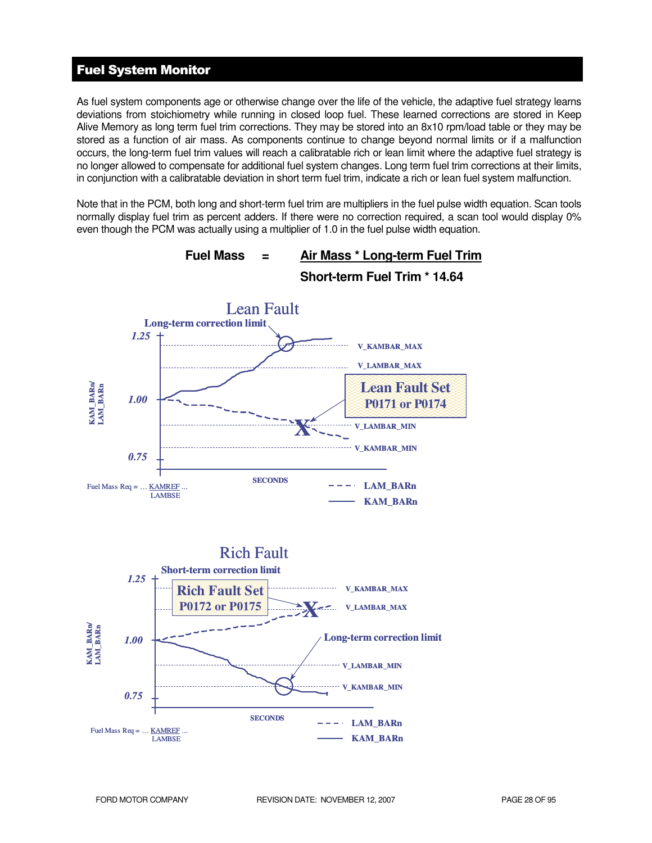# Fuel System Monitor

As fuel system components age or otherwise change over the life of the vehicle, the adaptive fuel strategy learns deviations from stoichiometry while running in closed loop fuel. These learned corrections are stored in Keep Alive Memory as long term fuel trim corrections. They may be stored into an 8x10 rpm/load table or they may be stored as a function of air mass. As components continue to change beyond normal limits or if a malfunction occurs, the long-term fuel trim values will reach a calibratable rich or lean limit where the adaptive fuel strategy is no longer allowed to compensate for additional fuel system changes. Long term fuel trim corrections at their limits, in conjunction with a calibratable deviation in short term fuel trim, indicate a rich or lean fuel system malfunction.

Note that in the PCM, both long and short-term fuel trim are multipliers in the fuel pulse width equation. Scan tools normally display fuel trim as percent adders. If there were no correction required, a scan tool would display 0% even though the PCM was actually using a multiplier of 1.0 in the fuel pulse width equation.

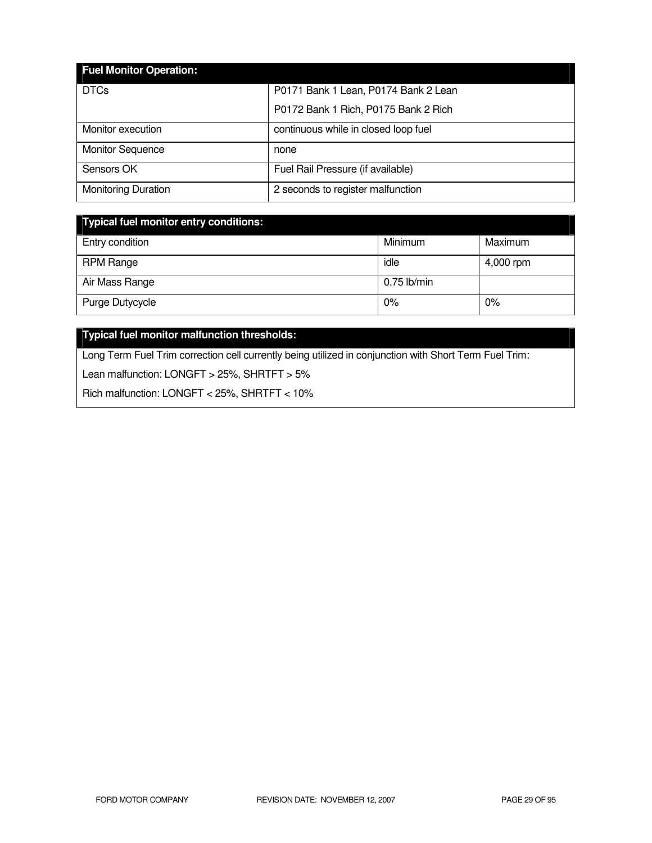| <b>Fuel Monitor Operation:</b> |                                      |
|--------------------------------|--------------------------------------|
| <b>DTCs</b>                    | P0171 Bank 1 Lean, P0174 Bank 2 Lean |
|                                | P0172 Bank 1 Rich, P0175 Bank 2 Rich |
| Monitor execution              | continuous while in closed loop fuel |
| <b>Monitor Sequence</b>        | none                                 |
| Sensors OK                     | Fuel Rail Pressure (if available)    |
| <b>Monitoring Duration</b>     | 2 seconds to register malfunction    |

| Typical fuel monitor entry conditions: |               |           |
|----------------------------------------|---------------|-----------|
| Entry condition                        | Minimum       | Maximum   |
| <b>RPM Range</b>                       | idle          | 4,000 rpm |
| Air Mass Range                         | $0.75$ lb/min |           |
| Purge Dutycycle                        | 0%            | 0%        |

# **Typical fuel monitor malfunction thresholds:**

Long Term Fuel Trim correction cell currently being utilized in conjunction with Short Term Fuel Trim:

Lean malfunction: LONGFT > 25%, SHRTFT > 5%

Rich malfunction: LONGFT < 25%, SHRTFT < 10%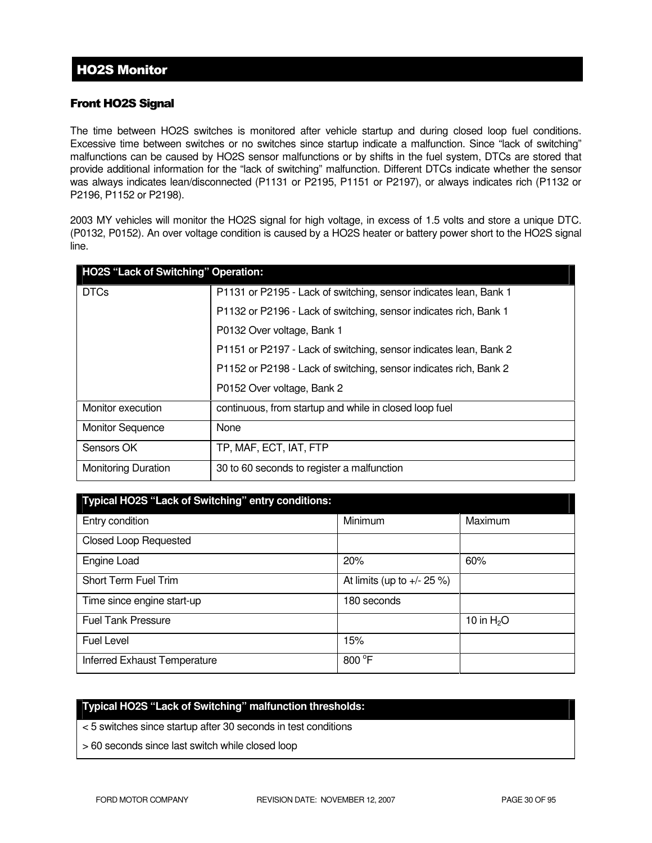### Front HO2S Signal

The time between HO2S switches is monitored after vehicle startup and during closed loop fuel conditions. Excessive time between switches or no switches since startup indicate a malfunction. Since "lack of switching" malfunctions can be caused by HO2S sensor malfunctions or by shifts in the fuel system, DTCs are stored that provide additional information for the "lack of switching" malfunction. Different DTCs indicate whether the sensor was always indicates lean/disconnected (P1131 or P2195, P1151 or P2197), or always indicates rich (P1132 or P2196, P1152 or P2198).

2003 MY vehicles will monitor the HO2S signal for high voltage, in excess of 1.5 volts and store a unique DTC. (P0132, P0152). An over voltage condition is caused by a HO2S heater or battery power short to the HO2S signal line.

| HO2S "Lack of Switching" Operation: |                                                                   |  |  |  |
|-------------------------------------|-------------------------------------------------------------------|--|--|--|
| <b>DTCs</b>                         | P1131 or P2195 - Lack of switching, sensor indicates lean, Bank 1 |  |  |  |
|                                     | P1132 or P2196 - Lack of switching, sensor indicates rich, Bank 1 |  |  |  |
|                                     | P0132 Over voltage, Bank 1                                        |  |  |  |
|                                     | P1151 or P2197 - Lack of switching, sensor indicates lean, Bank 2 |  |  |  |
|                                     | P1152 or P2198 - Lack of switching, sensor indicates rich, Bank 2 |  |  |  |
|                                     | P0152 Over voltage, Bank 2                                        |  |  |  |
| Monitor execution                   | continuous, from startup and while in closed loop fuel            |  |  |  |
| <b>Monitor Sequence</b>             | None                                                              |  |  |  |
| Sensors OK                          | TP, MAF, ECT, IAT, FTP                                            |  |  |  |
| <b>Monitoring Duration</b>          | 30 to 60 seconds to register a malfunction                        |  |  |  |

| Typical HO2S "Lack of Switching" entry conditions: |                                |             |  |  |
|----------------------------------------------------|--------------------------------|-------------|--|--|
| Entry condition                                    | Minimum                        | Maximum     |  |  |
| <b>Closed Loop Requested</b>                       |                                |             |  |  |
| Engine Load                                        | 20%                            | 60%         |  |  |
| <b>Short Term Fuel Trim</b>                        | At limits (up to $+/- 25 \%$ ) |             |  |  |
| Time since engine start-up                         | 180 seconds                    |             |  |  |
| <b>Fuel Tank Pressure</b>                          |                                | 10 in $H2O$ |  |  |
| <b>Fuel Level</b>                                  | 15%                            |             |  |  |
| Inferred Exhaust Temperature                       | 800 °F                         |             |  |  |

#### **Typical HO2S "Lack of Switching" malfunction thresholds:**

- < 5 switches since startup after 30 seconds in test conditions
- > 60 seconds since last switch while closed loop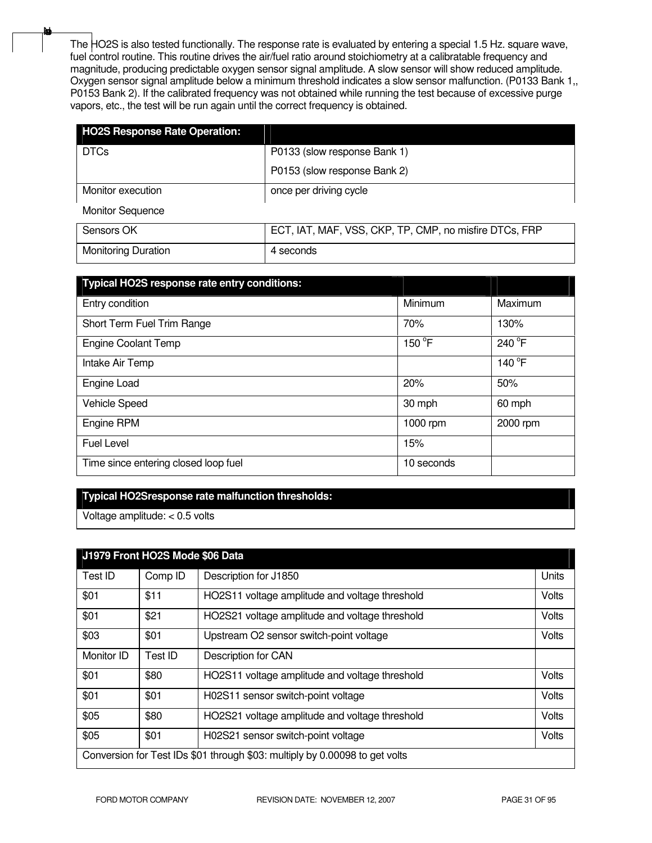The HO2S is also tested functionally. The response rate is evaluated by entering a special 1.5 Hz. square wave, fuel control routine. This routine drives the air/fuel ratio around stoichiometry at a calibratable frequency and magnitude, producing predictable oxygen sensor signal amplitude. A slow sensor will show reduced amplitude. Oxygen sensor signal amplitude below a minimum threshold indicates a slow sensor malfunction. (P0133 Bank 1,, P0153 Bank 2). If the calibrated frequency was not obtained while running the test because of excessive purge vapors, etc., the test will be run again until the correct frequency is obtained.

| <b>HO2S Response Rate Operation:</b> |                                                        |
|--------------------------------------|--------------------------------------------------------|
| <b>DTCs</b>                          | P0133 (slow response Bank 1)                           |
|                                      | P0153 (slow response Bank 2)                           |
| Monitor execution                    | once per driving cycle                                 |
| <b>Monitor Sequence</b>              |                                                        |
| Sensors OK                           | ECT, IAT, MAF, VSS, CKP, TP, CMP, no misfire DTCs, FRP |
| <b>Monitoring Duration</b>           | 4 seconds                                              |

| Typical HO2S response rate entry conditions: |            |          |
|----------------------------------------------|------------|----------|
| Entry condition                              | Minimum    | Maximum  |
| Short Term Fuel Trim Range                   | 70%        | 130%     |
| <b>Engine Coolant Temp</b>                   | 150 °F     | 240 °F   |
| Intake Air Temp                              |            | 140 °F   |
| Engine Load                                  | 20%        | 50%      |
| Vehicle Speed                                | 30 mph     | 60 mph   |
| Engine RPM                                   | 1000 rpm   | 2000 rpm |
| Fuel Level                                   | 15%        |          |
| Time since entering closed loop fuel         | 10 seconds |          |

#### **Typical HO2Sresponse rate malfunction thresholds:**

Voltage amplitude: < 0.5 volts

None

| J1979 Front HO2S Mode \$06 Data                                             |         |                                                |              |
|-----------------------------------------------------------------------------|---------|------------------------------------------------|--------------|
| Test ID                                                                     | Comp ID | Description for J1850                          | <b>Units</b> |
|                                                                             |         |                                                |              |
| \$01                                                                        | \$11    | HO2S11 voltage amplitude and voltage threshold | Volts        |
| \$01                                                                        | \$21    | HO2S21 voltage amplitude and voltage threshold | Volts        |
| \$03                                                                        | \$01    | Upstream O2 sensor switch-point voltage        | Volts        |
| Monitor ID                                                                  | Test ID | Description for CAN                            |              |
| \$01                                                                        | \$80    | HO2S11 voltage amplitude and voltage threshold | Volts        |
| \$01                                                                        | \$01    | H02S11 sensor switch-point voltage             | Volts        |
| \$05                                                                        | \$80    | HO2S21 voltage amplitude and voltage threshold | Volts        |
| \$05                                                                        | \$01    | H02S21 sensor switch-point voltage             | Volts        |
| Conversion for Test IDs \$01 through \$03: multiply by 0.00098 to get volts |         |                                                |              |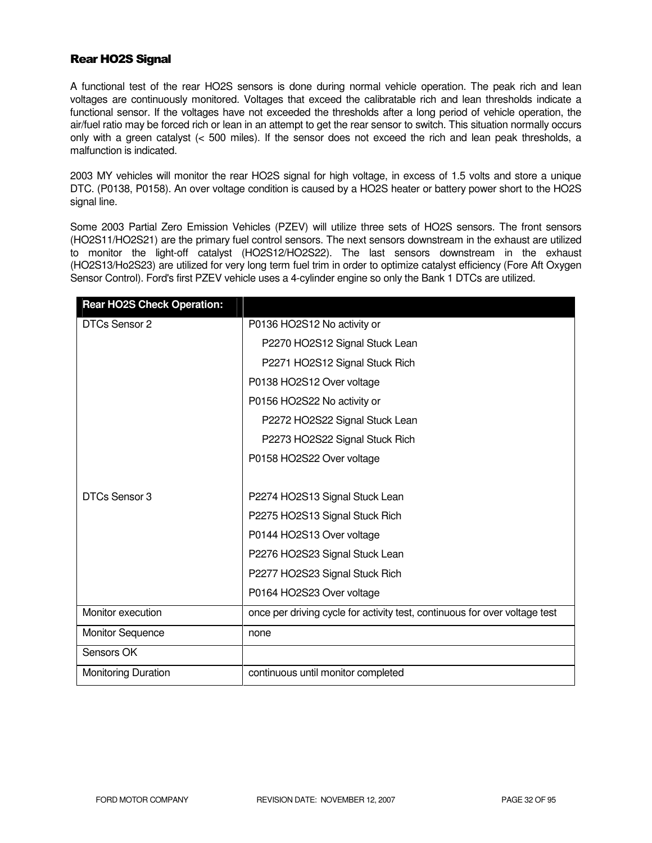#### Rear HO2S Signal

A functional test of the rear HO2S sensors is done during normal vehicle operation. The peak rich and lean voltages are continuously monitored. Voltages that exceed the calibratable rich and lean thresholds indicate a functional sensor. If the voltages have not exceeded the thresholds after a long period of vehicle operation, the air/fuel ratio may be forced rich or lean in an attempt to get the rear sensor to switch. This situation normally occurs only with a green catalyst (< 500 miles). If the sensor does not exceed the rich and lean peak thresholds, a malfunction is indicated.

2003 MY vehicles will monitor the rear HO2S signal for high voltage, in excess of 1.5 volts and store a unique DTC. (P0138, P0158). An over voltage condition is caused by a HO2S heater or battery power short to the HO2S signal line.

Some 2003 Partial Zero Emission Vehicles (PZEV) will utilize three sets of HO2S sensors. The front sensors (HO2S11/HO2S21) are the primary fuel control sensors. The next sensors downstream in the exhaust are utilized to monitor the light-off catalyst (HO2S12/HO2S22). The last sensors downstream in the exhaust (HO2S13/Ho2S23) are utilized for very long term fuel trim in order to optimize catalyst efficiency (Fore Aft Oxygen Sensor Control). Ford's first PZEV vehicle uses a 4-cylinder engine so only the Bank 1 DTCs are utilized.

| <b>Rear HO2S Check Operation:</b> |                                                                            |
|-----------------------------------|----------------------------------------------------------------------------|
| DTCs Sensor 2                     | P0136 HO2S12 No activity or                                                |
|                                   | P2270 HO2S12 Signal Stuck Lean                                             |
|                                   | P2271 HO2S12 Signal Stuck Rich                                             |
|                                   | P0138 HO2S12 Over voltage                                                  |
|                                   | P0156 HO2S22 No activity or                                                |
|                                   | P2272 HO2S22 Signal Stuck Lean                                             |
|                                   | P2273 HO2S22 Signal Stuck Rich                                             |
|                                   | P0158 HO2S22 Over voltage                                                  |
|                                   |                                                                            |
| DTCs Sensor 3                     | P2274 HO2S13 Signal Stuck Lean                                             |
|                                   | P2275 HO2S13 Signal Stuck Rich                                             |
|                                   | P0144 HO2S13 Over voltage                                                  |
|                                   | P2276 HO2S23 Signal Stuck Lean                                             |
|                                   | P2277 HO2S23 Signal Stuck Rich                                             |
|                                   | P0164 HO2S23 Over voltage                                                  |
| Monitor execution                 | once per driving cycle for activity test, continuous for over voltage test |
| <b>Monitor Sequence</b>           | none                                                                       |
| Sensors OK                        |                                                                            |
| Monitoring Duration               | continuous until monitor completed                                         |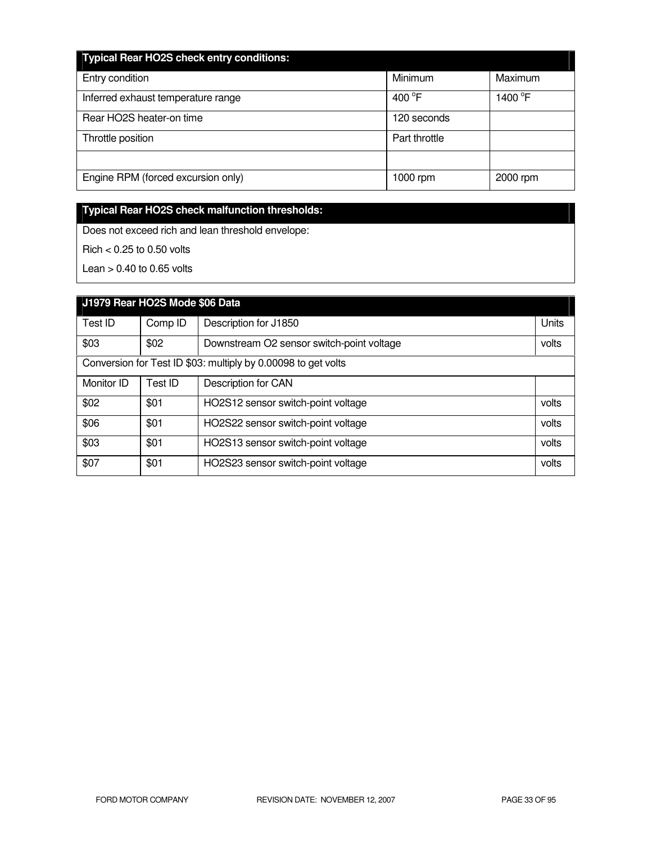| <b>Typical Rear HO2S check entry conditions:</b> |                  |                     |
|--------------------------------------------------|------------------|---------------------|
| Entry condition                                  | Minimum          | Maximum             |
| Inferred exhaust temperature range               | 400 $^{\circ}$ F | 1400 <sup>°</sup> F |
| Rear HO2S heater-on time                         | 120 seconds      |                     |
| Throttle position                                | Part throttle    |                     |
|                                                  |                  |                     |
| Engine RPM (forced excursion only)               | 1000 rpm         | 2000 rpm            |

# **Typical Rear HO2S check malfunction thresholds:**

Does not exceed rich and lean threshold envelope:

Rich < 0.25 to 0.50 volts

Lean  $> 0.40$  to 0.65 volts

| J1979 Rear HO2S Mode \$06 Data                                |         |                                           |       |  |  |  |
|---------------------------------------------------------------|---------|-------------------------------------------|-------|--|--|--|
| Test ID                                                       | Comp ID | Description for J1850                     | Units |  |  |  |
| \$03                                                          | \$02    | Downstream O2 sensor switch-point voltage | volts |  |  |  |
| Conversion for Test ID \$03: multiply by 0.00098 to get volts |         |                                           |       |  |  |  |
| Monitor ID                                                    | Test ID | Description for CAN                       |       |  |  |  |
| \$02                                                          | \$01    | HO2S12 sensor switch-point voltage        | volts |  |  |  |
| \$06                                                          | \$01    | HO2S22 sensor switch-point voltage        | volts |  |  |  |
| \$03                                                          | \$01    | HO2S13 sensor switch-point voltage        | volts |  |  |  |
| \$07                                                          | \$01    | HO2S23 sensor switch-point voltage        | volts |  |  |  |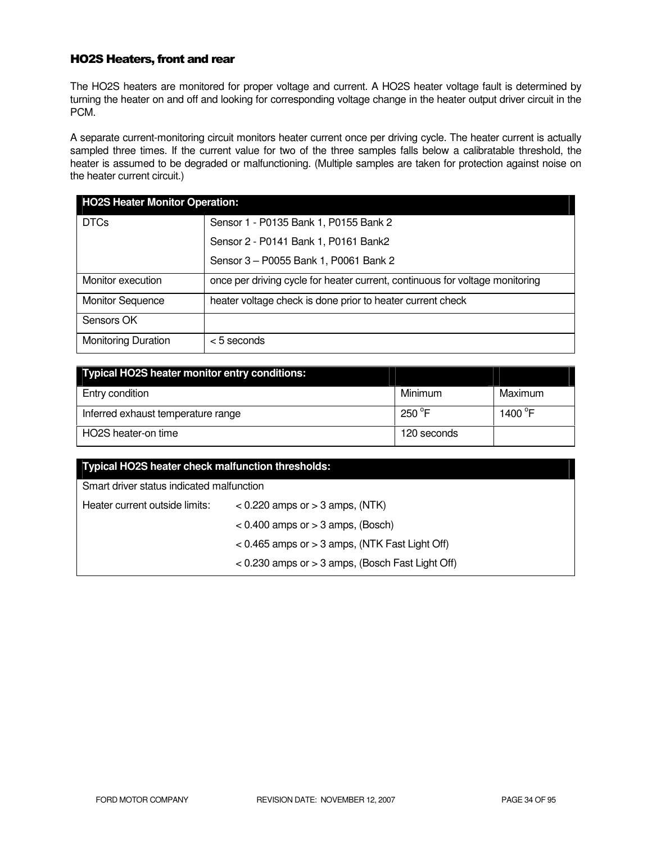#### HO2S Heaters, front and rear

The HO2S heaters are monitored for proper voltage and current. A HO2S heater voltage fault is determined by turning the heater on and off and looking for corresponding voltage change in the heater output driver circuit in the PCM.

A separate current-monitoring circuit monitors heater current once per driving cycle. The heater current is actually sampled three times. If the current value for two of the three samples falls below a calibratable threshold, the heater is assumed to be degraded or malfunctioning. (Multiple samples are taken for protection against noise on the heater current circuit.)

| <b>HO2S Heater Monitor Operation:</b> |                                                                              |  |  |  |
|---------------------------------------|------------------------------------------------------------------------------|--|--|--|
| <b>DTCs</b>                           | Sensor 1 - P0135 Bank 1, P0155 Bank 2                                        |  |  |  |
|                                       | Sensor 2 - P0141 Bank 1, P0161 Bank2                                         |  |  |  |
|                                       | Sensor 3 - P0055 Bank 1, P0061 Bank 2                                        |  |  |  |
| Monitor execution                     | once per driving cycle for heater current, continuous for voltage monitoring |  |  |  |
| <b>Monitor Sequence</b>               | heater voltage check is done prior to heater current check                   |  |  |  |
| Sensors OK                            |                                                                              |  |  |  |
| <b>Monitoring Duration</b>            | $<$ 5 seconds                                                                |  |  |  |

| <b>Typical HO2S heater monitor entry conditions:</b> |                 |                     |
|------------------------------------------------------|-----------------|---------------------|
| Entry condition                                      | Minimum         | Maximum             |
| Inferred exhaust temperature range                   | $250^{\circ}$ F | 1400 <sup>°</sup> F |
| HO2S heater-on time                                  | 120 seconds     |                     |

| Typical HO2S heater check malfunction thresholds: |                                                      |  |  |  |  |  |
|---------------------------------------------------|------------------------------------------------------|--|--|--|--|--|
| Smart driver status indicated malfunction         |                                                      |  |  |  |  |  |
| Heater current outside limits:                    | $<$ 0.220 amps or $>$ 3 amps, (NTK)                  |  |  |  |  |  |
|                                                   | $< 0.400$ amps or $> 3$ amps, (Bosch)                |  |  |  |  |  |
|                                                   | $< 0.465$ amps or $> 3$ amps, (NTK Fast Light Off)   |  |  |  |  |  |
|                                                   | $<$ 0.230 amps or $>$ 3 amps, (Bosch Fast Light Off) |  |  |  |  |  |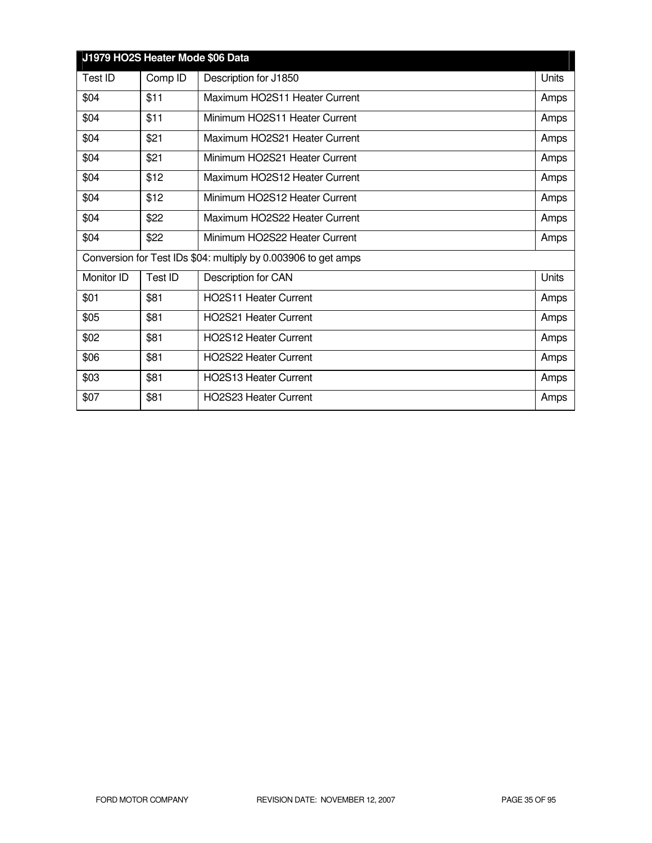| J1979 HO2S Heater Mode \$06 Data                               |         |                               |       |  |  |  |
|----------------------------------------------------------------|---------|-------------------------------|-------|--|--|--|
| Test ID                                                        | Comp ID | Description for J1850         | Units |  |  |  |
| \$04                                                           | \$11    | Maximum HO2S11 Heater Current | Amps  |  |  |  |
| \$04                                                           | \$11    | Minimum HO2S11 Heater Current | Amps  |  |  |  |
| \$04                                                           | \$21    | Maximum HO2S21 Heater Current | Amps  |  |  |  |
| \$04                                                           | \$21    | Minimum HO2S21 Heater Current | Amps  |  |  |  |
| \$04                                                           | \$12    | Maximum HO2S12 Heater Current | Amps  |  |  |  |
| \$04                                                           | \$12    | Minimum HO2S12 Heater Current | Amps  |  |  |  |
| \$04                                                           | \$22    | Maximum HO2S22 Heater Current | Amps  |  |  |  |
| \$04                                                           | \$22    | Minimum HO2S22 Heater Current | Amps  |  |  |  |
| Conversion for Test IDs \$04: multiply by 0.003906 to get amps |         |                               |       |  |  |  |
| Monitor ID                                                     | Test ID | Description for CAN           | Units |  |  |  |
| \$01                                                           | \$81    | <b>HO2S11 Heater Current</b>  | Amps  |  |  |  |
| \$05                                                           | \$81    | <b>HO2S21 Heater Current</b>  | Amps  |  |  |  |
| \$02                                                           | \$81    | <b>HO2S12 Heater Current</b>  | Amps  |  |  |  |
| \$06                                                           | \$81    | <b>HO2S22 Heater Current</b>  | Amps  |  |  |  |
| \$03                                                           | \$81    | <b>HO2S13 Heater Current</b>  | Amps  |  |  |  |
| \$07                                                           | \$81    | HO2S23 Heater Current         | Amps  |  |  |  |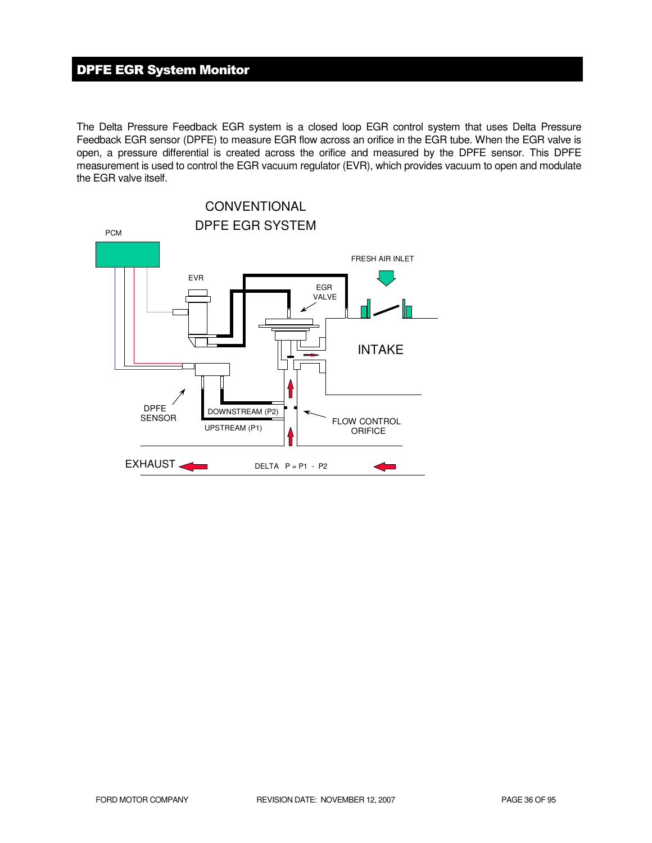# DPFE EGR System Monitor

The Delta Pressure Feedback EGR system is a closed loop EGR control system that uses Delta Pressure Feedback EGR sensor (DPFE) to measure EGR flow across an orifice in the EGR tube. When the EGR valve is open, a pressure differential is created across the orifice and measured by the DPFE sensor. This DPFE measurement is used to control the EGR vacuum regulator (EVR), which provides vacuum to open and modulate the EGR valve itself.

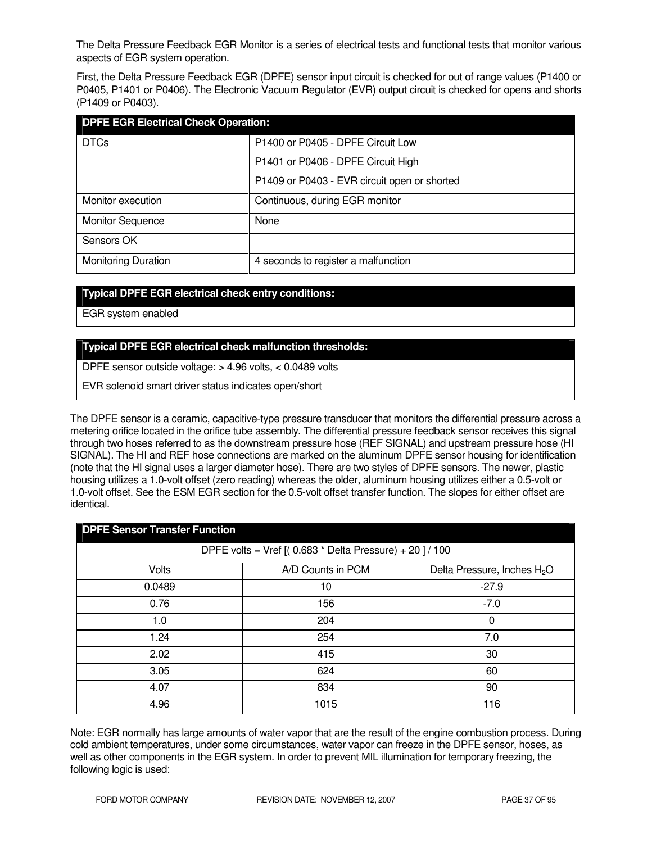The Delta Pressure Feedback EGR Monitor is a series of electrical tests and functional tests that monitor various aspects of EGR system operation.

First, the Delta Pressure Feedback EGR (DPFE) sensor input circuit is checked for out of range values (P1400 or P0405, P1401 or P0406). The Electronic Vacuum Regulator (EVR) output circuit is checked for opens and shorts (P1409 or P0403).

| <b>DPFE EGR Electrical Check Operation:</b> |                                              |  |
|---------------------------------------------|----------------------------------------------|--|
| <b>DTCs</b>                                 | P1400 or P0405 - DPFE Circuit Low            |  |
|                                             | P1401 or P0406 - DPFE Circuit High           |  |
|                                             | P1409 or P0403 - EVR circuit open or shorted |  |
| Monitor execution                           | Continuous, during EGR monitor               |  |
| <b>Monitor Sequence</b>                     | None                                         |  |
| Sensors OK                                  |                                              |  |
| <b>Monitoring Duration</b>                  | 4 seconds to register a malfunction          |  |

## **Typical DPFE EGR electrical check entry conditions:**

EGR system enabled

## **Typical DPFE EGR electrical check malfunction thresholds:**

DPFE sensor outside voltage: > 4.96 volts, < 0.0489 volts

EVR solenoid smart driver status indicates open/short

The DPFE sensor is a ceramic, capacitive-type pressure transducer that monitors the differential pressure across a metering orifice located in the orifice tube assembly. The differential pressure feedback sensor receives this signal through two hoses referred to as the downstream pressure hose (REF SIGNAL) and upstream pressure hose (HI SIGNAL). The HI and REF hose connections are marked on the aluminum DPFE sensor housing for identification (note that the HI signal uses a larger diameter hose). There are two styles of DPFE sensors. The newer, plastic housing utilizes a 1.0-volt offset (zero reading) whereas the older, aluminum housing utilizes either a 0.5-volt or 1.0-volt offset. See the ESM EGR section for the 0.5-volt offset transfer function. The slopes for either offset are identical.

| <b>DPFE Sensor Transfer Function</b>                    |                   |                                         |
|---------------------------------------------------------|-------------------|-----------------------------------------|
| DPFE volts = Vref $[(0.683 * Delta Pressure) + 20]/100$ |                   |                                         |
| Volts                                                   | A/D Counts in PCM | Delta Pressure, Inches H <sub>2</sub> O |
| 0.0489                                                  | 10                | $-27.9$                                 |
| 0.76                                                    | 156               | $-7.0$                                  |
| 1.0                                                     | 204               | 0                                       |
| 1.24                                                    | 254               | 7.0                                     |
| 2.02                                                    | 415               | 30                                      |
| 3.05                                                    | 624               | 60                                      |
| 4.07                                                    | 834               | 90                                      |
| 4.96                                                    | 1015              | 116                                     |

Note: EGR normally has large amounts of water vapor that are the result of the engine combustion process. During cold ambient temperatures, under some circumstances, water vapor can freeze in the DPFE sensor, hoses, as well as other components in the EGR system. In order to prevent MIL illumination for temporary freezing, the following logic is used: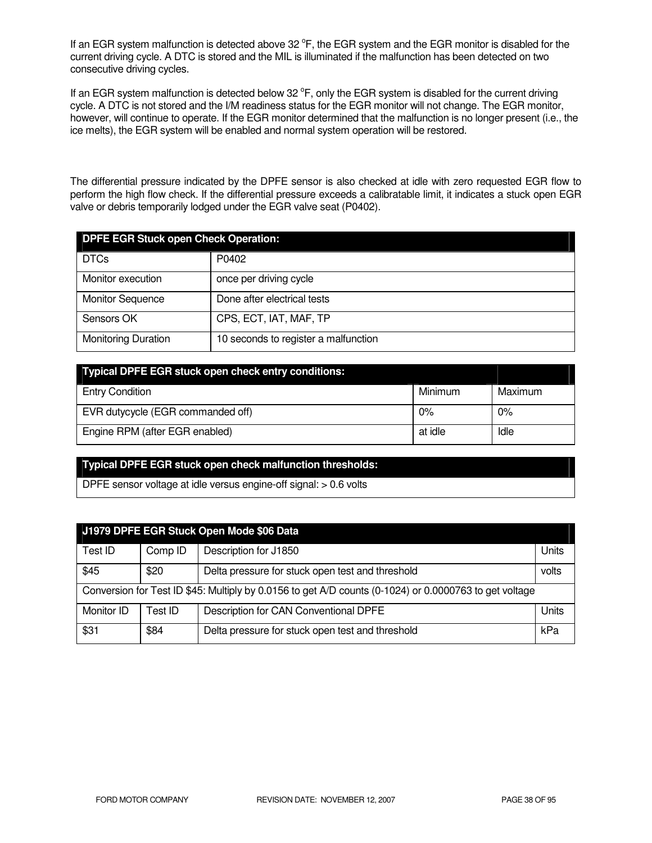If an EGR system malfunction is detected above 32  $\degree$ F, the EGR system and the EGR monitor is disabled for the current driving cycle. A DTC is stored and the MIL is illuminated if the malfunction has been detected on two consecutive driving cycles.

If an EGR system malfunction is detected below 32  $\degree$ F, only the EGR system is disabled for the current driving cycle. A DTC is not stored and the I/M readiness status for the EGR monitor will not change. The EGR monitor, however, will continue to operate. If the EGR monitor determined that the malfunction is no longer present (i.e., the ice melts), the EGR system will be enabled and normal system operation will be restored.

The differential pressure indicated by the DPFE sensor is also checked at idle with zero requested EGR flow to perform the high flow check. If the differential pressure exceeds a calibratable limit, it indicates a stuck open EGR valve or debris temporarily lodged under the EGR valve seat (P0402).

| <b>DPFE EGR Stuck open Check Operation:</b> |                                      |  |
|---------------------------------------------|--------------------------------------|--|
| <b>DTCs</b>                                 | P0402                                |  |
| Monitor execution                           | once per driving cycle               |  |
| <b>Monitor Sequence</b>                     | Done after electrical tests          |  |
| Sensors OK                                  | CPS, ECT, IAT, MAF, TP               |  |
| <b>Monitoring Duration</b>                  | 10 seconds to register a malfunction |  |

| Typical DPFE EGR stuck open check entry conditions: |         |         |
|-----------------------------------------------------|---------|---------|
| <b>Entry Condition</b>                              | Minimum | Maximum |
| EVR dutycycle (EGR commanded off)                   | 0%      | $0\%$   |
| Engine RPM (after EGR enabled)                      | at idle | Idle    |

## **Typical DPFE EGR stuck open check malfunction thresholds:**

DPFE sensor voltage at idle versus engine-off signal: > 0.6 volts

| J1979 DPFE EGR Stuck Open Mode \$06 Data                                                               |         |                                                  |       |
|--------------------------------------------------------------------------------------------------------|---------|--------------------------------------------------|-------|
| Test ID                                                                                                | Comp ID | Description for J1850                            | Units |
| \$45                                                                                                   | \$20    | Delta pressure for stuck open test and threshold | volts |
| Conversion for Test ID \$45: Multiply by 0.0156 to get A/D counts (0-1024) or 0.0000763 to get voltage |         |                                                  |       |
| Monitor ID                                                                                             | Test ID | Description for CAN Conventional DPFE            | Units |
| \$31                                                                                                   | \$84    | Delta pressure for stuck open test and threshold | kPa   |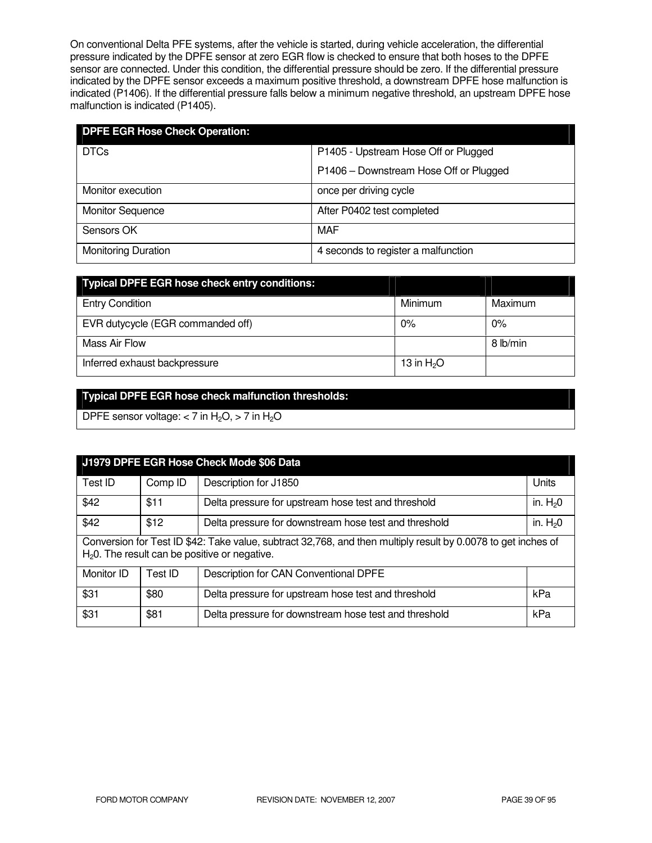On conventional Delta PFE systems, after the vehicle is started, during vehicle acceleration, the differential pressure indicated by the DPFE sensor at zero EGR flow is checked to ensure that both hoses to the DPFE sensor are connected. Under this condition, the differential pressure should be zero. If the differential pressure indicated by the DPFE sensor exceeds a maximum positive threshold, a downstream DPFE hose malfunction is indicated (P1406). If the differential pressure falls below a minimum negative threshold, an upstream DPFE hose malfunction is indicated (P1405).

| <b>DPFE EGR Hose Check Operation:</b> |                                        |  |
|---------------------------------------|----------------------------------------|--|
| <b>DTCs</b>                           | P1405 - Upstream Hose Off or Plugged   |  |
|                                       | P1406 - Downstream Hose Off or Plugged |  |
| Monitor execution                     | once per driving cycle                 |  |
| <b>Monitor Sequence</b>               | After P0402 test completed             |  |
| Sensors OK                            | MAF                                    |  |
| <b>Monitoring Duration</b>            | 4 seconds to register a malfunction    |  |

| <b>Typical DPFE EGR hose check entry conditions:</b> |             |          |
|------------------------------------------------------|-------------|----------|
| <b>Entry Condition</b>                               | Minimum     | Maximum  |
| EVR dutycycle (EGR commanded off)                    | $0\%$       | $0\%$    |
| Mass Air Flow                                        |             | 8 lb/min |
| Inferred exhaust backpressure                        | 13 in $H2O$ |          |

## **Typical DPFE EGR hose check malfunction thresholds:**

DPFE sensor voltage:  $<$  7 in H<sub>2</sub>O,  $>$  7 in H<sub>2</sub>O

| J1979 DPFE EGR Hose Check Mode \$06 Data                                                                                                                         |         |                                                       |           |
|------------------------------------------------------------------------------------------------------------------------------------------------------------------|---------|-------------------------------------------------------|-----------|
| Test ID                                                                                                                                                          | Comp ID | Description for J1850                                 | Units     |
| \$42                                                                                                                                                             | \$11    | Delta pressure for upstream hose test and threshold   | in. $H20$ |
| \$42                                                                                                                                                             | \$12    | Delta pressure for downstream hose test and threshold | in. $H20$ |
| Conversion for Test ID \$42: Take value, subtract 32,768, and then multiply result by 0.0078 to get inches of<br>$H20$ . The result can be positive or negative. |         |                                                       |           |
| Monitor ID                                                                                                                                                       | Test ID | Description for CAN Conventional DPFE                 |           |
| \$31                                                                                                                                                             | \$80    | Delta pressure for upstream hose test and threshold   | kPa       |
| \$31                                                                                                                                                             | \$81    | Delta pressure for downstream hose test and threshold | kPa       |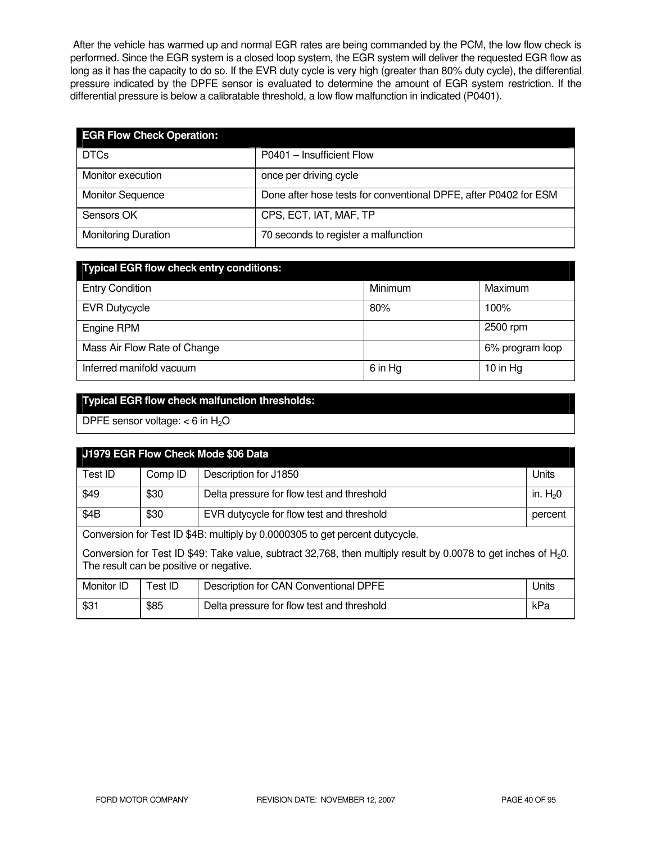After the vehicle has warmed up and normal EGR rates are being commanded by the PCM, the low flow check is performed. Since the EGR system is a closed loop system, the EGR system will deliver the requested EGR flow as long as it has the capacity to do so. If the EVR duty cycle is very high (greater than 80% duty cycle), the differential pressure indicated by the DPFE sensor is evaluated to determine the amount of EGR system restriction. If the differential pressure is below a calibratable threshold, a low flow malfunction in indicated (P0401).

| <b>EGR Flow Check Operation:</b> |                                                                  |
|----------------------------------|------------------------------------------------------------------|
| <b>DTCs</b>                      | P0401 - Insufficient Flow                                        |
| Monitor execution                | once per driving cycle                                           |
| <b>Monitor Sequence</b>          | Done after hose tests for conventional DPFE, after P0402 for ESM |
| Sensors OK                       | CPS, ECT, IAT, MAF, TP                                           |
| <b>Monitoring Duration</b>       | 70 seconds to register a malfunction                             |

| <b>Typical EGR flow check entry conditions:</b> |         |                 |  |
|-------------------------------------------------|---------|-----------------|--|
| <b>Entry Condition</b>                          | Minimum | Maximum         |  |
| <b>EVR Dutycycle</b>                            | 80%     | 100%            |  |
| Engine RPM                                      |         | 2500 rpm        |  |
| Mass Air Flow Rate of Change                    |         | 6% program loop |  |
| Inferred manifold vacuum                        | 6 in Hg | 10 in $Hg$      |  |

# **Typical EGR flow check malfunction thresholds:**

DPFE sensor voltage:  $<$  6 in H<sub>2</sub>O

| J1979 EGR Flow Check Mode \$06 Data                                                                                                                           |         |                                            |           |
|---------------------------------------------------------------------------------------------------------------------------------------------------------------|---------|--------------------------------------------|-----------|
| Test ID                                                                                                                                                       | Comp ID | Description for J1850                      | Units     |
| \$49                                                                                                                                                          | \$30    | Delta pressure for flow test and threshold | in. $H20$ |
| \$4B                                                                                                                                                          | \$30    | EVR dutycycle for flow test and threshold  | percent   |
| Conversion for Test ID \$4B: multiply by 0.0000305 to get percent dutycycle.                                                                                  |         |                                            |           |
| Conversion for Test ID \$49: Take value, subtract 32,768, then multiply result by 0.0078 to get inches of $H_2O$ .<br>The result can be positive or negative. |         |                                            |           |
| Monitor ID                                                                                                                                                    | Test ID | Description for CAN Conventional DPFE      | Units     |
| \$31                                                                                                                                                          | \$85    | Delta pressure for flow test and threshold | kPa       |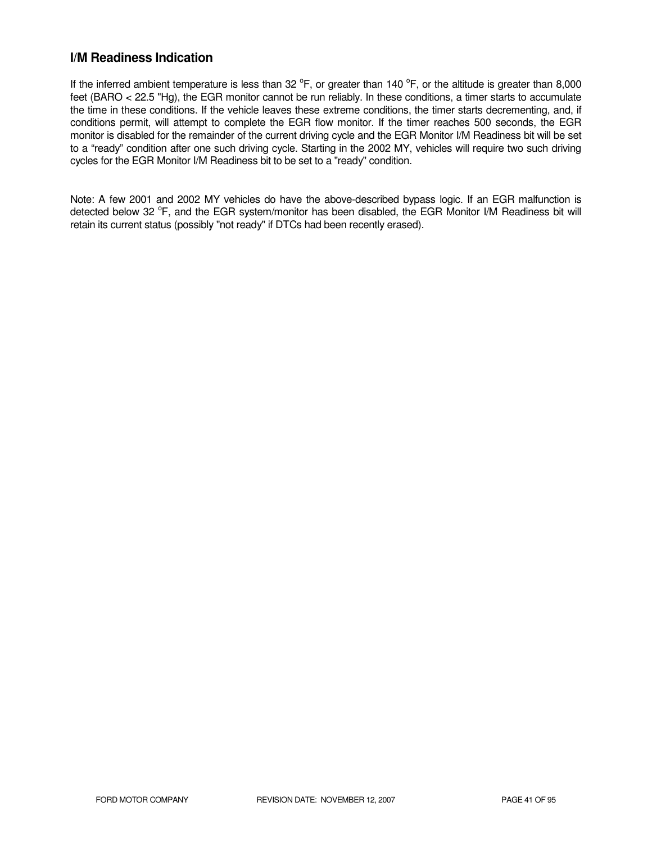## **I/M Readiness Indication**

If the inferred ambient temperature is less than 32  $^{\circ}$ F, or greater than 140  $^{\circ}$ F, or the altitude is greater than 8,000 feet (BARO < 22.5 "Hg), the EGR monitor cannot be run reliably. In these conditions, a timer starts to accumulate the time in these conditions. If the vehicle leaves these extreme conditions, the timer starts decrementing, and, if conditions permit, will attempt to complete the EGR flow monitor. If the timer reaches 500 seconds, the EGR monitor is disabled for the remainder of the current driving cycle and the EGR Monitor I/M Readiness bit will be set to a "ready" condition after one such driving cycle. Starting in the 2002 MY, vehicles will require two such driving cycles for the EGR Monitor I/M Readiness bit to be set to a "ready" condition.

Note: A few 2001 and 2002 MY vehicles do have the above-described bypass logic. If an EGR malfunction is detected below 32 °F, and the EGR system/monitor has been disabled, the EGR Monitor I/M Readiness bit will retain its current status (possibly "not ready" if DTCs had been recently erased).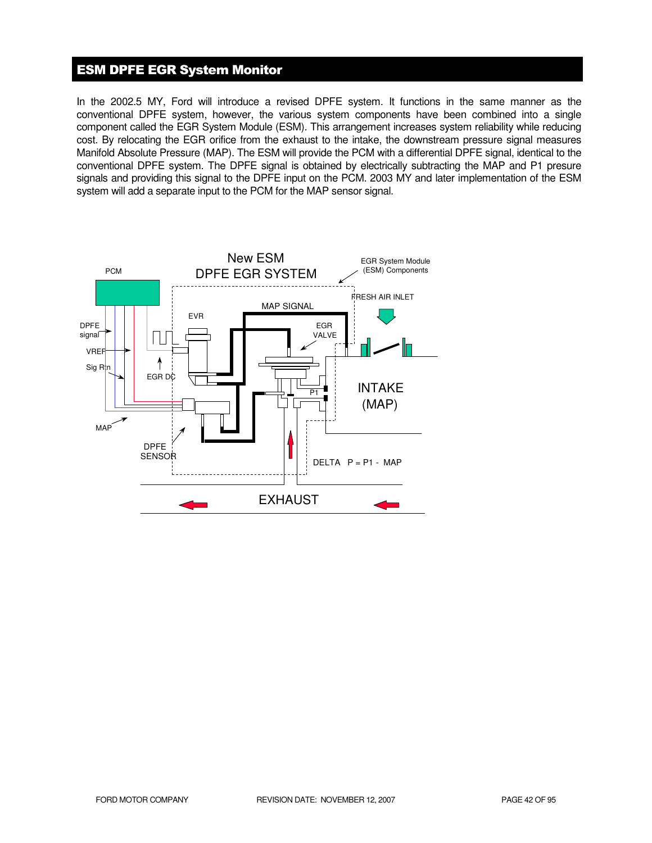## ESM DPFE EGR System Monitor

In the 2002.5 MY, Ford will introduce a revised DPFE system. It functions in the same manner as the conventional DPFE system, however, the various system components have been combined into a single component called the EGR System Module (ESM). This arrangement increases system reliability while reducing cost. By relocating the EGR orifice from the exhaust to the intake, the downstream pressure signal measures Manifold Absolute Pressure (MAP). The ESM will provide the PCM with a differential DPFE signal, identical to the conventional DPFE system. The DPFE signal is obtained by electrically subtracting the MAP and P1 presure signals and providing this signal to the DPFE input on the PCM. 2003 MY and later implementation of the ESM system will add a separate input to the PCM for the MAP sensor signal.

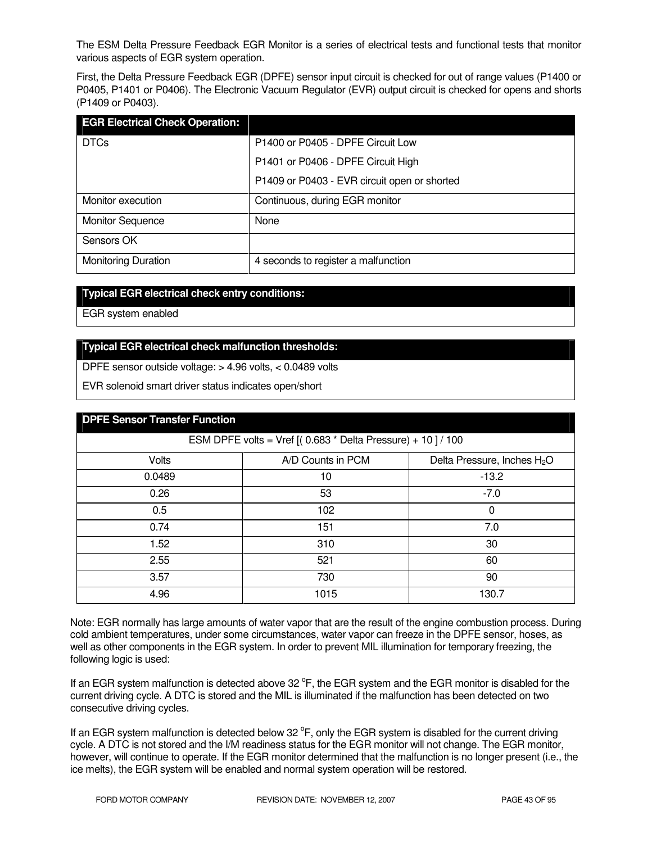The ESM Delta Pressure Feedback EGR Monitor is a series of electrical tests and functional tests that monitor various aspects of EGR system operation.

First, the Delta Pressure Feedback EGR (DPFE) sensor input circuit is checked for out of range values (P1400 or P0405, P1401 or P0406). The Electronic Vacuum Regulator (EVR) output circuit is checked for opens and shorts (P1409 or P0403).

| <b>EGR Electrical Check Operation:</b> |                                              |
|----------------------------------------|----------------------------------------------|
| <b>DTCs</b>                            | P1400 or P0405 - DPFE Circuit Low            |
|                                        | P1401 or P0406 - DPFE Circuit High           |
|                                        | P1409 or P0403 - EVR circuit open or shorted |
| Monitor execution                      | Continuous, during EGR monitor               |
| <b>Monitor Sequence</b>                | None                                         |
| Sensors OK                             |                                              |
| <b>Monitoring Duration</b>             | 4 seconds to register a malfunction          |

#### **Typical EGR electrical check entry conditions:**

EGR system enabled

## **Typical EGR electrical check malfunction thresholds:**

DPFE sensor outside voltage: > 4.96 volts, < 0.0489 volts

EVR solenoid smart driver status indicates open/short

| <b>DPFE Sensor Transfer Function</b>                        |                   |                                         |
|-------------------------------------------------------------|-------------------|-----------------------------------------|
| ESM DPFE volts = Vref $[(0.683 * Delta Pressure) + 10]/100$ |                   |                                         |
| <b>Volts</b>                                                | A/D Counts in PCM | Delta Pressure, Inches H <sub>2</sub> O |
| 0.0489                                                      | 10                | $-13.2$                                 |
| 0.26                                                        | 53                | $-7.0$                                  |
| 0.5                                                         | 102               | 0                                       |
| 0.74                                                        | 151               | 7.0                                     |
| 1.52                                                        | 310               | 30                                      |
| 2.55                                                        | 521               | 60                                      |
| 3.57                                                        | 730               | 90                                      |
| 4.96                                                        | 1015              | 130.7                                   |

Note: EGR normally has large amounts of water vapor that are the result of the engine combustion process. During cold ambient temperatures, under some circumstances, water vapor can freeze in the DPFE sensor, hoses, as well as other components in the EGR system. In order to prevent MIL illumination for temporary freezing, the following logic is used:

If an EGR system malfunction is detected above 32  $\degree$ F, the EGR system and the EGR monitor is disabled for the current driving cycle. A DTC is stored and the MIL is illuminated if the malfunction has been detected on two consecutive driving cycles.

If an EGR system malfunction is detected below 32  $\degree$ F, only the EGR system is disabled for the current driving cycle. A DTC is not stored and the I/M readiness status for the EGR monitor will not change. The EGR monitor, however, will continue to operate. If the EGR monitor determined that the malfunction is no longer present (i.e., the ice melts), the EGR system will be enabled and normal system operation will be restored.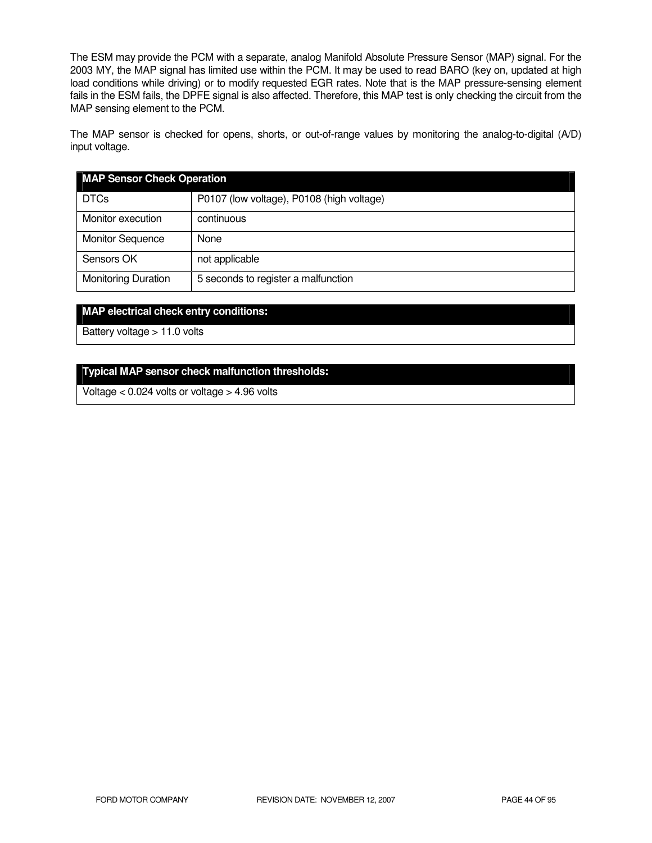The ESM may provide the PCM with a separate, analog Manifold Absolute Pressure Sensor (MAP) signal. For the 2003 MY, the MAP signal has limited use within the PCM. It may be used to read BARO (key on, updated at high load conditions while driving) or to modify requested EGR rates. Note that is the MAP pressure-sensing element fails in the ESM fails, the DPFE signal is also affected. Therefore, this MAP test is only checking the circuit from the MAP sensing element to the PCM.

The MAP sensor is checked for opens, shorts, or out-of-range values by monitoring the analog-to-digital (A/D) input voltage.

| <b>MAP Sensor Check Operation</b> |                                           |
|-----------------------------------|-------------------------------------------|
| <b>DTCs</b>                       | P0107 (low voltage), P0108 (high voltage) |
| Monitor execution                 | continuous                                |
| <b>Monitor Sequence</b>           | None                                      |
| Sensors OK                        | not applicable                            |
| <b>Monitoring Duration</b>        | 5 seconds to register a malfunction       |

#### **MAP electrical check entry conditions:**

Battery voltage > 11.0 volts

#### **Typical MAP sensor check malfunction thresholds:**

Voltage < 0.024 volts or voltage > 4.96 volts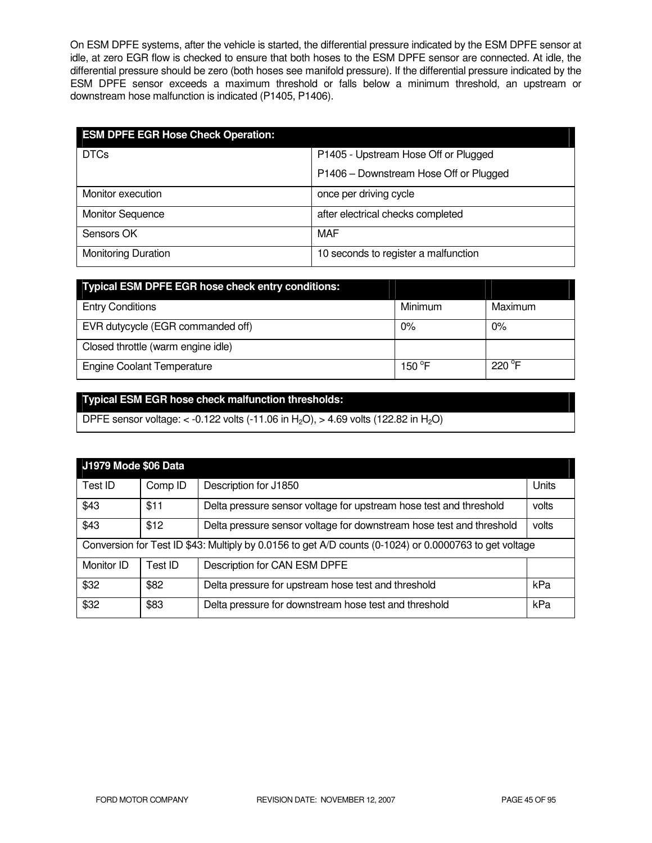On ESM DPFE systems, after the vehicle is started, the differential pressure indicated by the ESM DPFE sensor at idle, at zero EGR flow is checked to ensure that both hoses to the ESM DPFE sensor are connected. At idle, the differential pressure should be zero (both hoses see manifold pressure). If the differential pressure indicated by the ESM DPFE sensor exceeds a maximum threshold or falls below a minimum threshold, an upstream or downstream hose malfunction is indicated (P1405, P1406).

| <b>ESM DPFE EGR Hose Check Operation:</b> |                                        |  |
|-------------------------------------------|----------------------------------------|--|
| <b>DTCs</b>                               | P1405 - Upstream Hose Off or Plugged   |  |
|                                           | P1406 - Downstream Hose Off or Plugged |  |
| Monitor execution                         | once per driving cycle                 |  |
| <b>Monitor Sequence</b>                   | after electrical checks completed      |  |
| Sensors OK                                | MAF                                    |  |
| <b>Monitoring Duration</b>                | 10 seconds to register a malfunction   |  |

| <b>Typical ESM DPFE EGR hose check entry conditions:</b> |                 |                 |
|----------------------------------------------------------|-----------------|-----------------|
| <b>Entry Conditions</b>                                  | Minimum         | Maximum         |
| EVR dutycycle (EGR commanded off)                        | $0\%$           | $0\%$           |
| Closed throttle (warm engine idle)                       |                 |                 |
| <b>Engine Coolant Temperature</b>                        | 150 $\degree$ F | $220^{\circ}$ F |

# **Typical ESM EGR hose check malfunction thresholds:**

DPFE sensor voltage: < -0.122 volts (-11.06 in H<sub>2</sub>O), > 4.69 volts (122.82 in H<sub>2</sub>O)

| J1979 Mode \$06 Data                                                                                   |         |                                                                      |       |
|--------------------------------------------------------------------------------------------------------|---------|----------------------------------------------------------------------|-------|
| Test ID                                                                                                | Comp ID | Description for J1850                                                | Units |
| \$43                                                                                                   | \$11    | Delta pressure sensor voltage for upstream hose test and threshold   | volts |
| \$43                                                                                                   | \$12    | Delta pressure sensor voltage for downstream hose test and threshold | volts |
| Conversion for Test ID \$43: Multiply by 0.0156 to get A/D counts (0-1024) or 0.0000763 to get voltage |         |                                                                      |       |
| Monitor ID                                                                                             | Test ID | Description for CAN ESM DPFE                                         |       |
| \$32                                                                                                   | \$82    | Delta pressure for upstream hose test and threshold                  | kPa   |
| \$32                                                                                                   | \$83    | Delta pressure for downstream hose test and threshold                | kPa   |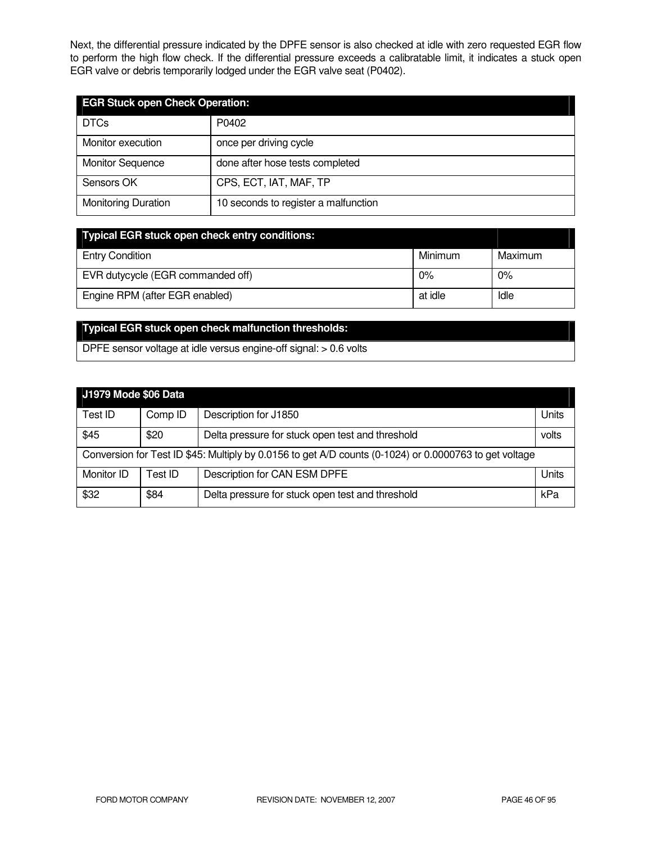Next, the differential pressure indicated by the DPFE sensor is also checked at idle with zero requested EGR flow to perform the high flow check. If the differential pressure exceeds a calibratable limit, it indicates a stuck open EGR valve or debris temporarily lodged under the EGR valve seat (P0402).

| <b>EGR Stuck open Check Operation:</b> |                                      |  |
|----------------------------------------|--------------------------------------|--|
| <b>DTCs</b>                            | P0402                                |  |
| Monitor execution                      | once per driving cycle               |  |
| <b>Monitor Sequence</b>                | done after hose tests completed      |  |
| Sensors OK                             | CPS, ECT, IAT, MAF, TP               |  |
| <b>Monitoring Duration</b>             | 10 seconds to register a malfunction |  |

| <b>Typical EGR stuck open check entry conditions:</b> |         |         |
|-------------------------------------------------------|---------|---------|
| <b>Entry Condition</b>                                | Minimum | Maximum |
| EVR dutycycle (EGR commanded off)                     | 0%      | 0%      |
| Engine RPM (after EGR enabled)                        | at idle | Idle    |

# **Typical EGR stuck open check malfunction thresholds:**

DPFE sensor voltage at idle versus engine-off signal: > 0.6 volts

| J1979 Mode \$06 Data                                                                                   |         |                                                  |       |
|--------------------------------------------------------------------------------------------------------|---------|--------------------------------------------------|-------|
| Test ID                                                                                                | Comp ID | Description for J1850                            | Units |
| \$45                                                                                                   | \$20    | Delta pressure for stuck open test and threshold | volts |
| Conversion for Test ID \$45: Multiply by 0.0156 to get A/D counts (0-1024) or 0.0000763 to get voltage |         |                                                  |       |
| Monitor ID                                                                                             | Test ID | Description for CAN ESM DPFE                     | Units |
| \$32                                                                                                   | \$84    | Delta pressure for stuck open test and threshold | kPa   |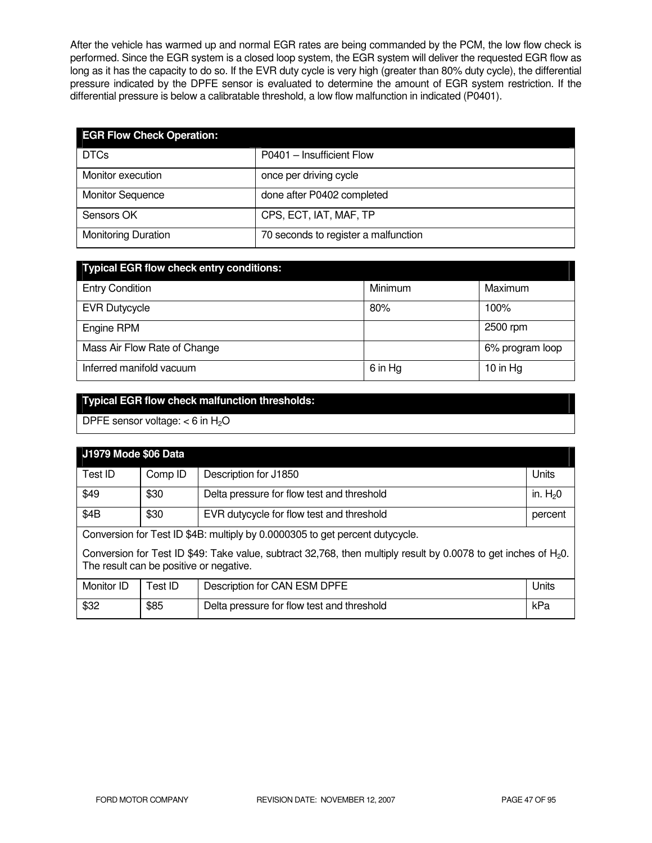After the vehicle has warmed up and normal EGR rates are being commanded by the PCM, the low flow check is performed. Since the EGR system is a closed loop system, the EGR system will deliver the requested EGR flow as long as it has the capacity to do so. If the EVR duty cycle is very high (greater than 80% duty cycle), the differential pressure indicated by the DPFE sensor is evaluated to determine the amount of EGR system restriction. If the differential pressure is below a calibratable threshold, a low flow malfunction in indicated (P0401).

| <b>EGR Flow Check Operation:</b> |                                      |
|----------------------------------|--------------------------------------|
| <b>DTCs</b>                      | P0401 - Insufficient Flow            |
| Monitor execution                | once per driving cycle               |
| <b>Monitor Sequence</b>          | done after P0402 completed           |
| Sensors OK                       | CPS, ECT, IAT, MAF, TP               |
| <b>Monitoring Duration</b>       | 70 seconds to register a malfunction |

| <b>Typical EGR flow check entry conditions:</b> |         |                 |  |
|-------------------------------------------------|---------|-----------------|--|
| <b>Entry Condition</b>                          | Minimum | Maximum         |  |
| <b>EVR Dutycycle</b>                            | 80%     | 100%            |  |
| Engine RPM                                      |         | 2500 rpm        |  |
| Mass Air Flow Rate of Change                    |         | 6% program loop |  |
| Inferred manifold vacuum                        | 6 in Hg | 10 in $Hg$      |  |

# **Typical EGR flow check malfunction thresholds:**

DPFE sensor voltage:  $<$  6 in H<sub>2</sub>O

| J1979 Mode \$06 Data                                                                                                                                          |         |                                            |           |
|---------------------------------------------------------------------------------------------------------------------------------------------------------------|---------|--------------------------------------------|-----------|
| Test ID                                                                                                                                                       | Comp ID | Description for J1850                      | Units     |
| \$49                                                                                                                                                          | \$30    | Delta pressure for flow test and threshold | in. $H20$ |
| \$4B                                                                                                                                                          | \$30    | EVR dutycycle for flow test and threshold  | percent   |
| Conversion for Test ID \$4B: multiply by 0.0000305 to get percent dutycycle.                                                                                  |         |                                            |           |
| Conversion for Test ID \$49: Take value, subtract 32,768, then multiply result by 0.0078 to get inches of $H_2O$ .<br>The result can be positive or negative. |         |                                            |           |
| Monitor ID                                                                                                                                                    | Test ID | Description for CAN ESM DPFE               | Units     |
| \$32                                                                                                                                                          | \$85    | Delta pressure for flow test and threshold | kPa       |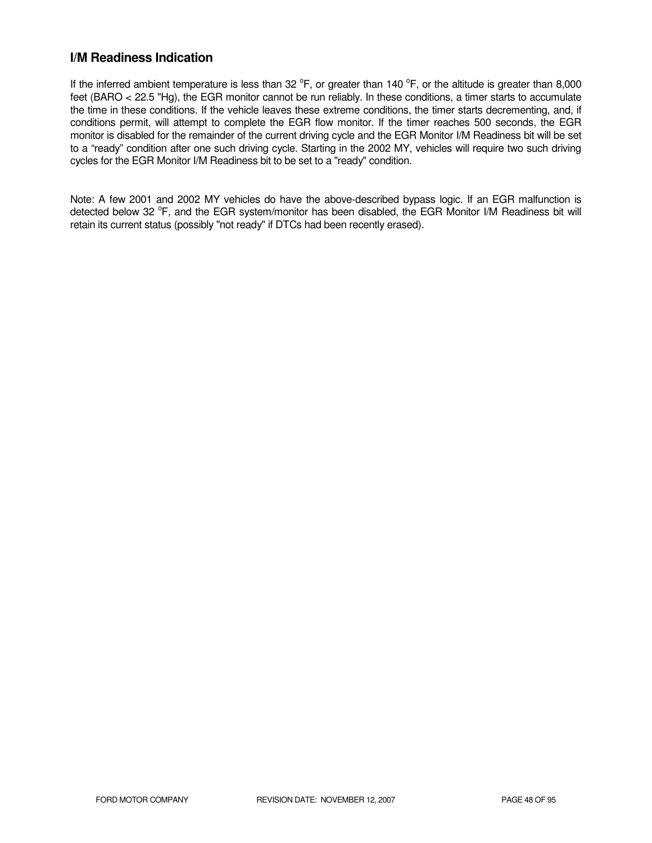## **I/M Readiness Indication**

If the inferred ambient temperature is less than 32  $^{\circ}$ F, or greater than 140  $^{\circ}$ F, or the altitude is greater than 8,000 feet (BARO < 22.5 "Hg), the EGR monitor cannot be run reliably. In these conditions, a timer starts to accumulate the time in these conditions. If the vehicle leaves these extreme conditions, the timer starts decrementing, and, if conditions permit, will attempt to complete the EGR flow monitor. If the timer reaches 500 seconds, the EGR monitor is disabled for the remainder of the current driving cycle and the EGR Monitor I/M Readiness bit will be set to a "ready" condition after one such driving cycle. Starting in the 2002 MY, vehicles will require two such driving cycles for the EGR Monitor I/M Readiness bit to be set to a "ready" condition.

Note: A few 2001 and 2002 MY vehicles do have the above-described bypass logic. If an EGR malfunction is detected below 32 °F, and the EGR system/monitor has been disabled, the EGR Monitor I/M Readiness bit will retain its current status (possibly "not ready" if DTCs had been recently erased).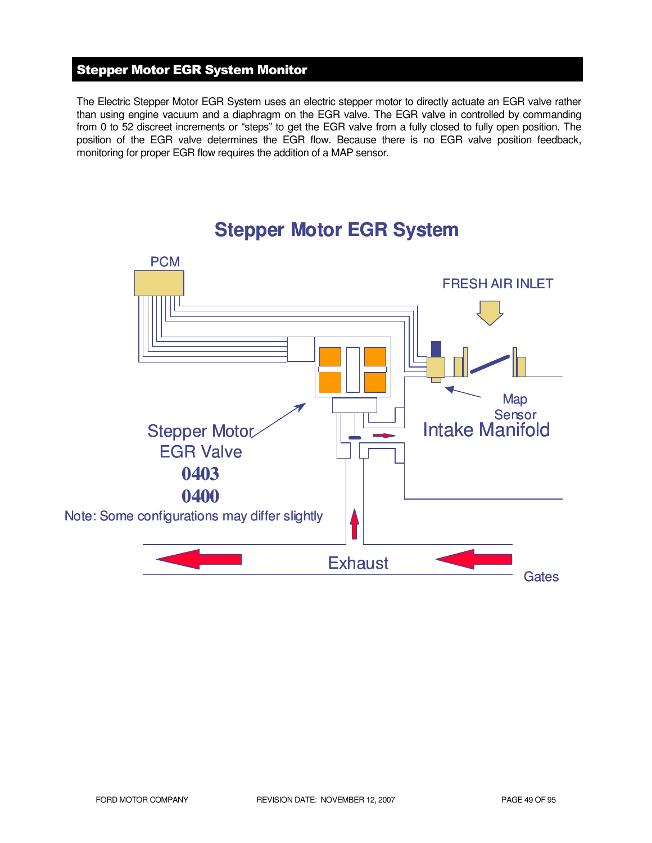# Stepper Motor EGR System Monitor

The Electric Stepper Motor EGR System uses an electric stepper motor to directly actuate an EGR valve rather than using engine vacuum and a diaphragm on the EGR valve. The EGR valve in controlled by commanding from 0 to 52 discreet increments or "steps" to get the EGR valve from a fully closed to fully open position. The position of the EGR valve determines the EGR flow. Because there is no EGR valve position feedback, monitoring for proper EGR flow requires the addition of a MAP sensor.



# **Stepper Motor EGR System**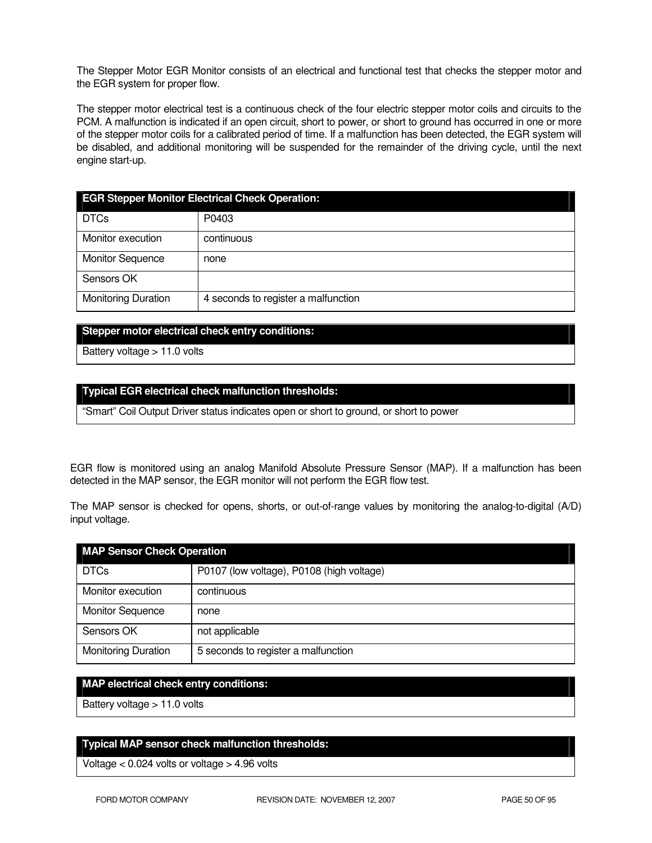The Stepper Motor EGR Monitor consists of an electrical and functional test that checks the stepper motor and the EGR system for proper flow.

The stepper motor electrical test is a continuous check of the four electric stepper motor coils and circuits to the PCM. A malfunction is indicated if an open circuit, short to power, or short to ground has occurred in one or more of the stepper motor coils for a calibrated period of time. If a malfunction has been detected, the EGR system will be disabled, and additional monitoring will be suspended for the remainder of the driving cycle, until the next engine start-up.

| <b>EGR Stepper Monitor Electrical Check Operation:</b> |                                     |  |
|--------------------------------------------------------|-------------------------------------|--|
| <b>DTCs</b>                                            | P0403                               |  |
| Monitor execution                                      | continuous                          |  |
| <b>Monitor Sequence</b>                                | none                                |  |
| Sensors OK                                             |                                     |  |
| <b>Monitoring Duration</b>                             | 4 seconds to register a malfunction |  |

#### **Stepper motor electrical check entry conditions:**

Battery voltage > 11.0 volts

#### **Typical EGR electrical check malfunction thresholds:**

"Smart" Coil Output Driver status indicates open or short to ground, or short to power

EGR flow is monitored using an analog Manifold Absolute Pressure Sensor (MAP). If a malfunction has been detected in the MAP sensor, the EGR monitor will not perform the EGR flow test.

The MAP sensor is checked for opens, shorts, or out-of-range values by monitoring the analog-to-digital (A/D) input voltage.

| <b>MAP Sensor Check Operation</b> |                                           |  |
|-----------------------------------|-------------------------------------------|--|
| <b>DTCs</b>                       | P0107 (low voltage), P0108 (high voltage) |  |
| Monitor execution                 | continuous                                |  |
| <b>Monitor Sequence</b>           | none                                      |  |
| Sensors OK                        | not applicable                            |  |
| <b>Monitoring Duration</b>        | 5 seconds to register a malfunction       |  |

#### **MAP electrical check entry conditions:**

Battery voltage > 11.0 volts

#### **Typical MAP sensor check malfunction thresholds:**

Voltage < 0.024 volts or voltage > 4.96 volts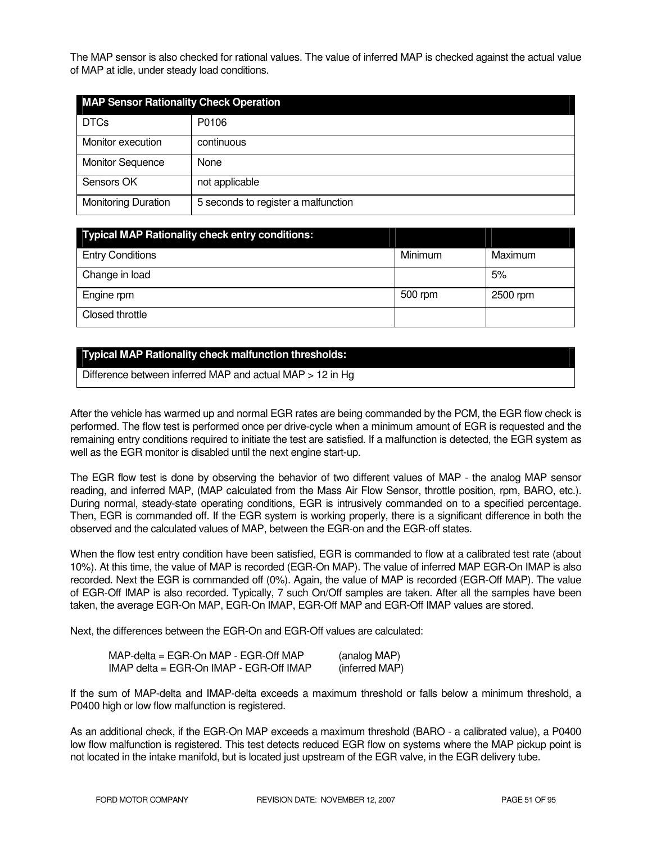The MAP sensor is also checked for rational values. The value of inferred MAP is checked against the actual value of MAP at idle, under steady load conditions.

| <b>MAP Sensor Rationality Check Operation</b> |                                     |  |
|-----------------------------------------------|-------------------------------------|--|
| <b>DTCs</b>                                   | P0106                               |  |
| Monitor execution                             | continuous                          |  |
| <b>Monitor Sequence</b>                       | None                                |  |
| Sensors OK                                    | not applicable                      |  |
| <b>Monitoring Duration</b>                    | 5 seconds to register a malfunction |  |

| <b>Typical MAP Rationality check entry conditions:</b> |         |          |
|--------------------------------------------------------|---------|----------|
| <b>Entry Conditions</b>                                | Minimum | Maximum  |
| Change in load                                         |         | 5%       |
| Engine rpm                                             | 500 rpm | 2500 rpm |
| Closed throttle                                        |         |          |

## **Typical MAP Rationality check malfunction thresholds:**

Difference between inferred MAP and actual MAP > 12 in Hg

After the vehicle has warmed up and normal EGR rates are being commanded by the PCM, the EGR flow check is performed. The flow test is performed once per drive-cycle when a minimum amount of EGR is requested and the remaining entry conditions required to initiate the test are satisfied. If a malfunction is detected, the EGR system as well as the EGR monitor is disabled until the next engine start-up.

The EGR flow test is done by observing the behavior of two different values of MAP - the analog MAP sensor reading, and inferred MAP, (MAP calculated from the Mass Air Flow Sensor, throttle position, rpm, BARO, etc.). During normal, steady-state operating conditions, EGR is intrusively commanded on to a specified percentage. Then, EGR is commanded off. If the EGR system is working properly, there is a significant difference in both the observed and the calculated values of MAP, between the EGR-on and the EGR-off states.

When the flow test entry condition have been satisfied, EGR is commanded to flow at a calibrated test rate (about 10%). At this time, the value of MAP is recorded (EGR-On MAP). The value of inferred MAP EGR-On IMAP is also recorded. Next the EGR is commanded off (0%). Again, the value of MAP is recorded (EGR-Off MAP). The value of EGR-Off IMAP is also recorded. Typically, 7 such On/Off samples are taken. After all the samples have been taken, the average EGR-On MAP, EGR-On IMAP, EGR-Off MAP and EGR-Off IMAP values are stored.

Next, the differences between the EGR-On and EGR-Off values are calculated:

| $MAP$ -delta = EGR-On MAP - EGR-Off MAP       | (analog MAP)   |
|-----------------------------------------------|----------------|
| $IMAP$ delta = EGR-On $IMAP$ - EGR-Off $IMAP$ | (inferred MAP) |

If the sum of MAP-delta and IMAP-delta exceeds a maximum threshold or falls below a minimum threshold, a P0400 high or low flow malfunction is registered.

As an additional check, if the EGR-On MAP exceeds a maximum threshold (BARO - a calibrated value), a P0400 low flow malfunction is registered. This test detects reduced EGR flow on systems where the MAP pickup point is not located in the intake manifold, but is located just upstream of the EGR valve, in the EGR delivery tube.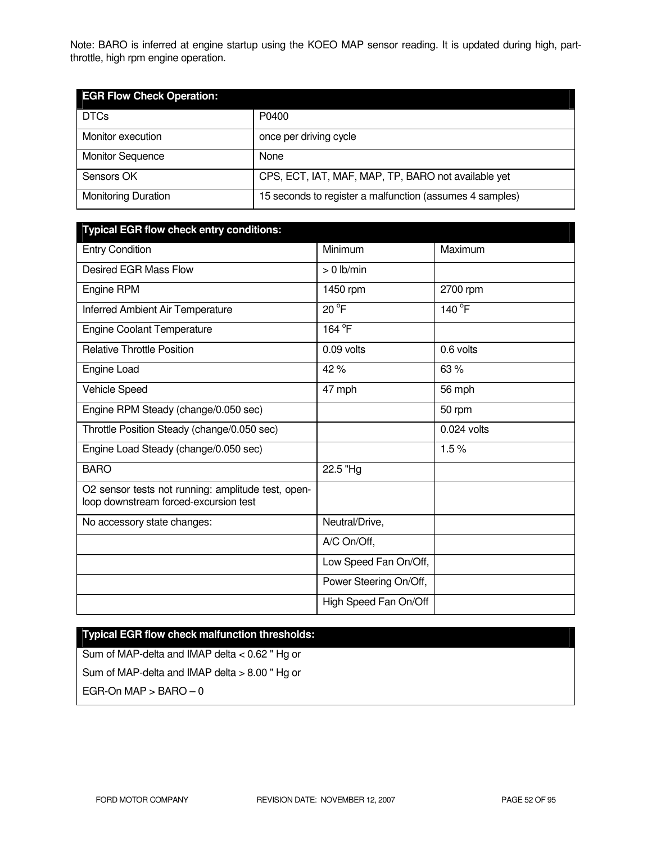Note: BARO is inferred at engine startup using the KOEO MAP sensor reading. It is updated during high, partthrottle, high rpm engine operation.

| <b>EGR Flow Check Operation:</b> |                                                          |  |
|----------------------------------|----------------------------------------------------------|--|
| <b>DTCs</b>                      | P0400                                                    |  |
| Monitor execution                | once per driving cycle                                   |  |
| <b>Monitor Sequence</b>          | None                                                     |  |
| Sensors OK                       | CPS, ECT, IAT, MAF, MAP, TP, BARO not available yet      |  |
| <b>Monitoring Duration</b>       | 15 seconds to register a malfunction (assumes 4 samples) |  |

| <b>Typical EGR flow check entry conditions:</b>                                             |                        |               |
|---------------------------------------------------------------------------------------------|------------------------|---------------|
| <b>Entry Condition</b>                                                                      | Minimum                | Maximum       |
| <b>Desired EGR Mass Flow</b>                                                                | $> 0$ lb/min           |               |
| Engine RPM                                                                                  | 1450 rpm               | 2700 rpm      |
| Inferred Ambient Air Temperature                                                            | $20^{\circ}$ F         | 140 °F        |
| <b>Engine Coolant Temperature</b>                                                           | 164 <sup>°</sup> F     |               |
| <b>Relative Throttle Position</b>                                                           | 0.09 volts             | 0.6 volts     |
| Engine Load                                                                                 | 42%                    | 63%           |
| Vehicle Speed                                                                               | 47 mph                 | 56 mph        |
| Engine RPM Steady (change/0.050 sec)                                                        |                        | 50 rpm        |
| Throttle Position Steady (change/0.050 sec)                                                 |                        | $0.024$ volts |
| Engine Load Steady (change/0.050 sec)                                                       |                        | 1.5%          |
| <b>BARO</b>                                                                                 | 22.5 "Hg               |               |
| O2 sensor tests not running: amplitude test, open-<br>loop downstream forced-excursion test |                        |               |
| No accessory state changes:                                                                 | Neutral/Drive,         |               |
|                                                                                             | A/C On/Off,            |               |
|                                                                                             | Low Speed Fan On/Off,  |               |
|                                                                                             | Power Steering On/Off, |               |
|                                                                                             | High Speed Fan On/Off  |               |

# **Typical EGR flow check malfunction thresholds:**

Sum of MAP-delta and IMAP delta < 0.62 " Hg or Sum of MAP-delta and IMAP delta > 8.00 " Hg or EGR-On  $MAP > BARO - 0$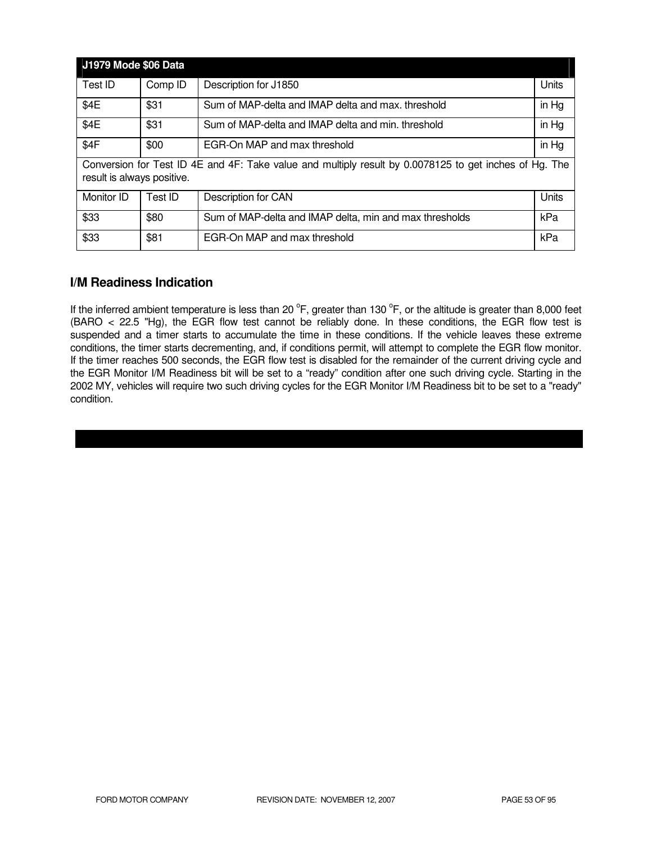| <b>J1979 Mode \$06 Data</b>                                                                                                          |         |                                                         |       |
|--------------------------------------------------------------------------------------------------------------------------------------|---------|---------------------------------------------------------|-------|
| Test ID                                                                                                                              | Comp ID | Description for J1850                                   | Units |
| \$4E                                                                                                                                 | \$31    | Sum of MAP-delta and IMAP delta and max. threshold      | in Hg |
| \$4E                                                                                                                                 | \$31    | Sum of MAP-delta and IMAP delta and min. threshold      | in Hg |
| \$4F                                                                                                                                 | \$00    | EGR-On MAP and max threshold                            | in Hg |
| Conversion for Test ID 4E and 4F: Take value and multiply result by 0.0078125 to get inches of Hg. The<br>result is always positive. |         |                                                         |       |
| Monitor ID                                                                                                                           | Test ID | Description for CAN                                     | Units |
| \$33                                                                                                                                 | \$80    | Sum of MAP-delta and IMAP delta, min and max thresholds | kPa   |
| \$33                                                                                                                                 | \$81    | EGR-On MAP and max threshold                            | kPa   |

## **I/M Readiness Indication**

If the inferred ambient temperature is less than 20  $^{\circ}$ F, greater than 130  $^{\circ}$ F, or the altitude is greater than 8,000 feet (BARO < 22.5 "Hg), the EGR flow test cannot be reliably done. In these conditions, the EGR flow test is suspended and a timer starts to accumulate the time in these conditions. If the vehicle leaves these extreme conditions, the timer starts decrementing, and, if conditions permit, will attempt to complete the EGR flow monitor. If the timer reaches 500 seconds, the EGR flow test is disabled for the remainder of the current driving cycle and the EGR Monitor I/M Readiness bit will be set to a "ready" condition after one such driving cycle. Starting in the 2002 MY, vehicles will require two such driving cycles for the EGR Monitor I/M Readiness bit to be set to a "ready" condition.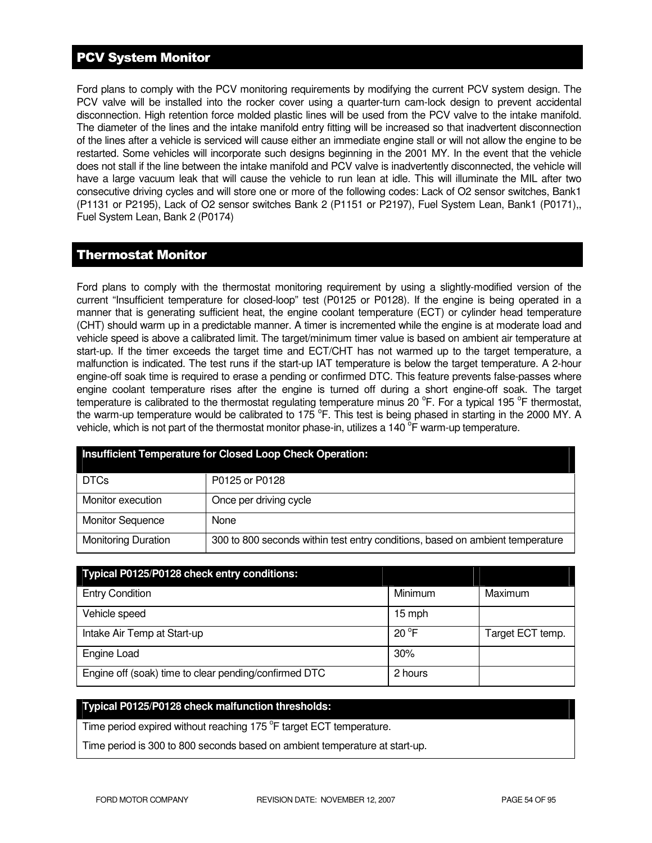# PCV System Monitor

Ford plans to comply with the PCV monitoring requirements by modifying the current PCV system design. The PCV valve will be installed into the rocker cover using a quarter-turn cam-lock design to prevent accidental disconnection. High retention force molded plastic lines will be used from the PCV valve to the intake manifold. The diameter of the lines and the intake manifold entry fitting will be increased so that inadvertent disconnection of the lines after a vehicle is serviced will cause either an immediate engine stall or will not allow the engine to be restarted. Some vehicles will incorporate such designs beginning in the 2001 MY. In the event that the vehicle does not stall if the line between the intake manifold and PCV valve is inadvertently disconnected, the vehicle will have a large vacuum leak that will cause the vehicle to run lean at idle. This will illuminate the MIL after two consecutive driving cycles and will store one or more of the following codes: Lack of O2 sensor switches, Bank1 (P1131 or P2195), Lack of O2 sensor switches Bank 2 (P1151 or P2197), Fuel System Lean, Bank1 (P0171),, Fuel System Lean, Bank 2 (P0174)

## Thermostat Monitor

Ford plans to comply with the thermostat monitoring requirement by using a slightly-modified version of the current "Insufficient temperature for closed-loop" test (P0125 or P0128). If the engine is being operated in a manner that is generating sufficient heat, the engine coolant temperature (ECT) or cylinder head temperature (CHT) should warm up in a predictable manner. A timer is incremented while the engine is at moderate load and vehicle speed is above a calibrated limit. The target/minimum timer value is based on ambient air temperature at start-up. If the timer exceeds the target time and ECT/CHT has not warmed up to the target temperature, a malfunction is indicated. The test runs if the start-up IAT temperature is below the target temperature. A 2-hour engine-off soak time is required to erase a pending or confirmed DTC. This feature prevents false-passes where engine coolant temperature rises after the engine is turned off during a short engine-off soak. The target temperature is calibrated to the thermostat regulating temperature minus 20 °F. For a typical 195 °F thermostat, the warm-up temperature would be calibrated to 175  $\degree$ F. This test is being phased in starting in the 2000 MY. A vehicle, which is not part of the thermostat monitor phase-in, utilizes a 140  $\overline{P}$  warm-up temperature.

| <b>Insufficient Temperature for Closed Loop Check Operation:</b> |                                                                               |  |
|------------------------------------------------------------------|-------------------------------------------------------------------------------|--|
| <b>DTCs</b>                                                      | P0125 or P0128                                                                |  |
| Monitor execution                                                | Once per driving cycle                                                        |  |
| <b>Monitor Sequence</b>                                          | None                                                                          |  |
| <b>Monitoring Duration</b>                                       | 300 to 800 seconds within test entry conditions, based on ambient temperature |  |

| Typical P0125/P0128 check entry conditions:           |                |                  |
|-------------------------------------------------------|----------------|------------------|
| <b>Entry Condition</b>                                | Minimum        | Maximum          |
| Vehicle speed                                         | 15 mph         |                  |
| Intake Air Temp at Start-up                           | $20^{\circ}$ F | Target ECT temp. |
| Engine Load                                           | 30%            |                  |
| Engine off (soak) time to clear pending/confirmed DTC | 2 hours        |                  |

## **Typical P0125/P0128 check malfunction thresholds:**

Time period expired without reaching 175 °F target ECT temperature.

Time period is 300 to 800 seconds based on ambient temperature at start-up.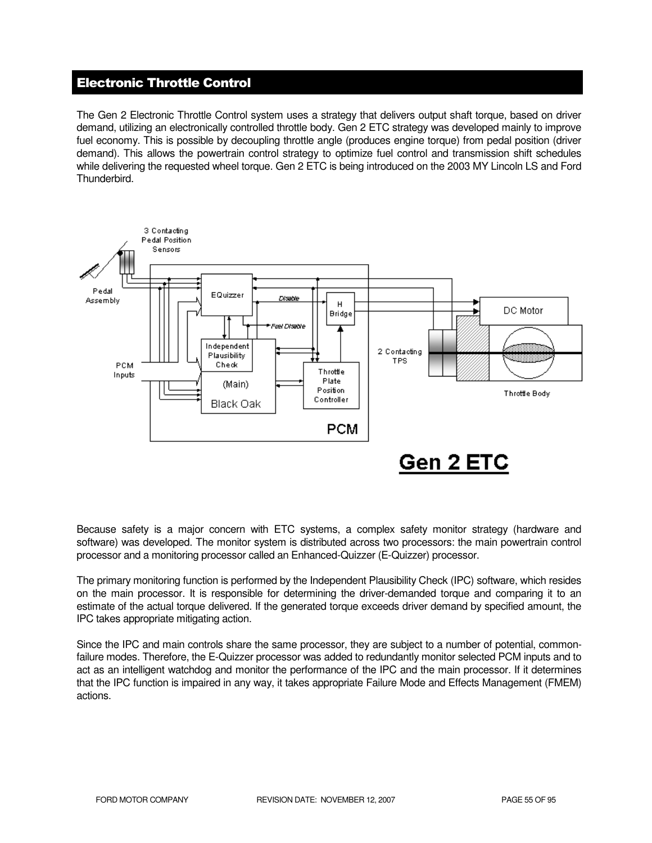# Electronic Throttle Control

The Gen 2 Electronic Throttle Control system uses a strategy that delivers output shaft torque, based on driver demand, utilizing an electronically controlled throttle body. Gen 2 ETC strategy was developed mainly to improve fuel economy. This is possible by decoupling throttle angle (produces engine torque) from pedal position (driver demand). This allows the powertrain control strategy to optimize fuel control and transmission shift schedules while delivering the requested wheel torque. Gen 2 ETC is being introduced on the 2003 MY Lincoln LS and Ford Thunderbird.



Because safety is a major concern with ETC systems, a complex safety monitor strategy (hardware and software) was developed. The monitor system is distributed across two processors: the main powertrain control processor and a monitoring processor called an Enhanced-Quizzer (E-Quizzer) processor.

The primary monitoring function is performed by the Independent Plausibility Check (IPC) software, which resides on the main processor. It is responsible for determining the driver-demanded torque and comparing it to an estimate of the actual torque delivered. If the generated torque exceeds driver demand by specified amount, the IPC takes appropriate mitigating action.

Since the IPC and main controls share the same processor, they are subject to a number of potential, commonfailure modes. Therefore, the E-Quizzer processor was added to redundantly monitor selected PCM inputs and to act as an intelligent watchdog and monitor the performance of the IPC and the main processor. If it determines that the IPC function is impaired in any way, it takes appropriate Failure Mode and Effects Management (FMEM) actions.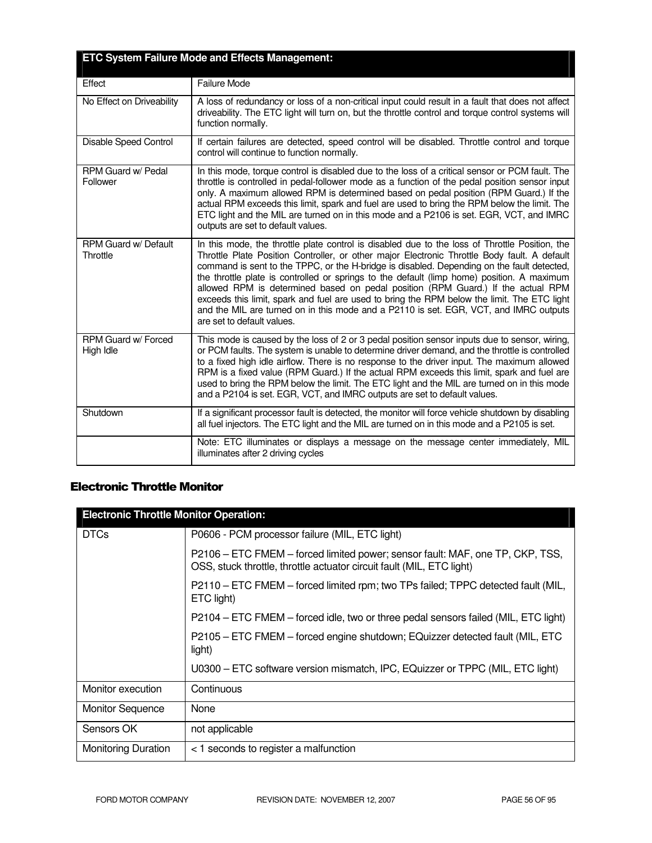| <b>ETC System Failure Mode and Effects Management:</b> |                                                                                                                                                                                                                                                                                                                                                                                                                                                                                                                                                                                                                                                                                                      |  |
|--------------------------------------------------------|------------------------------------------------------------------------------------------------------------------------------------------------------------------------------------------------------------------------------------------------------------------------------------------------------------------------------------------------------------------------------------------------------------------------------------------------------------------------------------------------------------------------------------------------------------------------------------------------------------------------------------------------------------------------------------------------------|--|
| Effect                                                 | Failure Mode                                                                                                                                                                                                                                                                                                                                                                                                                                                                                                                                                                                                                                                                                         |  |
| No Effect on Driveability                              | A loss of redundancy or loss of a non-critical input could result in a fault that does not affect<br>driveability. The ETC light will turn on, but the throttle control and torque control systems will<br>function normally.                                                                                                                                                                                                                                                                                                                                                                                                                                                                        |  |
| Disable Speed Control                                  | If certain failures are detected, speed control will be disabled. Throttle control and torque<br>control will continue to function normally.                                                                                                                                                                                                                                                                                                                                                                                                                                                                                                                                                         |  |
| RPM Guard w/ Pedal<br>Follower                         | In this mode, torque control is disabled due to the loss of a critical sensor or PCM fault. The<br>throttle is controlled in pedal-follower mode as a function of the pedal position sensor input<br>only. A maximum allowed RPM is determined based on pedal position (RPM Guard.) If the<br>actual RPM exceeds this limit, spark and fuel are used to bring the RPM below the limit. The<br>ETC light and the MIL are turned on in this mode and a P2106 is set. EGR, VCT, and IMRC<br>outputs are set to default values.                                                                                                                                                                          |  |
| <b>RPM Guard w/ Default</b><br>Throttle                | In this mode, the throttle plate control is disabled due to the loss of Throttle Position, the<br>Throttle Plate Position Controller, or other major Electronic Throttle Body fault. A default<br>command is sent to the TPPC, or the H-bridge is disabled. Depending on the fault detected,<br>the throttle plate is controlled or springs to the default (limp home) position. A maximum<br>allowed RPM is determined based on pedal position (RPM Guard.) If the actual RPM<br>exceeds this limit, spark and fuel are used to bring the RPM below the limit. The ETC light<br>and the MIL are turned on in this mode and a P2110 is set. EGR, VCT, and IMRC outputs<br>are set to default values. |  |
| RPM Guard w/ Forced<br>High Idle                       | This mode is caused by the loss of 2 or 3 pedal position sensor inputs due to sensor, wiring,<br>or PCM faults. The system is unable to determine driver demand, and the throttle is controlled<br>to a fixed high idle airflow. There is no response to the driver input. The maximum allowed<br>RPM is a fixed value (RPM Guard.) If the actual RPM exceeds this limit, spark and fuel are<br>used to bring the RPM below the limit. The ETC light and the MIL are turned on in this mode<br>and a P2104 is set. EGR, VCT, and IMRC outputs are set to default values.                                                                                                                             |  |
| Shutdown                                               | If a significant processor fault is detected, the monitor will force vehicle shutdown by disabling<br>all fuel injectors. The ETC light and the MIL are turned on in this mode and a P2105 is set.                                                                                                                                                                                                                                                                                                                                                                                                                                                                                                   |  |
|                                                        | Note: ETC illuminates or displays a message on the message center immediately, MIL<br>illuminates after 2 driving cycles                                                                                                                                                                                                                                                                                                                                                                                                                                                                                                                                                                             |  |

## Electronic Throttle Monitor

| <b>Electronic Throttle Monitor Operation:</b> |                                                                                                                                                        |  |
|-----------------------------------------------|--------------------------------------------------------------------------------------------------------------------------------------------------------|--|
| <b>DTCs</b>                                   | P0606 - PCM processor failure (MIL, ETC light)                                                                                                         |  |
|                                               | P2106 – ETC FMEM – forced limited power; sensor fault: MAF, one TP, CKP, TSS,<br>OSS, stuck throttle, throttle actuator circuit fault (MIL, ETC light) |  |
|                                               | P2110 - ETC FMEM - forced limited rpm; two TPs failed; TPPC detected fault (MIL,<br>ETC light)                                                         |  |
|                                               | P2104 – ETC FMEM – forced idle, two or three pedal sensors failed (MIL, ETC light)                                                                     |  |
|                                               | P2105 - ETC FMEM - forced engine shutdown; EQuizzer detected fault (MIL, ETC<br>light)                                                                 |  |
|                                               | U0300 – ETC software version mismatch, IPC, EQuizzer or TPPC (MIL, ETC light)                                                                          |  |
| Monitor execution                             | Continuous                                                                                                                                             |  |
| <b>Monitor Sequence</b>                       | None                                                                                                                                                   |  |
| Sensors OK                                    | not applicable                                                                                                                                         |  |
| <b>Monitoring Duration</b>                    | < 1 seconds to register a malfunction                                                                                                                  |  |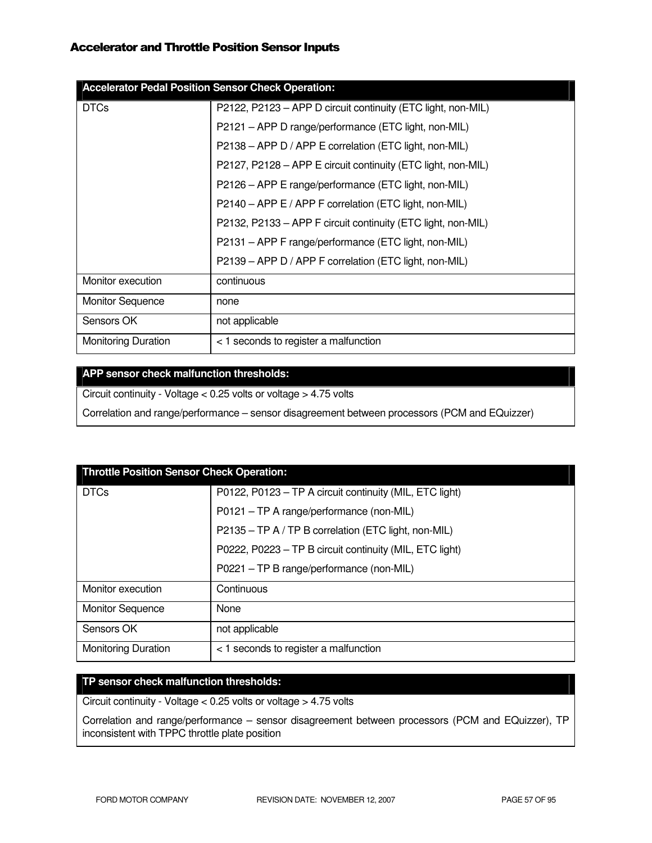| <b>Accelerator Pedal Position Sensor Check Operation:</b> |                                                              |  |
|-----------------------------------------------------------|--------------------------------------------------------------|--|
| <b>DTCs</b>                                               | P2122, P2123 - APP D circuit continuity (ETC light, non-MIL) |  |
|                                                           | P2121 - APP D range/performance (ETC light, non-MIL)         |  |
|                                                           | P2138 - APP D / APP E correlation (ETC light, non-MIL)       |  |
|                                                           | P2127, P2128 - APP E circuit continuity (ETC light, non-MIL) |  |
|                                                           | P2126 – APP E range/performance (ETC light, non-MIL)         |  |
|                                                           | P2140 - APP E / APP F correlation (ETC light, non-MIL)       |  |
|                                                           | P2132, P2133 - APP F circuit continuity (ETC light, non-MIL) |  |
|                                                           | P2131 - APP F range/performance (ETC light, non-MIL)         |  |
|                                                           | P2139 - APP D / APP F correlation (ETC light, non-MIL)       |  |
| Monitor execution                                         | continuous                                                   |  |
| <b>Monitor Sequence</b>                                   | none                                                         |  |
| Sensors OK                                                | not applicable                                               |  |
| <b>Monitoring Duration</b>                                | < 1 seconds to register a malfunction                        |  |

## **APP sensor check malfunction thresholds:**

Circuit continuity - Voltage < 0.25 volts or voltage > 4.75 volts

Correlation and range/performance – sensor disagreement between processors (PCM and EQuizzer)

| <b>Throttle Position Sensor Check Operation:</b> |                                                         |  |
|--------------------------------------------------|---------------------------------------------------------|--|
| <b>DTCs</b>                                      | P0122, P0123 - TP A circuit continuity (MIL, ETC light) |  |
|                                                  | P0121 - TP A range/performance (non-MIL)                |  |
|                                                  | P2135 - TP A / TP B correlation (ETC light, non-MIL)    |  |
|                                                  | P0222, P0223 - TP B circuit continuity (MIL, ETC light) |  |
|                                                  | P0221 - TP B range/performance (non-MIL)                |  |
| Monitor execution                                | Continuous                                              |  |
| <b>Monitor Sequence</b>                          | None                                                    |  |
| Sensors OK                                       | not applicable                                          |  |
| <b>Monitoring Duration</b>                       | < 1 seconds to register a malfunction                   |  |

## **TP sensor check malfunction thresholds:**

Circuit continuity - Voltage < 0.25 volts or voltage > 4.75 volts

Correlation and range/performance – sensor disagreement between processors (PCM and EQuizzer), TP inconsistent with TPPC throttle plate position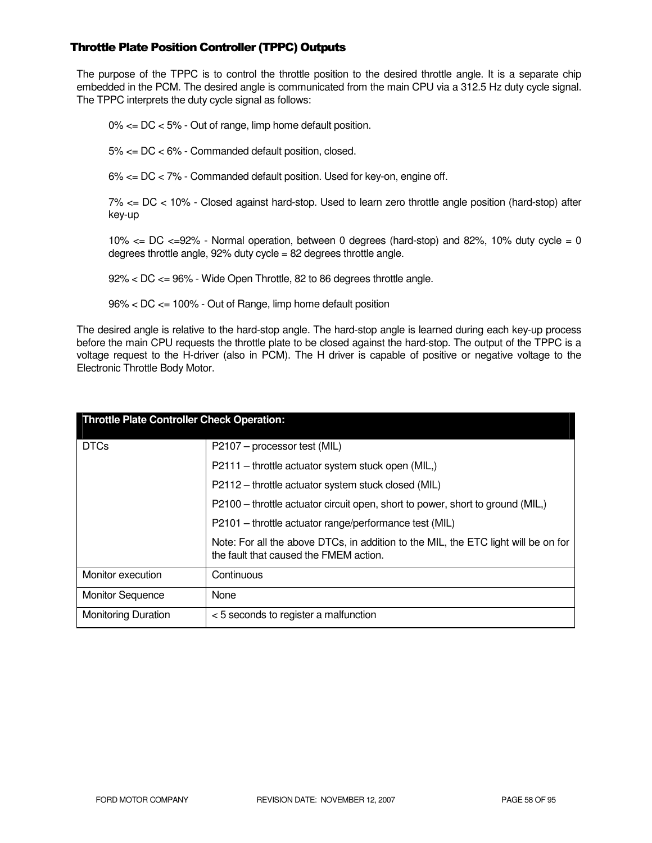## Throttle Plate Position Controller (TPPC) Outputs

The purpose of the TPPC is to control the throttle position to the desired throttle angle. It is a separate chip embedded in the PCM. The desired angle is communicated from the main CPU via a 312.5 Hz duty cycle signal. The TPPC interprets the duty cycle signal as follows:

0% <= DC < 5% - Out of range, limp home default position.

5% <= DC < 6% - Commanded default position, closed.

6% <= DC < 7% - Commanded default position. Used for key-on, engine off.

7% <= DC < 10% - Closed against hard-stop. Used to learn zero throttle angle position (hard-stop) after key-up

10%  $\lt$  DC  $\lt$  =92% - Normal operation, between 0 degrees (hard-stop) and 82%, 10% duty cycle = 0 degrees throttle angle, 92% duty cycle = 82 degrees throttle angle.

92% < DC <= 96% - Wide Open Throttle, 82 to 86 degrees throttle angle.

96% < DC <= 100% - Out of Range, limp home default position

The desired angle is relative to the hard-stop angle. The hard-stop angle is learned during each key-up process before the main CPU requests the throttle plate to be closed against the hard-stop. The output of the TPPC is a voltage request to the H-driver (also in PCM). The H driver is capable of positive or negative voltage to the Electronic Throttle Body Motor.

| <b>Throttle Plate Controller Check Operation:</b> |                                                                                                                              |  |
|---------------------------------------------------|------------------------------------------------------------------------------------------------------------------------------|--|
| <b>DTCs</b>                                       | P2107 - processor test (MIL)                                                                                                 |  |
|                                                   | P2111 – throttle actuator system stuck open (MIL,)                                                                           |  |
|                                                   | P2112 – throttle actuator system stuck closed (MIL)                                                                          |  |
|                                                   | P2100 – throttle actuator circuit open, short to power, short to ground (MIL,)                                               |  |
|                                                   | P2101 - throttle actuator range/performance test (MIL)                                                                       |  |
|                                                   | Note: For all the above DTCs, in addition to the MIL, the ETC light will be on for<br>the fault that caused the FMEM action. |  |
| Monitor execution                                 | Continuous                                                                                                                   |  |
| <b>Monitor Sequence</b>                           | None                                                                                                                         |  |
| <b>Monitoring Duration</b>                        | < 5 seconds to register a malfunction                                                                                        |  |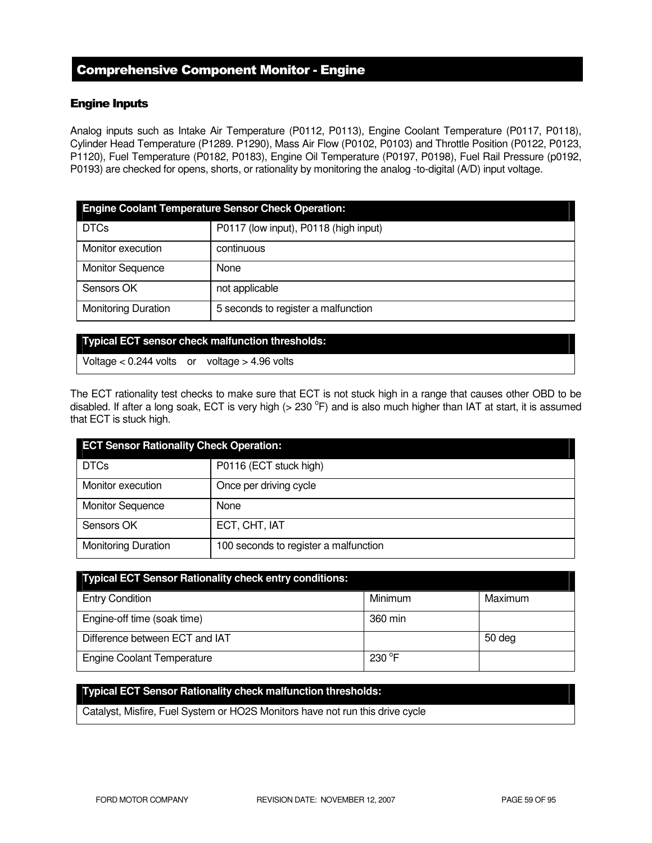## Comprehensive Component Monitor - Engine

## Engine Inputs

Analog inputs such as Intake Air Temperature (P0112, P0113), Engine Coolant Temperature (P0117, P0118), Cylinder Head Temperature (P1289. P1290), Mass Air Flow (P0102, P0103) and Throttle Position (P0122, P0123, P1120), Fuel Temperature (P0182, P0183), Engine Oil Temperature (P0197, P0198), Fuel Rail Pressure (p0192, P0193) are checked for opens, shorts, or rationality by monitoring the analog -to-digital (A/D) input voltage.

| <b>Engine Coolant Temperature Sensor Check Operation:</b> |                                       |  |
|-----------------------------------------------------------|---------------------------------------|--|
| <b>DTCs</b>                                               | P0117 (low input), P0118 (high input) |  |
| Monitor execution                                         | continuous                            |  |
| <b>Monitor Sequence</b>                                   | None                                  |  |
| Sensors OK                                                | not applicable                        |  |
| <b>Monitoring Duration</b>                                | 5 seconds to register a malfunction   |  |

#### **Typical ECT sensor check malfunction thresholds:**

Voltage  $< 0.244$  volts or voltage  $> 4.96$  volts

The ECT rationality test checks to make sure that ECT is not stuck high in a range that causes other OBD to be disabled. If after a long soak, ECT is very high  $(>230\text{ °F})$  and is also much higher than IAT at start, it is assumed that ECT is stuck high.

| <b>ECT Sensor Rationality Check Operation:</b> |                                       |  |
|------------------------------------------------|---------------------------------------|--|
| <b>DTCs</b>                                    | P0116 (ECT stuck high)                |  |
| Monitor execution                              | Once per driving cycle                |  |
| <b>Monitor Sequence</b>                        | None                                  |  |
| Sensors OK                                     | ECT, CHT, IAT                         |  |
| <b>Monitoring Duration</b>                     | 100 seconds to register a malfunction |  |

| <b>Typical ECT Sensor Rationality check entry conditions:</b> |                  |         |
|---------------------------------------------------------------|------------------|---------|
| <b>Entry Condition</b>                                        | Minimum          | Maximum |
| Engine-off time (soak time)                                   | 360 min          |         |
| Difference between ECT and IAT                                |                  | 50 deg  |
| <b>Engine Coolant Temperature</b>                             | 230 $^{\circ}$ F |         |

## **Typical ECT Sensor Rationality check malfunction thresholds:**

Catalyst, Misfire, Fuel System or HO2S Monitors have not run this drive cycle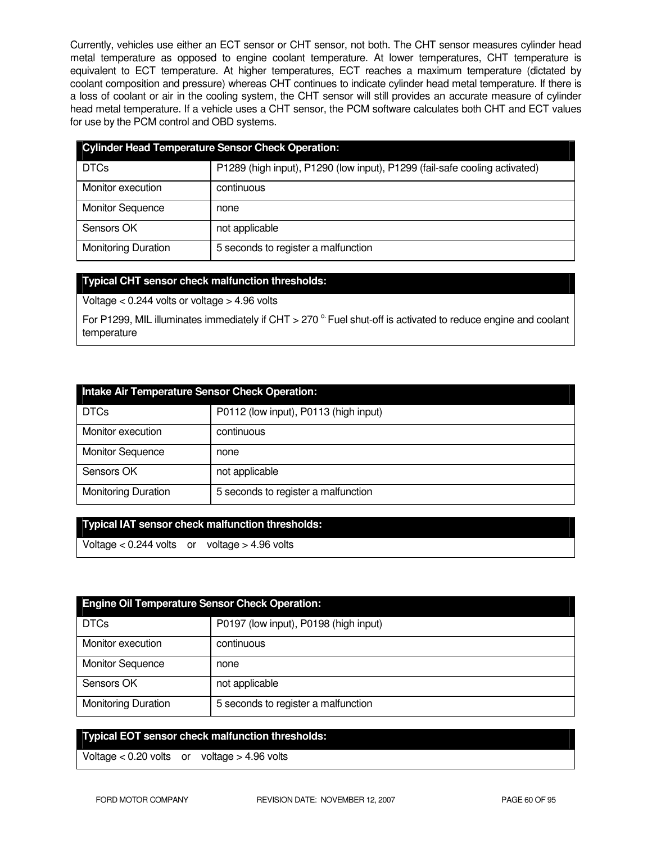Currently, vehicles use either an ECT sensor or CHT sensor, not both. The CHT sensor measures cylinder head metal temperature as opposed to engine coolant temperature. At lower temperatures, CHT temperature is equivalent to ECT temperature. At higher temperatures, ECT reaches a maximum temperature (dictated by coolant composition and pressure) whereas CHT continues to indicate cylinder head metal temperature. If there is a loss of coolant or air in the cooling system, the CHT sensor will still provides an accurate measure of cylinder head metal temperature. If a vehicle uses a CHT sensor, the PCM software calculates both CHT and ECT values for use by the PCM control and OBD systems.

| <b>Cylinder Head Temperature Sensor Check Operation:</b> |                                                                            |  |
|----------------------------------------------------------|----------------------------------------------------------------------------|--|
| <b>DTCs</b>                                              | P1289 (high input), P1290 (low input), P1299 (fail-safe cooling activated) |  |
| Monitor execution                                        | continuous                                                                 |  |
| <b>Monitor Sequence</b>                                  | none                                                                       |  |
| Sensors OK                                               | not applicable                                                             |  |
| <b>Monitoring Duration</b>                               | 5 seconds to register a malfunction                                        |  |

## **Typical CHT sensor check malfunction thresholds:**

Voltage  $< 0.244$  volts or voltage  $> 4.96$  volts

For P1299, MIL illuminates immediately if CHT > 270  $^{\circ}$  Fuel shut-off is activated to reduce engine and coolant temperature

| Intake Air Temperature Sensor Check Operation: |                                       |  |
|------------------------------------------------|---------------------------------------|--|
| <b>DTCs</b>                                    | P0112 (low input), P0113 (high input) |  |
| Monitor execution                              | continuous                            |  |
| <b>Monitor Sequence</b>                        | none                                  |  |
| Sensors OK                                     | not applicable                        |  |
| <b>Monitoring Duration</b>                     | 5 seconds to register a malfunction   |  |

# **Typical IAT sensor check malfunction thresholds:**

Voltage < 0.244 volts or voltage > 4.96 volts

| <b>Engine Oil Temperature Sensor Check Operation:</b> |                                       |  |
|-------------------------------------------------------|---------------------------------------|--|
| <b>DTCs</b>                                           | P0197 (low input), P0198 (high input) |  |
| Monitor execution                                     | continuous                            |  |
| <b>Monitor Sequence</b>                               | none                                  |  |
| Sensors OK                                            | not applicable                        |  |
| <b>Monitoring Duration</b>                            | 5 seconds to register a malfunction   |  |

## **Typical EOT sensor check malfunction thresholds:**

Voltage < 0.20 volts or voltage > 4.96 volts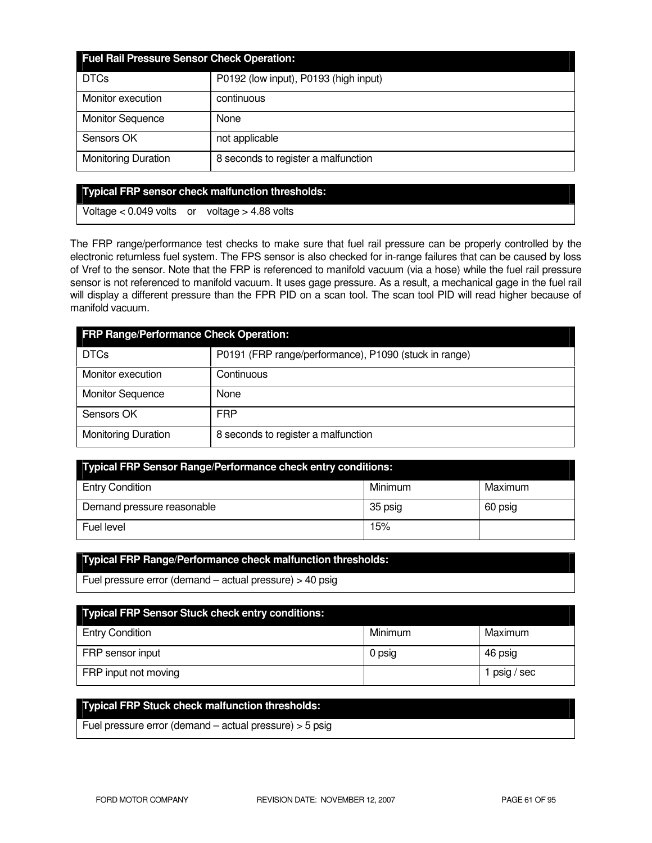| <b>Fuel Rail Pressure Sensor Check Operation:</b> |                                       |  |
|---------------------------------------------------|---------------------------------------|--|
| <b>DTCs</b>                                       | P0192 (low input), P0193 (high input) |  |
| Monitor execution                                 | continuous                            |  |
| <b>Monitor Sequence</b>                           | None                                  |  |
| Sensors OK                                        | not applicable                        |  |
| <b>Monitoring Duration</b>                        | 8 seconds to register a malfunction   |  |

#### **Typical FRP sensor check malfunction thresholds:**

Voltage < 0.049 volts or voltage > 4.88 volts

The FRP range/performance test checks to make sure that fuel rail pressure can be properly controlled by the electronic returnless fuel system. The FPS sensor is also checked for in-range failures that can be caused by loss of Vref to the sensor. Note that the FRP is referenced to manifold vacuum (via a hose) while the fuel rail pressure sensor is not referenced to manifold vacuum. It uses gage pressure. As a result, a mechanical gage in the fuel rail will display a different pressure than the FPR PID on a scan tool. The scan tool PID will read higher because of manifold vacuum.

| <b>FRP Range/Performance Check Operation:</b> |                                                       |  |
|-----------------------------------------------|-------------------------------------------------------|--|
| <b>DTCs</b>                                   | P0191 (FRP range/performance), P1090 (stuck in range) |  |
| Monitor execution                             | Continuous                                            |  |
| <b>Monitor Sequence</b>                       | None                                                  |  |
| Sensors OK                                    | <b>FRP</b>                                            |  |
| <b>Monitoring Duration</b>                    | 8 seconds to register a malfunction                   |  |

| Typical FRP Sensor Range/Performance check entry conditions: |         |         |  |
|--------------------------------------------------------------|---------|---------|--|
| <b>Entry Condition</b>                                       | Minimum | Maximum |  |
| Demand pressure reasonable                                   | 35 psig | 60 psig |  |
| Fuel level                                                   | 15%     |         |  |

## **Typical FRP Range/Performance check malfunction thresholds:**

Fuel pressure error (demand – actual pressure) > 40 psig

| <b>Typical FRP Sensor Stuck check entry conditions:</b> |         |            |
|---------------------------------------------------------|---------|------------|
| <b>Entry Condition</b>                                  | Minimum | Maximum    |
| FRP sensor input                                        | 0 psig  | 46 psig    |
| FRP input not moving                                    |         | psig / sec |

# **Typical FRP Stuck check malfunction thresholds:**

Fuel pressure error (demand – actual pressure) > 5 psig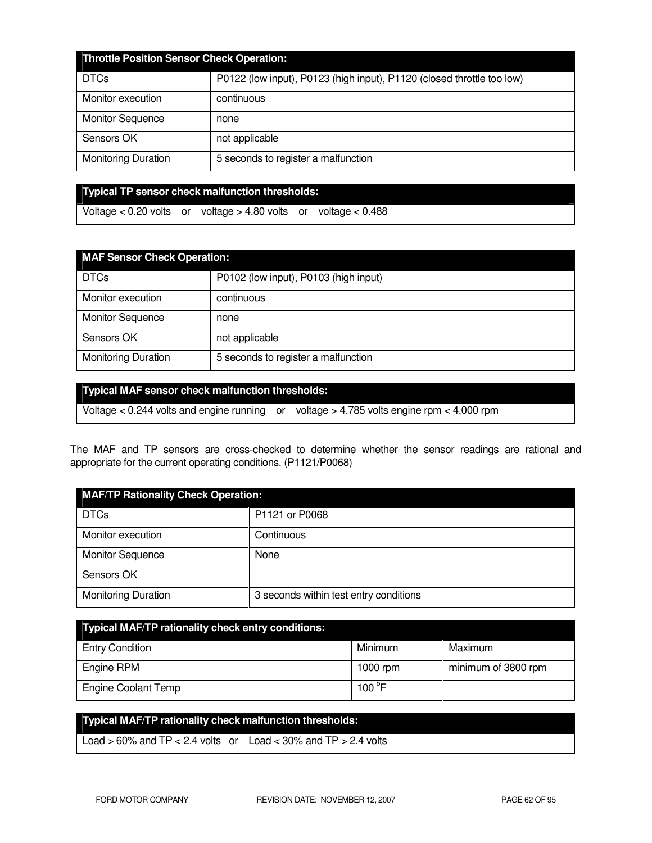| Throttle Position Sensor Check Operation: |                                                                        |  |
|-------------------------------------------|------------------------------------------------------------------------|--|
| <b>DTCs</b>                               | P0122 (low input), P0123 (high input), P1120 (closed throttle too low) |  |
| Monitor execution                         | continuous                                                             |  |
| <b>Monitor Sequence</b>                   | none                                                                   |  |
| Sensors OK                                | not applicable                                                         |  |
| <b>Monitoring Duration</b>                | 5 seconds to register a malfunction                                    |  |

**Typical TP sensor check malfunction thresholds:** 

Voltage < 0.20 volts or voltage > 4.80 volts or voltage < 0.488

| <b>MAF Sensor Check Operation:</b> |                                       |  |
|------------------------------------|---------------------------------------|--|
| <b>DTCs</b>                        | P0102 (low input), P0103 (high input) |  |
| Monitor execution                  | continuous                            |  |
| <b>Monitor Sequence</b>            | none                                  |  |
| Sensors OK                         | not applicable                        |  |
| <b>Monitoring Duration</b>         | 5 seconds to register a malfunction   |  |

## **Typical MAF sensor check malfunction thresholds:**

Voltage < 0.244 volts and engine running or voltage > 4.785 volts engine rpm < 4,000 rpm

The MAF and TP sensors are cross-checked to determine whether the sensor readings are rational and appropriate for the current operating conditions. (P1121/P0068)

| <b>MAF/TP Rationality Check Operation:</b> |                                        |  |
|--------------------------------------------|----------------------------------------|--|
| <b>DTCs</b>                                | P1121 or P0068                         |  |
| Monitor execution                          | Continuous                             |  |
| <b>Monitor Sequence</b>                    | None                                   |  |
| Sensors OK                                 |                                        |  |
| <b>Monitoring Duration</b>                 | 3 seconds within test entry conditions |  |

| <b>Typical MAF/TP rationality check entry conditions:</b> |                 |                     |  |
|-----------------------------------------------------------|-----------------|---------------------|--|
| <b>Entry Condition</b>                                    | Minimum         | Maximum             |  |
| Engine RPM                                                | 1000 rpm        | minimum of 3800 rpm |  |
| <b>Engine Coolant Temp</b>                                | 100 $\degree$ F |                     |  |

# **Typical MAF/TP rationality check malfunction thresholds:**  Load  $> 60\%$  and TP  $< 2.4$  volts or Load  $< 30\%$  and TP  $> 2.4$  volts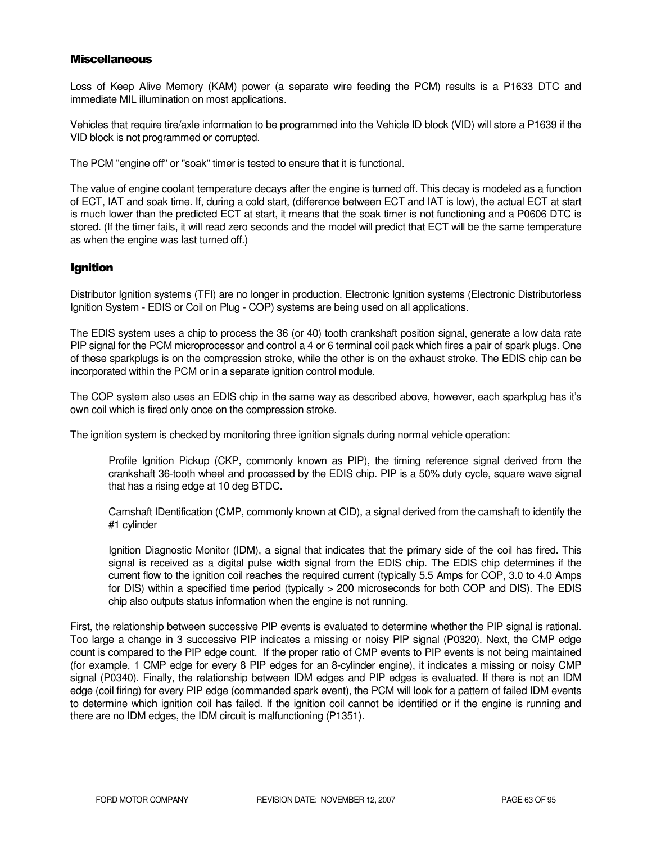#### **Miscellaneous**

Loss of Keep Alive Memory (KAM) power (a separate wire feeding the PCM) results is a P1633 DTC and immediate MIL illumination on most applications.

Vehicles that require tire/axle information to be programmed into the Vehicle ID block (VID) will store a P1639 if the VID block is not programmed or corrupted.

The PCM "engine off" or "soak" timer is tested to ensure that it is functional.

The value of engine coolant temperature decays after the engine is turned off. This decay is modeled as a function of ECT, IAT and soak time. If, during a cold start, (difference between ECT and IAT is low), the actual ECT at start is much lower than the predicted ECT at start, it means that the soak timer is not functioning and a P0606 DTC is stored. (If the timer fails, it will read zero seconds and the model will predict that ECT will be the same temperature as when the engine was last turned off.)

## Ignition

Distributor Ignition systems (TFI) are no longer in production. Electronic Ignition systems (Electronic Distributorless Ignition System - EDIS or Coil on Plug - COP) systems are being used on all applications.

The EDIS system uses a chip to process the 36 (or 40) tooth crankshaft position signal, generate a low data rate PIP signal for the PCM microprocessor and control a 4 or 6 terminal coil pack which fires a pair of spark plugs. One of these sparkplugs is on the compression stroke, while the other is on the exhaust stroke. The EDIS chip can be incorporated within the PCM or in a separate ignition control module.

The COP system also uses an EDIS chip in the same way as described above, however, each sparkplug has it's own coil which is fired only once on the compression stroke.

The ignition system is checked by monitoring three ignition signals during normal vehicle operation:

Profile Ignition Pickup (CKP, commonly known as PIP), the timing reference signal derived from the crankshaft 36-tooth wheel and processed by the EDIS chip. PIP is a 50% duty cycle, square wave signal that has a rising edge at 10 deg BTDC.

Camshaft IDentification (CMP, commonly known at CID), a signal derived from the camshaft to identify the #1 cylinder

Ignition Diagnostic Monitor (IDM), a signal that indicates that the primary side of the coil has fired. This signal is received as a digital pulse width signal from the EDIS chip. The EDIS chip determines if the current flow to the ignition coil reaches the required current (typically 5.5 Amps for COP, 3.0 to 4.0 Amps for DIS) within a specified time period (typically > 200 microseconds for both COP and DIS). The EDIS chip also outputs status information when the engine is not running.

First, the relationship between successive PIP events is evaluated to determine whether the PIP signal is rational. Too large a change in 3 successive PIP indicates a missing or noisy PIP signal (P0320). Next, the CMP edge count is compared to the PIP edge count. If the proper ratio of CMP events to PIP events is not being maintained (for example, 1 CMP edge for every 8 PIP edges for an 8-cylinder engine), it indicates a missing or noisy CMP signal (P0340). Finally, the relationship between IDM edges and PIP edges is evaluated. If there is not an IDM edge (coil firing) for every PIP edge (commanded spark event), the PCM will look for a pattern of failed IDM events to determine which ignition coil has failed. If the ignition coil cannot be identified or if the engine is running and there are no IDM edges, the IDM circuit is malfunctioning (P1351).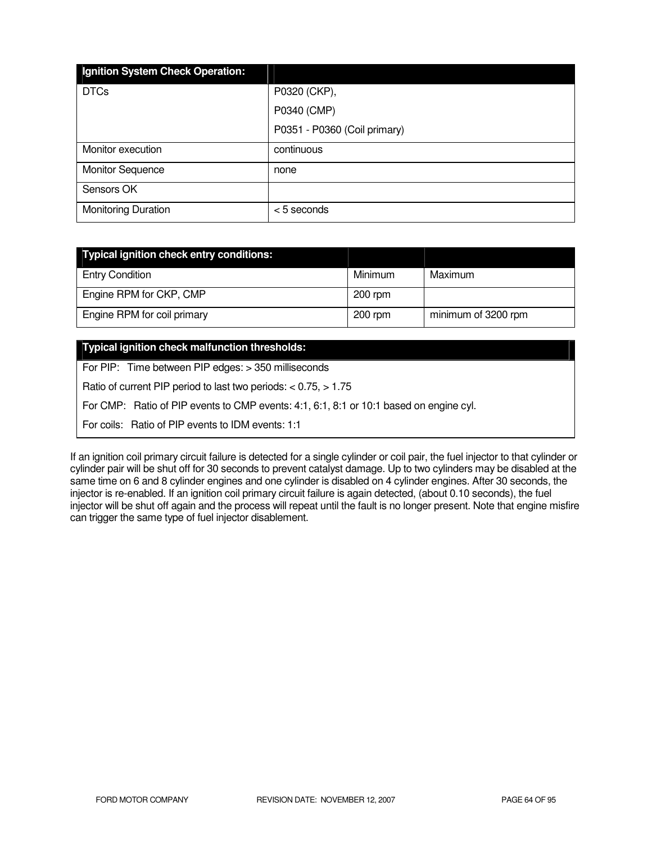| Ignition System Check Operation: |                              |
|----------------------------------|------------------------------|
| <b>DTCs</b>                      | P0320 (CKP),                 |
|                                  | P0340 (CMP)                  |
|                                  | P0351 - P0360 (Coil primary) |
| Monitor execution                | continuous                   |
| <b>Monitor Sequence</b>          | none                         |
| Sensors OK                       |                              |
| <b>Monitoring Duration</b>       | <5 seconds                   |

| Typical ignition check entry conditions: |           |                     |
|------------------------------------------|-----------|---------------------|
| <b>Entry Condition</b>                   | Minimum   | Maximum             |
| Engine RPM for CKP, CMP                  | $200$ rpm |                     |
| Engine RPM for coil primary              | $200$ rpm | minimum of 3200 rpm |

## **Typical ignition check malfunction thresholds:**

For PIP: Time between PIP edges: > 350 milliseconds

Ratio of current PIP period to last two periods: < 0.75, > 1.75

For CMP: Ratio of PIP events to CMP events: 4:1, 6:1, 8:1 or 10:1 based on engine cyl.

For coils: Ratio of PIP events to IDM events: 1:1

If an ignition coil primary circuit failure is detected for a single cylinder or coil pair, the fuel injector to that cylinder or cylinder pair will be shut off for 30 seconds to prevent catalyst damage. Up to two cylinders may be disabled at the same time on 6 and 8 cylinder engines and one cylinder is disabled on 4 cylinder engines. After 30 seconds, the injector is re-enabled. If an ignition coil primary circuit failure is again detected, (about 0.10 seconds), the fuel injector will be shut off again and the process will repeat until the fault is no longer present. Note that engine misfire can trigger the same type of fuel injector disablement.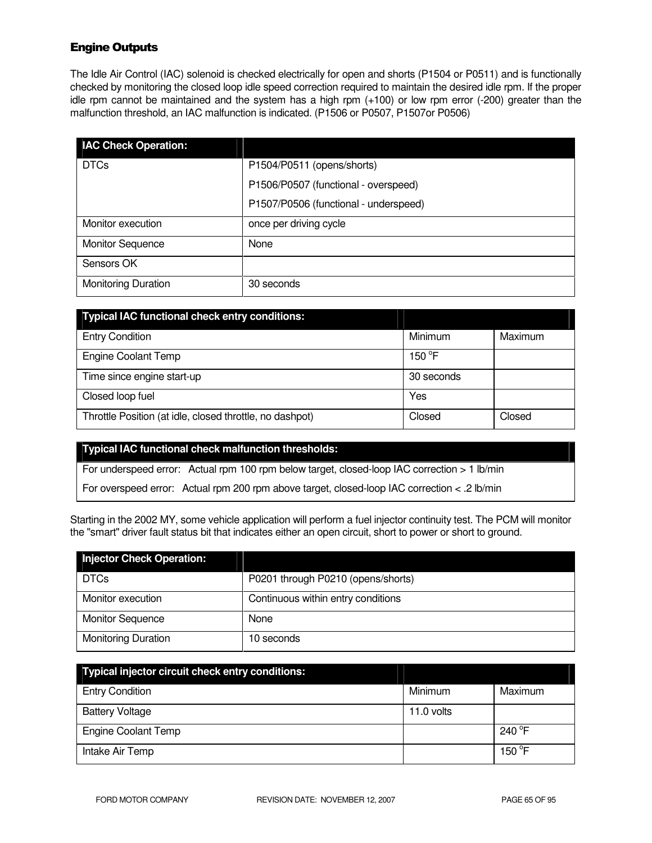## Engine Outputs

The Idle Air Control (IAC) solenoid is checked electrically for open and shorts (P1504 or P0511) and is functionally checked by monitoring the closed loop idle speed correction required to maintain the desired idle rpm. If the proper idle rpm cannot be maintained and the system has a high rpm (+100) or low rpm error (-200) greater than the malfunction threshold, an IAC malfunction is indicated. (P1506 or P0507, P1507or P0506)

| <b>IAC Check Operation:</b> |                                       |
|-----------------------------|---------------------------------------|
| <b>DTCs</b>                 | P1504/P0511 (opens/shorts)            |
|                             | P1506/P0507 (functional - overspeed)  |
|                             | P1507/P0506 (functional - underspeed) |
| Monitor execution           | once per driving cycle                |
| <b>Monitor Sequence</b>     | None                                  |
| Sensors OK                  |                                       |
| <b>Monitoring Duration</b>  | 30 seconds                            |

| <b>Typical IAC functional check entry conditions:</b>    |            |         |
|----------------------------------------------------------|------------|---------|
| <b>Entry Condition</b>                                   | Minimum    | Maximum |
| <b>Engine Coolant Temp</b>                               | 150 °F     |         |
| Time since engine start-up                               | 30 seconds |         |
| Closed loop fuel                                         | Yes        |         |
| Throttle Position (at idle, closed throttle, no dashpot) | Closed     | Closed  |

#### **Typical IAC functional check malfunction thresholds:**

For underspeed error: Actual rpm 100 rpm below target, closed-loop IAC correction > 1 lb/min

For overspeed error: Actual rpm 200 rpm above target, closed-loop IAC correction < .2 lb/min

Starting in the 2002 MY, some vehicle application will perform a fuel injector continuity test. The PCM will monitor the "smart" driver fault status bit that indicates either an open circuit, short to power or short to ground.

| <b>Injector Check Operation:</b> |                                    |
|----------------------------------|------------------------------------|
| <b>DTCs</b>                      | P0201 through P0210 (opens/shorts) |
| Monitor execution                | Continuous within entry conditions |
| <b>Monitor Sequence</b>          | None                               |
| <b>Monitoring Duration</b>       | 10 seconds                         |

| Typical injector circuit check entry conditions: |            |                  |
|--------------------------------------------------|------------|------------------|
| <b>Entry Condition</b>                           | Minimum    | Maximum          |
| <b>Battery Voltage</b>                           | 11.0 volts |                  |
| <b>Engine Coolant Temp</b>                       |            | 240 $^{\circ}$ F |
| Intake Air Temp                                  |            | 150 $\degree$ F  |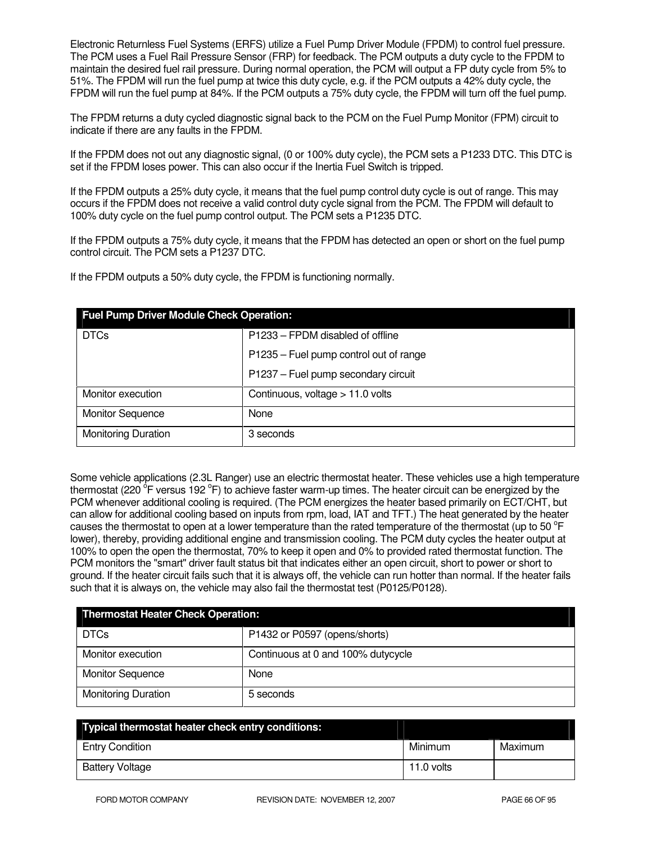Electronic Returnless Fuel Systems (ERFS) utilize a Fuel Pump Driver Module (FPDM) to control fuel pressure. The PCM uses a Fuel Rail Pressure Sensor (FRP) for feedback. The PCM outputs a duty cycle to the FPDM to maintain the desired fuel rail pressure. During normal operation, the PCM will output a FP duty cycle from 5% to 51%. The FPDM will run the fuel pump at twice this duty cycle, e.g. if the PCM outputs a 42% duty cycle, the FPDM will run the fuel pump at 84%. If the PCM outputs a 75% duty cycle, the FPDM will turn off the fuel pump.

The FPDM returns a duty cycled diagnostic signal back to the PCM on the Fuel Pump Monitor (FPM) circuit to indicate if there are any faults in the FPDM.

If the FPDM does not out any diagnostic signal, (0 or 100% duty cycle), the PCM sets a P1233 DTC. This DTC is set if the FPDM loses power. This can also occur if the Inertia Fuel Switch is tripped.

If the FPDM outputs a 25% duty cycle, it means that the fuel pump control duty cycle is out of range. This may occurs if the FPDM does not receive a valid control duty cycle signal from the PCM. The FPDM will default to 100% duty cycle on the fuel pump control output. The PCM sets a P1235 DTC.

If the FPDM outputs a 75% duty cycle, it means that the FPDM has detected an open or short on the fuel pump control circuit. The PCM sets a P1237 DTC.

If the FPDM outputs a 50% duty cycle, the FPDM is functioning normally.

| <b>Fuel Pump Driver Module Check Operation:</b> |                                        |  |
|-------------------------------------------------|----------------------------------------|--|
| <b>DTCs</b>                                     | P1233 – FPDM disabled of offline       |  |
|                                                 | P1235 - Fuel pump control out of range |  |
|                                                 | P1237 - Fuel pump secondary circuit    |  |
| Monitor execution                               | Continuous, voltage > 11.0 volts       |  |
| <b>Monitor Sequence</b>                         | None                                   |  |
| <b>Monitoring Duration</b>                      | 3 seconds                              |  |

Some vehicle applications (2.3L Ranger) use an electric thermostat heater. These vehicles use a high temperature thermostat (220 <sup>o</sup>F versus 192 °F) to achieve faster warm-up times. The heater circuit can be energized by the PCM whenever additional cooling is required. (The PCM energizes the heater based primarily on ECT/CHT, but can allow for additional cooling based on inputs from rpm, load, IAT and TFT.) The heat generated by the heater causes the thermostat to open at a lower temperature than the rated temperature of the thermostat (up to 50  $\degree$ F lower), thereby, providing additional engine and transmission cooling. The PCM duty cycles the heater output at 100% to open the open the thermostat, 70% to keep it open and 0% to provided rated thermostat function. The PCM monitors the "smart" driver fault status bit that indicates either an open circuit, short to power or short to ground. If the heater circuit fails such that it is always off, the vehicle can run hotter than normal. If the heater fails such that it is always on, the vehicle may also fail the thermostat test (P0125/P0128).

| <b>Thermostat Heater Check Operation:</b> |                                    |  |
|-------------------------------------------|------------------------------------|--|
| <b>DTCs</b>                               | P1432 or P0597 (opens/shorts)      |  |
| Monitor execution                         | Continuous at 0 and 100% dutycycle |  |
| <b>Monitor Sequence</b>                   | None                               |  |
| <b>Monitoring Duration</b>                | 5 seconds                          |  |

| Typical thermostat heater check entry conditions: |            |         |
|---------------------------------------------------|------------|---------|
| <b>Entry Condition</b>                            | Minimum    | Maximum |
| <b>Battery Voltage</b>                            | 11.0 volts |         |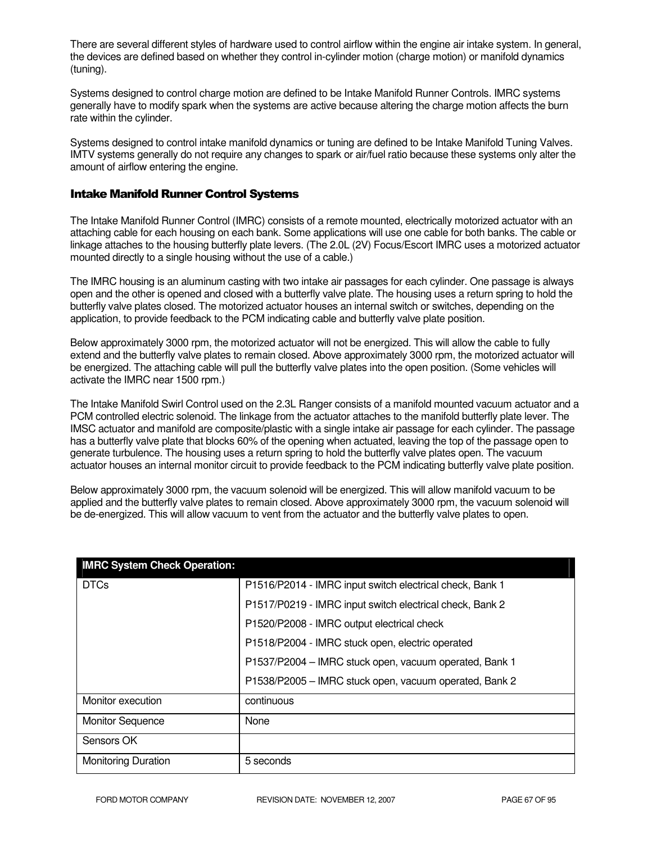There are several different styles of hardware used to control airflow within the engine air intake system. In general, the devices are defined based on whether they control in-cylinder motion (charge motion) or manifold dynamics (tuning).

Systems designed to control charge motion are defined to be Intake Manifold Runner Controls. IMRC systems generally have to modify spark when the systems are active because altering the charge motion affects the burn rate within the cylinder.

Systems designed to control intake manifold dynamics or tuning are defined to be Intake Manifold Tuning Valves. IMTV systems generally do not require any changes to spark or air/fuel ratio because these systems only alter the amount of airflow entering the engine.

## Intake Manifold Runner Control Systems

The Intake Manifold Runner Control (IMRC) consists of a remote mounted, electrically motorized actuator with an attaching cable for each housing on each bank. Some applications will use one cable for both banks. The cable or linkage attaches to the housing butterfly plate levers. (The 2.0L (2V) Focus/Escort IMRC uses a motorized actuator mounted directly to a single housing without the use of a cable.)

The IMRC housing is an aluminum casting with two intake air passages for each cylinder. One passage is always open and the other is opened and closed with a butterfly valve plate. The housing uses a return spring to hold the butterfly valve plates closed. The motorized actuator houses an internal switch or switches, depending on the application, to provide feedback to the PCM indicating cable and butterfly valve plate position.

Below approximately 3000 rpm, the motorized actuator will not be energized. This will allow the cable to fully extend and the butterfly valve plates to remain closed. Above approximately 3000 rpm, the motorized actuator will be energized. The attaching cable will pull the butterfly valve plates into the open position. (Some vehicles will activate the IMRC near 1500 rpm.)

The Intake Manifold Swirl Control used on the 2.3L Ranger consists of a manifold mounted vacuum actuator and a PCM controlled electric solenoid. The linkage from the actuator attaches to the manifold butterfly plate lever. The IMSC actuator and manifold are composite/plastic with a single intake air passage for each cylinder. The passage has a butterfly valve plate that blocks 60% of the opening when actuated, leaving the top of the passage open to generate turbulence. The housing uses a return spring to hold the butterfly valve plates open. The vacuum actuator houses an internal monitor circuit to provide feedback to the PCM indicating butterfly valve plate position.

Below approximately 3000 rpm, the vacuum solenoid will be energized. This will allow manifold vacuum to be applied and the butterfly valve plates to remain closed. Above approximately 3000 rpm, the vacuum solenoid will be de-energized. This will allow vacuum to vent from the actuator and the butterfly valve plates to open.

| <b>IMRC System Check Operation:</b> |                                                          |
|-------------------------------------|----------------------------------------------------------|
| <b>DTCs</b>                         | P1516/P2014 - IMRC input switch electrical check, Bank 1 |
|                                     | P1517/P0219 - IMRC input switch electrical check, Bank 2 |
|                                     | P1520/P2008 - IMRC output electrical check               |
|                                     | P1518/P2004 - IMRC stuck open, electric operated         |
|                                     | P1537/P2004 - IMRC stuck open, vacuum operated, Bank 1   |
|                                     | P1538/P2005 - IMRC stuck open, vacuum operated, Bank 2   |
| Monitor execution                   | continuous                                               |
| <b>Monitor Sequence</b>             | None                                                     |
| Sensors OK                          |                                                          |
| <b>Monitoring Duration</b>          | 5 seconds                                                |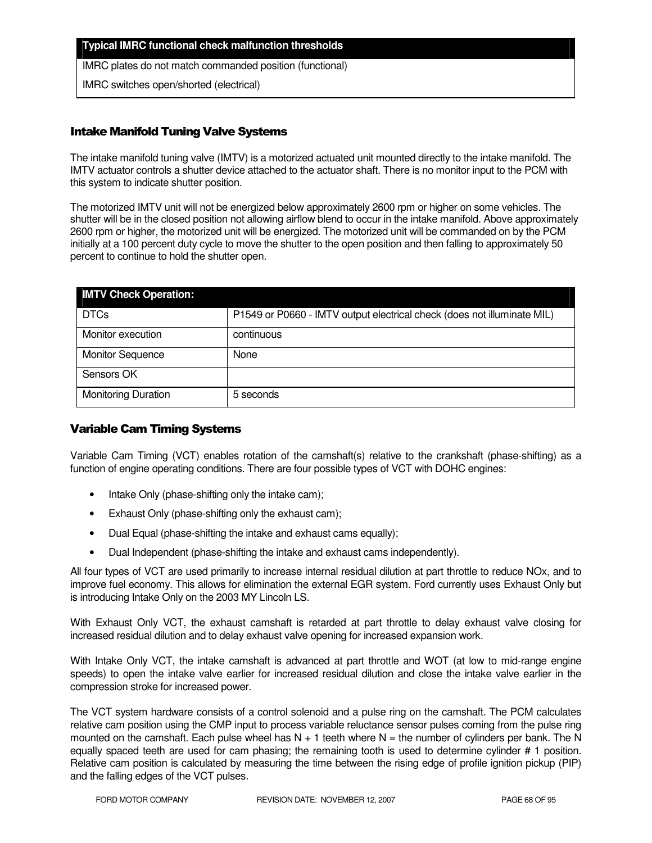#### **Typical IMRC functional check malfunction thresholds**

IMRC plates do not match commanded position (functional)

IMRC switches open/shorted (electrical)

## Intake Manifold Tuning Valve Systems

The intake manifold tuning valve (IMTV) is a motorized actuated unit mounted directly to the intake manifold. The IMTV actuator controls a shutter device attached to the actuator shaft. There is no monitor input to the PCM with this system to indicate shutter position.

The motorized IMTV unit will not be energized below approximately 2600 rpm or higher on some vehicles. The shutter will be in the closed position not allowing airflow blend to occur in the intake manifold. Above approximately 2600 rpm or higher, the motorized unit will be energized. The motorized unit will be commanded on by the PCM initially at a 100 percent duty cycle to move the shutter to the open position and then falling to approximately 50 percent to continue to hold the shutter open.

| <b>IMTV Check Operation:</b> |                                                                         |
|------------------------------|-------------------------------------------------------------------------|
| <b>DTCs</b>                  | P1549 or P0660 - IMTV output electrical check (does not illuminate MIL) |
| Monitor execution            | continuous                                                              |
| <b>Monitor Sequence</b>      | None                                                                    |
| Sensors OK                   |                                                                         |
| <b>Monitoring Duration</b>   | 5 seconds                                                               |

## Variable Cam Timing Systems

Variable Cam Timing (VCT) enables rotation of the camshaft(s) relative to the crankshaft (phase-shifting) as a function of engine operating conditions. There are four possible types of VCT with DOHC engines:

- Intake Only (phase-shifting only the intake cam);
- Exhaust Only (phase-shifting only the exhaust cam);
- Dual Equal (phase-shifting the intake and exhaust cams equally);
- Dual Independent (phase-shifting the intake and exhaust cams independently).

All four types of VCT are used primarily to increase internal residual dilution at part throttle to reduce NOx, and to improve fuel economy. This allows for elimination the external EGR system. Ford currently uses Exhaust Only but is introducing Intake Only on the 2003 MY Lincoln LS.

With Exhaust Only VCT, the exhaust camshaft is retarded at part throttle to delay exhaust valve closing for increased residual dilution and to delay exhaust valve opening for increased expansion work.

With Intake Only VCT, the intake camshaft is advanced at part throttle and WOT (at low to mid-range engine speeds) to open the intake valve earlier for increased residual dilution and close the intake valve earlier in the compression stroke for increased power.

The VCT system hardware consists of a control solenoid and a pulse ring on the camshaft. The PCM calculates relative cam position using the CMP input to process variable reluctance sensor pulses coming from the pulse ring mounted on the camshaft. Each pulse wheel has  $N + 1$  teeth where  $N =$  the number of cylinders per bank. The N equally spaced teeth are used for cam phasing; the remaining tooth is used to determine cylinder # 1 position. Relative cam position is calculated by measuring the time between the rising edge of profile ignition pickup (PIP) and the falling edges of the VCT pulses.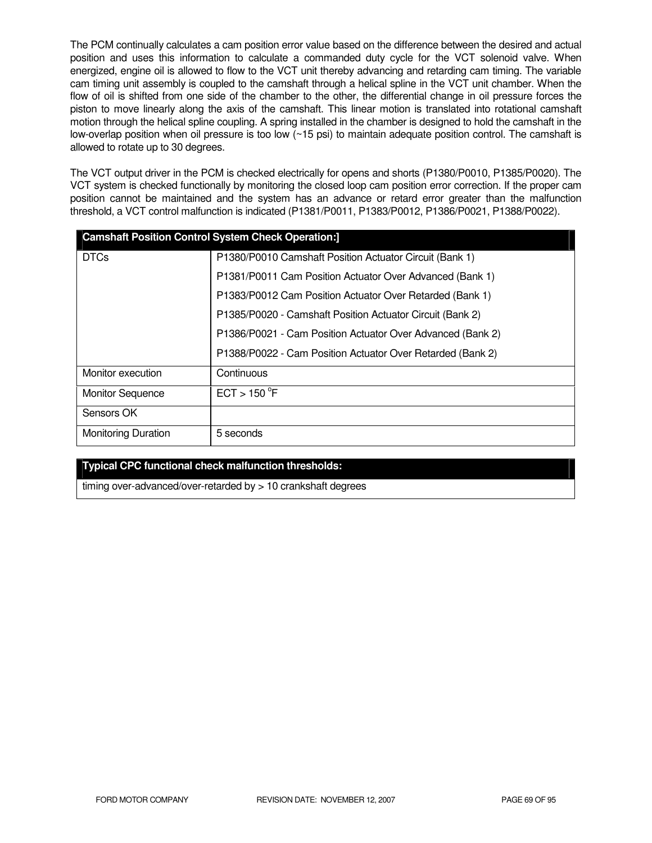The PCM continually calculates a cam position error value based on the difference between the desired and actual position and uses this information to calculate a commanded duty cycle for the VCT solenoid valve. When energized, engine oil is allowed to flow to the VCT unit thereby advancing and retarding cam timing. The variable cam timing unit assembly is coupled to the camshaft through a helical spline in the VCT unit chamber. When the flow of oil is shifted from one side of the chamber to the other, the differential change in oil pressure forces the piston to move linearly along the axis of the camshaft. This linear motion is translated into rotational camshaft motion through the helical spline coupling. A spring installed in the chamber is designed to hold the camshaft in the low-overlap position when oil pressure is too low (~15 psi) to maintain adequate position control. The camshaft is allowed to rotate up to 30 degrees.

The VCT output driver in the PCM is checked electrically for opens and shorts (P1380/P0010, P1385/P0020). The VCT system is checked functionally by monitoring the closed loop cam position error correction. If the proper cam position cannot be maintained and the system has an advance or retard error greater than the malfunction threshold, a VCT control malfunction is indicated (P1381/P0011, P1383/P0012, P1386/P0021, P1388/P0022).

|                            | <b>Camshaft Position Control System Check Operation:]</b>  |
|----------------------------|------------------------------------------------------------|
| <b>DTCs</b>                | P1380/P0010 Camshaft Position Actuator Circuit (Bank 1)    |
|                            | P1381/P0011 Cam Position Actuator Over Advanced (Bank 1)   |
|                            | P1383/P0012 Cam Position Actuator Over Retarded (Bank 1)   |
|                            | P1385/P0020 - Camshaft Position Actuator Circuit (Bank 2)  |
|                            | P1386/P0021 - Cam Position Actuator Over Advanced (Bank 2) |
|                            | P1388/P0022 - Cam Position Actuator Over Retarded (Bank 2) |
| Monitor execution          | Continuous                                                 |
| <b>Monitor Sequence</b>    | ECT > 150 °F                                               |
| Sensors OK                 |                                                            |
| <b>Monitoring Duration</b> | 5 seconds                                                  |

## **Typical CPC functional check malfunction thresholds:**

timing over-advanced/over-retarded by > 10 crankshaft degrees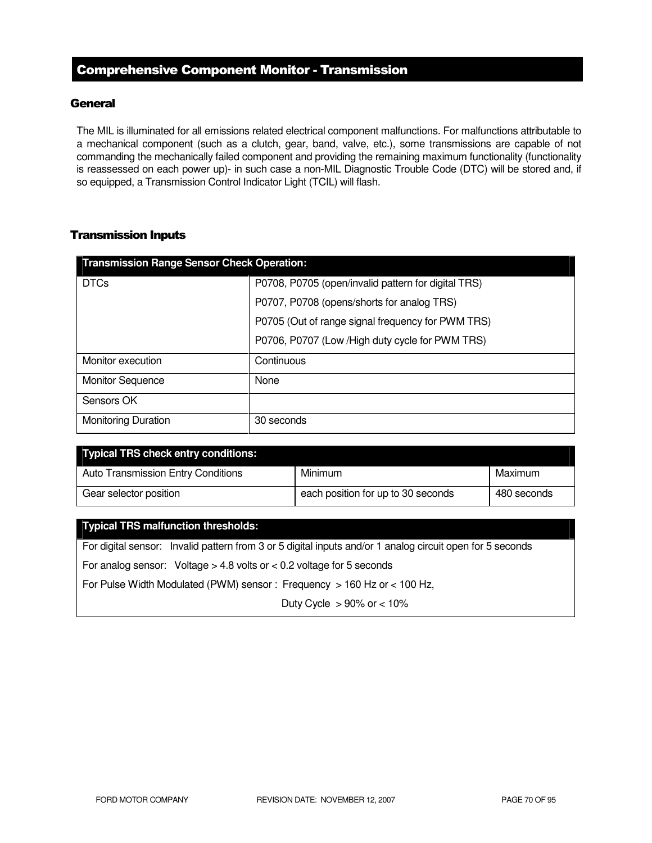# Comprehensive Component Monitor - Transmission

## **General**

The MIL is illuminated for all emissions related electrical component malfunctions. For malfunctions attributable to a mechanical component (such as a clutch, gear, band, valve, etc.), some transmissions are capable of not commanding the mechanically failed component and providing the remaining maximum functionality (functionality is reassessed on each power up)- in such case a non-MIL Diagnostic Trouble Code (DTC) will be stored and, if so equipped, a Transmission Control Indicator Light (TCIL) will flash.

## Transmission Inputs

| <b>Transmission Range Sensor Check Operation:</b> |                                                     |  |
|---------------------------------------------------|-----------------------------------------------------|--|
| <b>DTCs</b>                                       | P0708, P0705 (open/invalid pattern for digital TRS) |  |
|                                                   | P0707, P0708 (opens/shorts for analog TRS)          |  |
|                                                   | P0705 (Out of range signal frequency for PWM TRS)   |  |
|                                                   | P0706, P0707 (Low / High duty cycle for PWM TRS)    |  |
| Monitor execution                                 | Continuous                                          |  |
| <b>Monitor Sequence</b>                           | None                                                |  |
| Sensors OK                                        |                                                     |  |
| <b>Monitoring Duration</b>                        | 30 seconds                                          |  |

| <b>Typical TRS check entry conditions:</b> |                                    |             |
|--------------------------------------------|------------------------------------|-------------|
| <b>Auto Transmission Entry Conditions</b>  | <b>Minimum</b>                     | Maximum     |
| Gear selector position                     | each position for up to 30 seconds | 480 seconds |

## **Typical TRS malfunction thresholds:**

For digital sensor: Invalid pattern from 3 or 5 digital inputs and/or 1 analog circuit open for 5 seconds For analog sensor: Voltage > 4.8 volts or < 0.2 voltage for 5 seconds

For Pulse Width Modulated (PWM) sensor : Frequency > 160 Hz or < 100 Hz,

Duty Cycle  $> 90\%$  or  $< 10\%$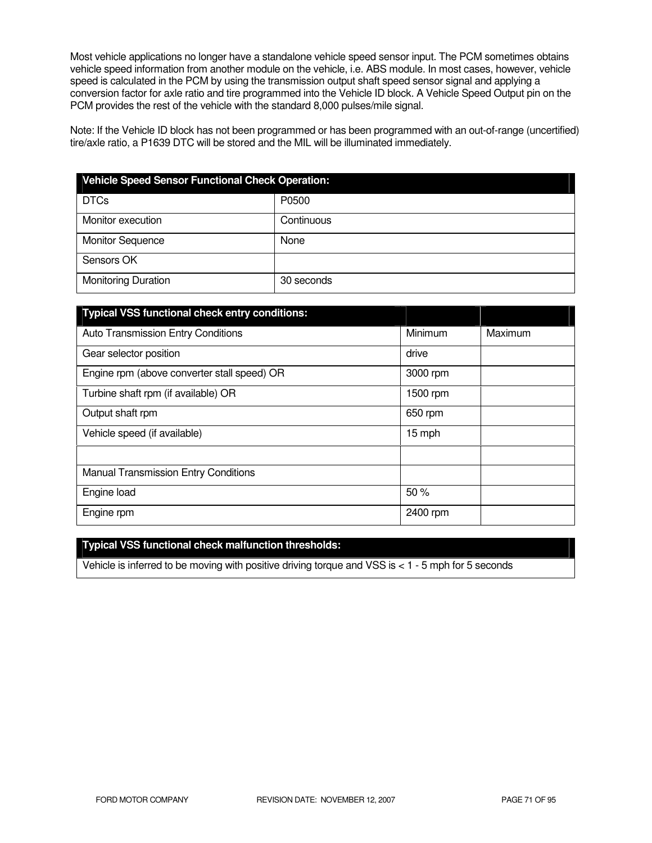Most vehicle applications no longer have a standalone vehicle speed sensor input. The PCM sometimes obtains vehicle speed information from another module on the vehicle, i.e. ABS module. In most cases, however, vehicle speed is calculated in the PCM by using the transmission output shaft speed sensor signal and applying a conversion factor for axle ratio and tire programmed into the Vehicle ID block. A Vehicle Speed Output pin on the PCM provides the rest of the vehicle with the standard 8,000 pulses/mile signal.

Note: If the Vehicle ID block has not been programmed or has been programmed with an out-of-range (uncertified) tire/axle ratio, a P1639 DTC will be stored and the MIL will be illuminated immediately.

| <b>Vehicle Speed Sensor Functional Check Operation:</b> |            |  |
|---------------------------------------------------------|------------|--|
| <b>DTCs</b>                                             | P0500      |  |
| Monitor execution                                       | Continuous |  |
| <b>Monitor Sequence</b>                                 | None       |  |
| Sensors OK                                              |            |  |
| <b>Monitoring Duration</b>                              | 30 seconds |  |

| <b>Typical VSS functional check entry conditions:</b> |          |         |
|-------------------------------------------------------|----------|---------|
| <b>Auto Transmission Entry Conditions</b>             | Minimum  | Maximum |
| Gear selector position                                | drive    |         |
| Engine rpm (above converter stall speed) OR           | 3000 rpm |         |
| Turbine shaft rpm (if available) OR                   | 1500 rpm |         |
| Output shaft rpm                                      | 650 rpm  |         |
| Vehicle speed (if available)                          | 15 mph   |         |
|                                                       |          |         |
| <b>Manual Transmission Entry Conditions</b>           |          |         |
| Engine load                                           | 50%      |         |
| Engine rpm                                            | 2400 rpm |         |

## **Typical VSS functional check malfunction thresholds:**

Vehicle is inferred to be moving with positive driving torque and VSS is < 1 - 5 mph for 5 seconds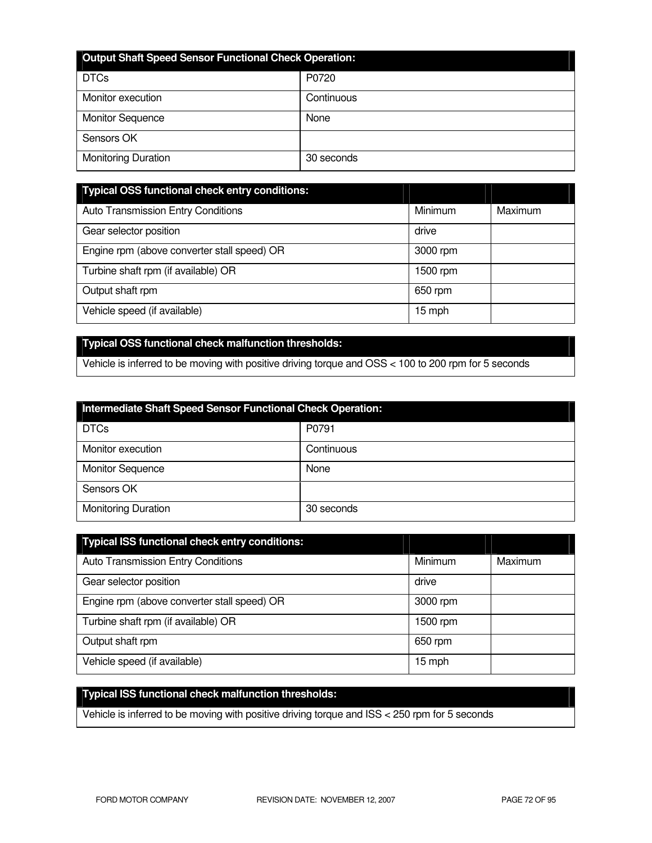| <b>Output Shaft Speed Sensor Functional Check Operation:</b> |            |  |
|--------------------------------------------------------------|------------|--|
| <b>DTCs</b>                                                  | P0720      |  |
| Monitor execution                                            | Continuous |  |
| <b>Monitor Sequence</b>                                      | None       |  |
| Sensors OK                                                   |            |  |
| <b>Monitoring Duration</b>                                   | 30 seconds |  |

| <b>Typical OSS functional check entry conditions:</b> |          |         |
|-------------------------------------------------------|----------|---------|
| <b>Auto Transmission Entry Conditions</b>             | Minimum  | Maximum |
| Gear selector position                                | drive    |         |
| Engine rpm (above converter stall speed) OR           | 3000 rpm |         |
| Turbine shaft rpm (if available) OR                   | 1500 rpm |         |
| Output shaft rpm                                      | 650 rpm  |         |
| Vehicle speed (if available)                          | 15 mph   |         |

## **Typical OSS functional check malfunction thresholds:**

Vehicle is inferred to be moving with positive driving torque and OSS < 100 to 200 rpm for 5 seconds

| Intermediate Shaft Speed Sensor Functional Check Operation: |            |  |
|-------------------------------------------------------------|------------|--|
| <b>DTCs</b>                                                 | P0791      |  |
| Monitor execution                                           | Continuous |  |
| <b>Monitor Sequence</b>                                     | None       |  |
| Sensors OK                                                  |            |  |
| <b>Monitoring Duration</b>                                  | 30 seconds |  |

| <b>Typical ISS functional check entry conditions:</b> |                |         |
|-------------------------------------------------------|----------------|---------|
| <b>Auto Transmission Entry Conditions</b>             | <b>Minimum</b> | Maximum |
| Gear selector position                                | drive          |         |
| Engine rpm (above converter stall speed) OR           | 3000 rpm       |         |
| Turbine shaft rpm (if available) OR                   | 1500 rpm       |         |
| Output shaft rpm                                      | 650 rpm        |         |
| Vehicle speed (if available)                          | 15 mph         |         |

# **Typical ISS functional check malfunction thresholds:**

Vehicle is inferred to be moving with positive driving torque and ISS < 250 rpm for 5 seconds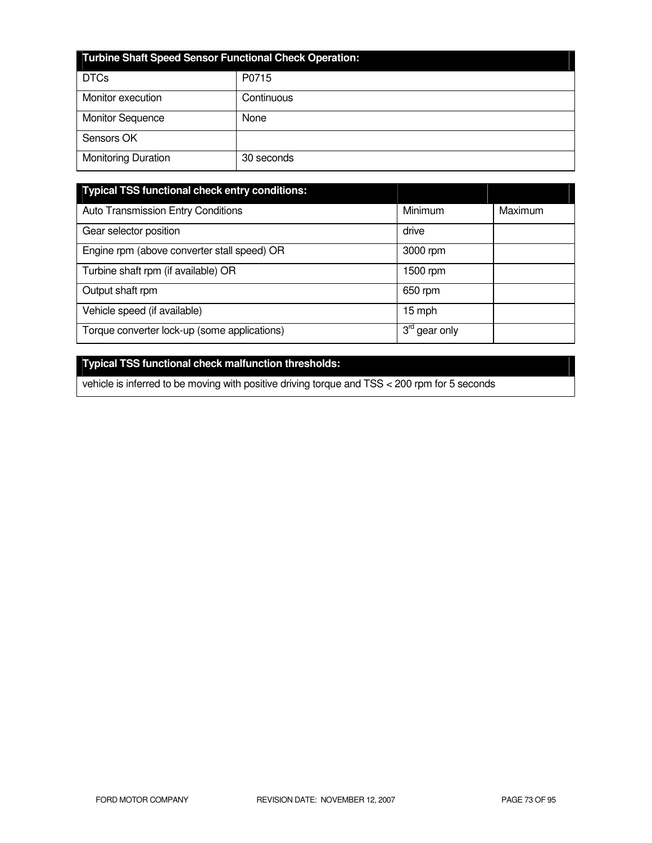| <b>Turbine Shaft Speed Sensor Functional Check Operation:</b> |            |  |
|---------------------------------------------------------------|------------|--|
| <b>DTCs</b>                                                   | P0715      |  |
| Monitor execution                                             | Continuous |  |
| <b>Monitor Sequence</b>                                       | None       |  |
| Sensors OK                                                    |            |  |
| <b>Monitoring Duration</b>                                    | 30 seconds |  |

| <b>Typical TSS functional check entry conditions:</b> |                                           |         |
|-------------------------------------------------------|-------------------------------------------|---------|
| Auto Transmission Entry Conditions                    | Minimum                                   | Maximum |
| Gear selector position                                | drive                                     |         |
| Engine rpm (above converter stall speed) OR           | 3000 rpm                                  |         |
| Turbine shaft rpm (if available) OR                   | 1500 rpm                                  |         |
| Output shaft rpm                                      | 650 rpm                                   |         |
| Vehicle speed (if available)                          | 15 mph                                    |         |
| Torque converter lock-up (some applications)          | $3^{\text{ra}}$<br><sup>'</sup> gear only |         |

# **Typical TSS functional check malfunction thresholds:**

vehicle is inferred to be moving with positive driving torque and TSS < 200 rpm for 5 seconds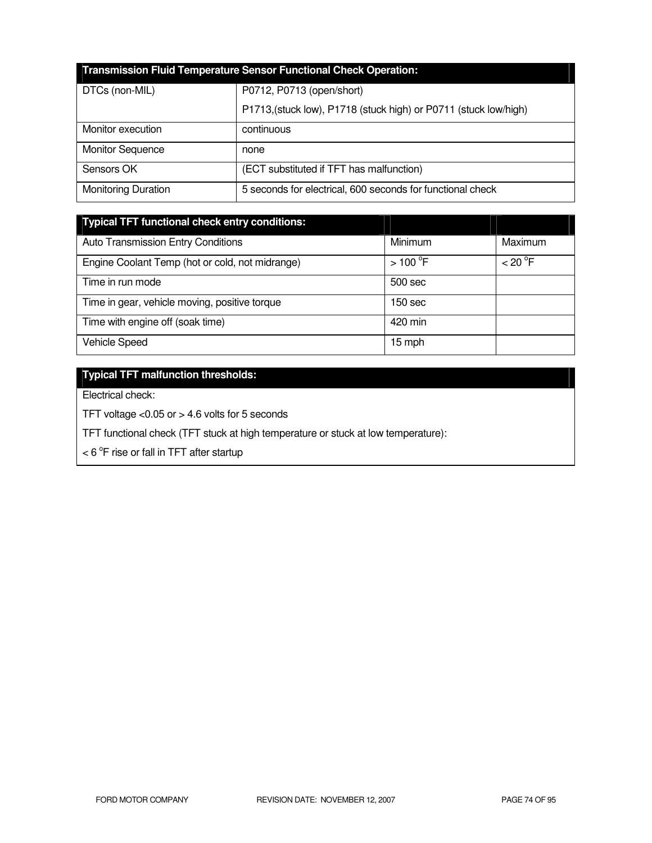| <b>Transmission Fluid Temperature Sensor Functional Check Operation:</b> |                                                                  |  |
|--------------------------------------------------------------------------|------------------------------------------------------------------|--|
| DTCs (non-MIL)                                                           | P0712, P0713 (open/short)                                        |  |
|                                                                          | P1713, (stuck low), P1718 (stuck high) or P0711 (stuck low/high) |  |
| Monitor execution                                                        | continuous                                                       |  |
| <b>Monitor Sequence</b>                                                  | none                                                             |  |
| Sensors OK                                                               | (ECT substituted if TFT has malfunction)                         |  |
| <b>Monitoring Duration</b>                                               | 5 seconds for electrical, 600 seconds for functional check       |  |

| <b>Typical TFT functional check entry conditions:</b> |                       |         |
|-------------------------------------------------------|-----------------------|---------|
| <b>Auto Transmission Entry Conditions</b>             | Minimum               | Maximum |
| Engine Coolant Temp (hot or cold, not midrange)       | $>100$ <sup>°</sup> F | < 20 °F |
| Time in run mode                                      | 500 sec               |         |
| Time in gear, vehicle moving, positive torque         | 150 sec               |         |
| Time with engine off (soak time)                      | 420 min               |         |
| <b>Vehicle Speed</b>                                  | 15 mph                |         |

# **Typical TFT malfunction thresholds:**

Electrical check:

TFT voltage <0.05 or > 4.6 volts for 5 seconds

TFT functional check (TFT stuck at high temperature or stuck at low temperature):

 $<$  6  $\mathrm{^{\circ}F}$  rise or fall in TFT after startup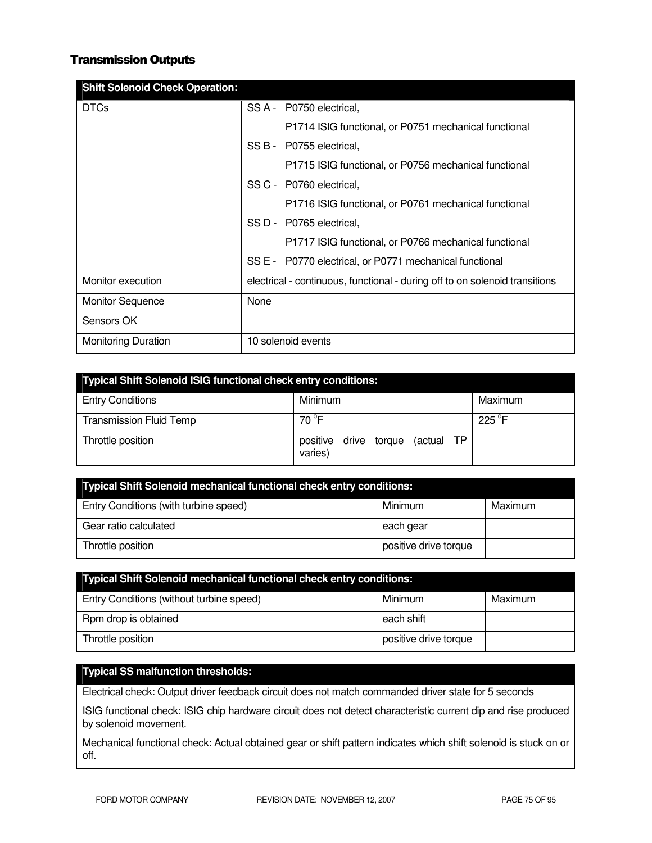### Transmission Outputs

| <b>Shift Solenoid Check Operation:</b> |                                                                             |
|----------------------------------------|-----------------------------------------------------------------------------|
| <b>DTCs</b>                            | SS A - P0750 electrical,                                                    |
|                                        | P1714 ISIG functional, or P0751 mechanical functional                       |
|                                        | SS B - P0755 electrical,                                                    |
|                                        | P1715 ISIG functional, or P0756 mechanical functional                       |
|                                        | SS C - P0760 electrical.                                                    |
|                                        | P1716 ISIG functional, or P0761 mechanical functional                       |
|                                        | SS D - P0765 electrical,                                                    |
|                                        | P1717 ISIG functional, or P0766 mechanical functional                       |
|                                        | SS E - P0770 electrical, or P0771 mechanical functional                     |
| Monitor execution                      | electrical - continuous, functional - during off to on solenoid transitions |
| <b>Monitor Sequence</b>                | None                                                                        |
| Sensors OK                             |                                                                             |
| <b>Monitoring Duration</b>             | 10 solenoid events                                                          |

| <b>Typical Shift Solenoid ISIG functional check entry conditions:</b> |                                                   |         |
|-----------------------------------------------------------------------|---------------------------------------------------|---------|
| <b>Entry Conditions</b>                                               | Minimum                                           | Maximum |
| <b>Transmission Fluid Temp</b>                                        | 70 °F                                             | 225 °F  |
| Throttle position                                                     | (actual TP<br>positive<br>drive torque<br>varies) |         |

| <b>Typical Shift Solenoid mechanical functional check entry conditions:</b> |                       |         |
|-----------------------------------------------------------------------------|-----------------------|---------|
| Entry Conditions (with turbine speed)                                       | Minimum               | Maximum |
| Gear ratio calculated                                                       | each gear             |         |
| Throttle position                                                           | positive drive torque |         |

| <b>Typical Shift Solenoid mechanical functional check entry conditions:</b> |                       |         |
|-----------------------------------------------------------------------------|-----------------------|---------|
| Entry Conditions (without turbine speed)                                    | Minimum               | Maximum |
| Rpm drop is obtained                                                        | each shift            |         |
| Throttle position                                                           | positive drive torque |         |

## **Typical SS malfunction thresholds:**

Electrical check: Output driver feedback circuit does not match commanded driver state for 5 seconds

ISIG functional check: ISIG chip hardware circuit does not detect characteristic current dip and rise produced by solenoid movement.

Mechanical functional check: Actual obtained gear or shift pattern indicates which shift solenoid is stuck on or off.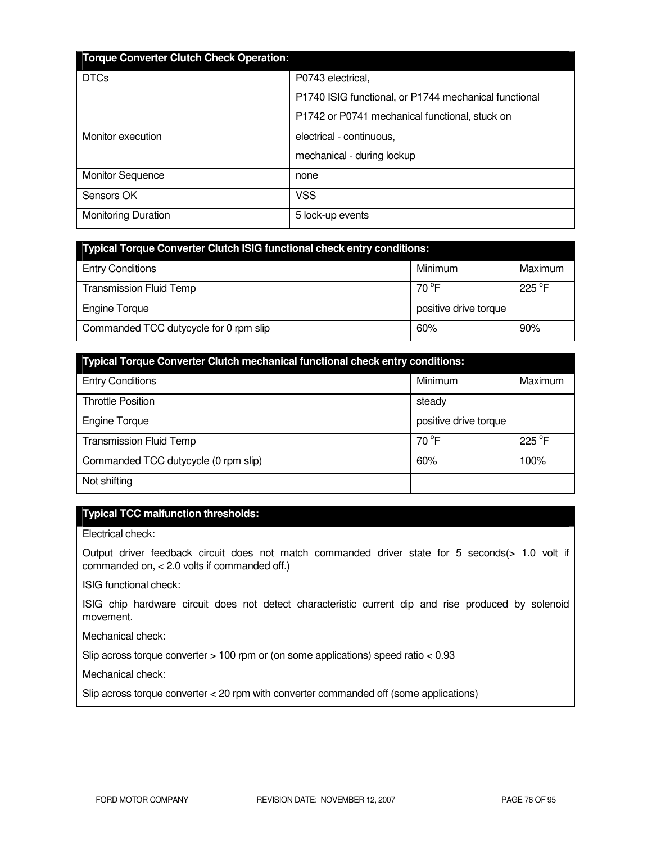| <b>Torque Converter Clutch Check Operation:</b> |                                                       |
|-------------------------------------------------|-------------------------------------------------------|
| <b>DTCs</b>                                     | P0743 electrical,                                     |
|                                                 | P1740 ISIG functional, or P1744 mechanical functional |
|                                                 | P1742 or P0741 mechanical functional, stuck on        |
| Monitor execution                               | electrical - continuous,                              |
|                                                 | mechanical - during lockup                            |
| <b>Monitor Sequence</b>                         | none                                                  |
| Sensors OK                                      | <b>VSS</b>                                            |
| <b>Monitoring Duration</b>                      | 5 lock-up events                                      |

| <b>Typical Torque Converter Clutch ISIG functional check entry conditions:</b> |                       |                 |
|--------------------------------------------------------------------------------|-----------------------|-----------------|
| <b>Entry Conditions</b>                                                        | Minimum               | Maximum         |
| <b>Transmission Fluid Temp</b>                                                 | $70^{\circ}$ F        | $225^{\circ}$ F |
| <b>Engine Torque</b>                                                           | positive drive torque |                 |
| Commanded TCC dutycycle for 0 rpm slip                                         | 60%                   | 90%             |

| <b>Typical Torque Converter Clutch mechanical functional check entry conditions:</b> |                       |         |
|--------------------------------------------------------------------------------------|-----------------------|---------|
| <b>Entry Conditions</b>                                                              | Minimum               | Maximum |
| <b>Throttle Position</b>                                                             | steady                |         |
| <b>Engine Torque</b>                                                                 | positive drive torque |         |
| <b>Transmission Fluid Temp</b>                                                       | $70^{\circ}$ F        | 225 °F  |
| Commanded TCC dutycycle (0 rpm slip)                                                 | 60%                   | 100%    |
| Not shifting                                                                         |                       |         |

## **Typical TCC malfunction thresholds:**

Electrical check:

Output driver feedback circuit does not match commanded driver state for 5 seconds(> 1.0 volt if commanded on, < 2.0 volts if commanded off.)

ISIG functional check:

ISIG chip hardware circuit does not detect characteristic current dip and rise produced by solenoid movement.

Mechanical check:

Slip across torque converter > 100 rpm or (on some applications) speed ratio < 0.93

Mechanical check:

Slip across torque converter < 20 rpm with converter commanded off (some applications)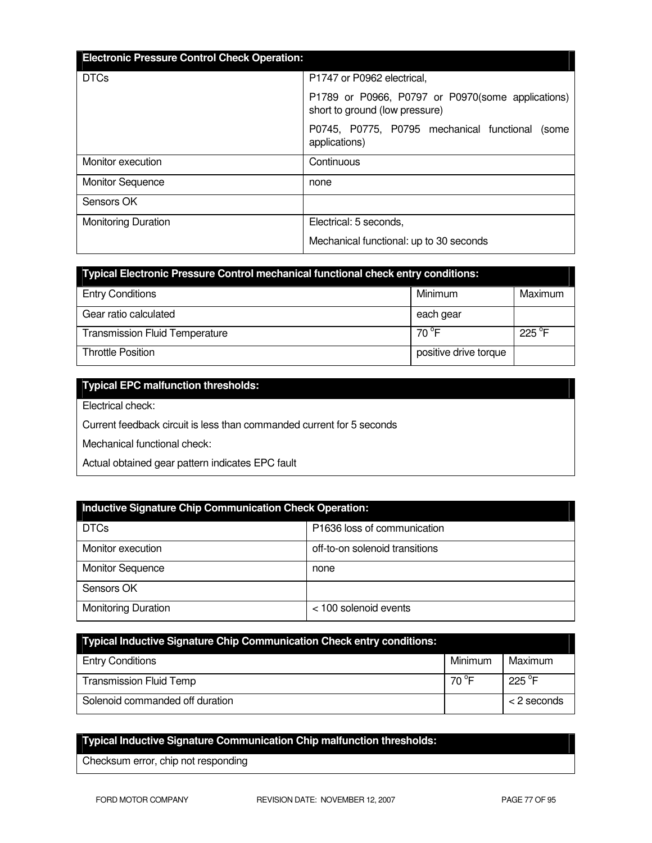| <b>Electronic Pressure Control Check Operation:</b> |                                                                                     |
|-----------------------------------------------------|-------------------------------------------------------------------------------------|
|                                                     |                                                                                     |
| <b>DTCs</b>                                         | P1747 or P0962 electrical.                                                          |
|                                                     | P1789 or P0966, P0797 or P0970(some applications)<br>short to ground (low pressure) |
|                                                     | P0745, P0775, P0795 mechanical functional<br>(some<br>applications)                 |
| Monitor execution                                   | Continuous                                                                          |
| <b>Monitor Sequence</b>                             | none                                                                                |
| Sensors OK                                          |                                                                                     |
| <b>Monitoring Duration</b>                          | Electrical: 5 seconds,                                                              |
|                                                     | Mechanical functional: up to 30 seconds                                             |

| <b>Typical Electronic Pressure Control mechanical functional check entry conditions:</b> |                       |                 |  |  |
|------------------------------------------------------------------------------------------|-----------------------|-----------------|--|--|
| <b>Entry Conditions</b>                                                                  | Minimum               | Maximum         |  |  |
| Gear ratio calculated                                                                    | each gear             |                 |  |  |
| <b>Transmission Fluid Temperature</b>                                                    | $70^{\circ}$ F        | $225^{\circ}$ F |  |  |
| <b>Throttle Position</b>                                                                 | positive drive torque |                 |  |  |

## **Typical EPC malfunction thresholds:**

Electrical check:

Current feedback circuit is less than commanded current for 5 seconds

Mechanical functional check:

Actual obtained gear pattern indicates EPC fault

| Inductive Signature Chip Communication Check Operation: |                                |  |  |  |
|---------------------------------------------------------|--------------------------------|--|--|--|
| <b>DTCs</b>                                             | P1636 loss of communication    |  |  |  |
| Monitor execution                                       | off-to-on solenoid transitions |  |  |  |
| <b>Monitor Sequence</b>                                 | none                           |  |  |  |
| Sensors OK                                              |                                |  |  |  |
| <b>Monitoring Duration</b>                              | $<$ 100 solenoid events        |  |  |  |

| <b>Typical Inductive Signature Chip Communication Check entry conditions:</b> |         |                  |
|-------------------------------------------------------------------------------|---------|------------------|
| <b>Entry Conditions</b>                                                       | Minimum | Maximum          |
| <b>Transmission Fluid Temp</b>                                                | 70 °F   | 225 $^{\circ}$ F |
| Solenoid commanded off duration                                               |         | $<$ 2 seconds    |

# **Typical Inductive Signature Communication Chip malfunction thresholds:**

Checksum error, chip not responding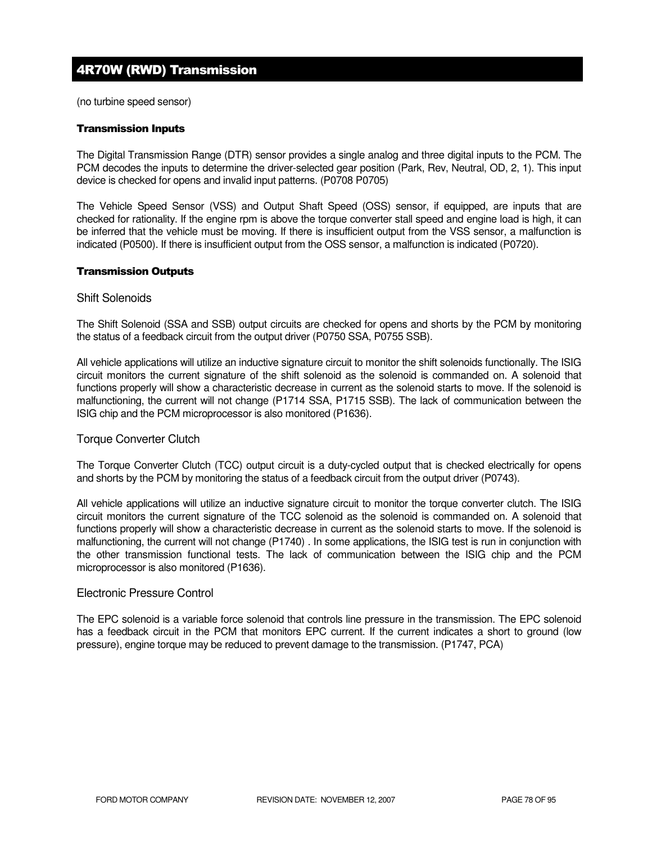# 4R70W (RWD) Transmission

(no turbine speed sensor)

#### Transmission Inputs

The Digital Transmission Range (DTR) sensor provides a single analog and three digital inputs to the PCM. The PCM decodes the inputs to determine the driver-selected gear position (Park, Rev, Neutral, OD, 2, 1). This input device is checked for opens and invalid input patterns. (P0708 P0705)

The Vehicle Speed Sensor (VSS) and Output Shaft Speed (OSS) sensor, if equipped, are inputs that are checked for rationality. If the engine rpm is above the torque converter stall speed and engine load is high, it can be inferred that the vehicle must be moving. If there is insufficient output from the VSS sensor, a malfunction is indicated (P0500). If there is insufficient output from the OSS sensor, a malfunction is indicated (P0720).

#### Transmission Outputs

#### Shift Solenoids

The Shift Solenoid (SSA and SSB) output circuits are checked for opens and shorts by the PCM by monitoring the status of a feedback circuit from the output driver (P0750 SSA, P0755 SSB).

All vehicle applications will utilize an inductive signature circuit to monitor the shift solenoids functionally. The ISIG circuit monitors the current signature of the shift solenoid as the solenoid is commanded on. A solenoid that functions properly will show a characteristic decrease in current as the solenoid starts to move. If the solenoid is malfunctioning, the current will not change (P1714 SSA, P1715 SSB). The lack of communication between the ISIG chip and the PCM microprocessor is also monitored (P1636).

### Torque Converter Clutch

The Torque Converter Clutch (TCC) output circuit is a duty-cycled output that is checked electrically for opens and shorts by the PCM by monitoring the status of a feedback circuit from the output driver (P0743).

All vehicle applications will utilize an inductive signature circuit to monitor the torque converter clutch. The ISIG circuit monitors the current signature of the TCC solenoid as the solenoid is commanded on. A solenoid that functions properly will show a characteristic decrease in current as the solenoid starts to move. If the solenoid is malfunctioning, the current will not change (P1740) . In some applications, the ISIG test is run in conjunction with the other transmission functional tests. The lack of communication between the ISIG chip and the PCM microprocessor is also monitored (P1636).

#### Electronic Pressure Control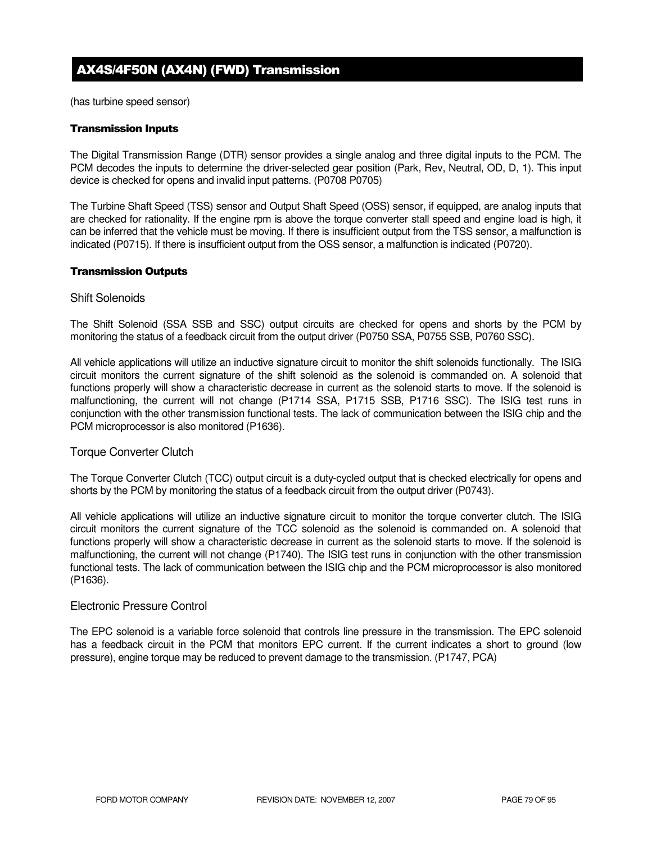# AX4S/4F50N (AX4N) (FWD) Transmission

(has turbine speed sensor)

#### Transmission Inputs

The Digital Transmission Range (DTR) sensor provides a single analog and three digital inputs to the PCM. The PCM decodes the inputs to determine the driver-selected gear position (Park, Rev, Neutral, OD, D, 1). This input device is checked for opens and invalid input patterns. (P0708 P0705)

The Turbine Shaft Speed (TSS) sensor and Output Shaft Speed (OSS) sensor, if equipped, are analog inputs that are checked for rationality. If the engine rpm is above the torque converter stall speed and engine load is high, it can be inferred that the vehicle must be moving. If there is insufficient output from the TSS sensor, a malfunction is indicated (P0715). If there is insufficient output from the OSS sensor, a malfunction is indicated (P0720).

#### Transmission Outputs

#### Shift Solenoids

The Shift Solenoid (SSA SSB and SSC) output circuits are checked for opens and shorts by the PCM by monitoring the status of a feedback circuit from the output driver (P0750 SSA, P0755 SSB, P0760 SSC).

All vehicle applications will utilize an inductive signature circuit to monitor the shift solenoids functionally. The ISIG circuit monitors the current signature of the shift solenoid as the solenoid is commanded on. A solenoid that functions properly will show a characteristic decrease in current as the solenoid starts to move. If the solenoid is malfunctioning, the current will not change (P1714 SSA, P1715 SSB, P1716 SSC). The ISIG test runs in conjunction with the other transmission functional tests. The lack of communication between the ISIG chip and the PCM microprocessor is also monitored (P1636).

#### Torque Converter Clutch

The Torque Converter Clutch (TCC) output circuit is a duty-cycled output that is checked electrically for opens and shorts by the PCM by monitoring the status of a feedback circuit from the output driver (P0743).

All vehicle applications will utilize an inductive signature circuit to monitor the torque converter clutch. The ISIG circuit monitors the current signature of the TCC solenoid as the solenoid is commanded on. A solenoid that functions properly will show a characteristic decrease in current as the solenoid starts to move. If the solenoid is malfunctioning, the current will not change (P1740). The ISIG test runs in conjunction with the other transmission functional tests. The lack of communication between the ISIG chip and the PCM microprocessor is also monitored (P1636).

#### Electronic Pressure Control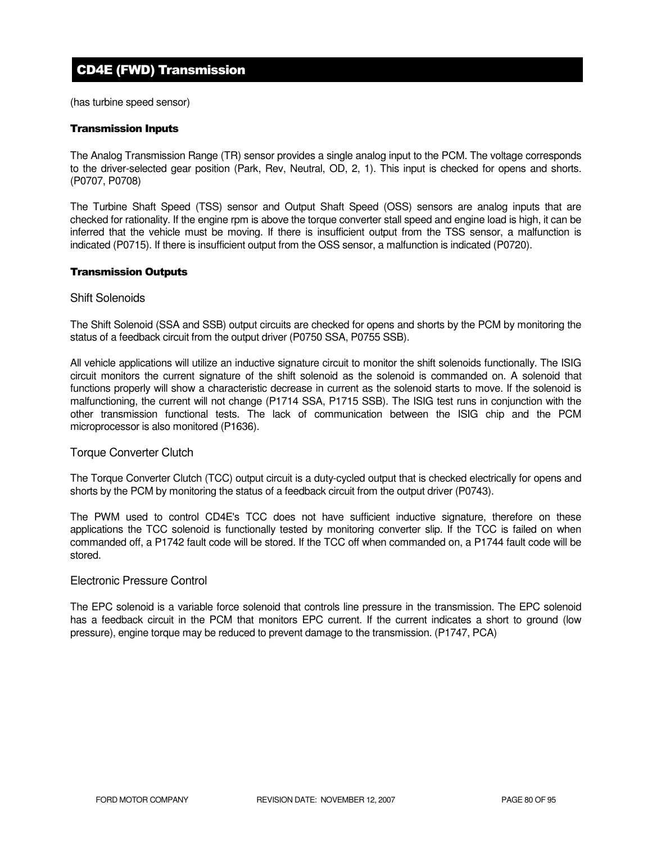# CD4E (FWD) Transmission

(has turbine speed sensor)

#### Transmission Inputs

The Analog Transmission Range (TR) sensor provides a single analog input to the PCM. The voltage corresponds to the driver-selected gear position (Park, Rev, Neutral, OD, 2, 1). This input is checked for opens and shorts. (P0707, P0708)

The Turbine Shaft Speed (TSS) sensor and Output Shaft Speed (OSS) sensors are analog inputs that are checked for rationality. If the engine rpm is above the torque converter stall speed and engine load is high, it can be inferred that the vehicle must be moving. If there is insufficient output from the TSS sensor, a malfunction is indicated (P0715). If there is insufficient output from the OSS sensor, a malfunction is indicated (P0720).

#### Transmission Outputs

#### Shift Solenoids

The Shift Solenoid (SSA and SSB) output circuits are checked for opens and shorts by the PCM by monitoring the status of a feedback circuit from the output driver (P0750 SSA, P0755 SSB).

All vehicle applications will utilize an inductive signature circuit to monitor the shift solenoids functionally. The ISIG circuit monitors the current signature of the shift solenoid as the solenoid is commanded on. A solenoid that functions properly will show a characteristic decrease in current as the solenoid starts to move. If the solenoid is malfunctioning, the current will not change (P1714 SSA, P1715 SSB). The ISIG test runs in conjunction with the other transmission functional tests. The lack of communication between the ISIG chip and the PCM microprocessor is also monitored (P1636).

#### Torque Converter Clutch

The Torque Converter Clutch (TCC) output circuit is a duty-cycled output that is checked electrically for opens and shorts by the PCM by monitoring the status of a feedback circuit from the output driver (P0743).

The PWM used to control CD4E's TCC does not have sufficient inductive signature, therefore on these applications the TCC solenoid is functionally tested by monitoring converter slip. If the TCC is failed on when commanded off, a P1742 fault code will be stored. If the TCC off when commanded on, a P1744 fault code will be stored.

### Electronic Pressure Control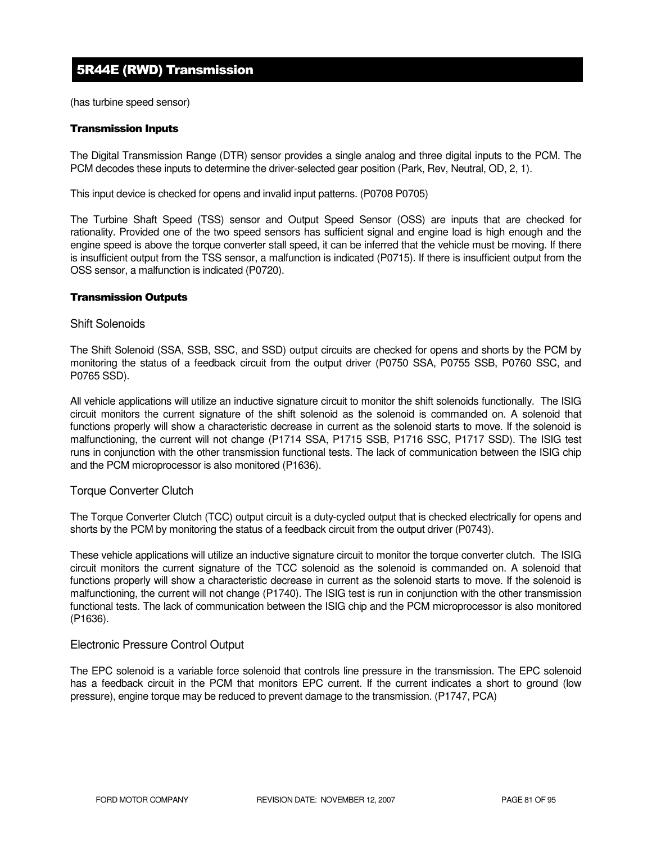# 5R44E (RWD) Transmission

(has turbine speed sensor)

#### Transmission Inputs

The Digital Transmission Range (DTR) sensor provides a single analog and three digital inputs to the PCM. The PCM decodes these inputs to determine the driver-selected gear position (Park, Rev, Neutral, OD, 2, 1).

This input device is checked for opens and invalid input patterns. (P0708 P0705)

The Turbine Shaft Speed (TSS) sensor and Output Speed Sensor (OSS) are inputs that are checked for rationality. Provided one of the two speed sensors has sufficient signal and engine load is high enough and the engine speed is above the torque converter stall speed, it can be inferred that the vehicle must be moving. If there is insufficient output from the TSS sensor, a malfunction is indicated (P0715). If there is insufficient output from the OSS sensor, a malfunction is indicated (P0720).

#### Transmission Outputs

#### Shift Solenoids

The Shift Solenoid (SSA, SSB, SSC, and SSD) output circuits are checked for opens and shorts by the PCM by monitoring the status of a feedback circuit from the output driver (P0750 SSA, P0755 SSB, P0760 SSC, and P0765 SSD).

All vehicle applications will utilize an inductive signature circuit to monitor the shift solenoids functionally. The ISIG circuit monitors the current signature of the shift solenoid as the solenoid is commanded on. A solenoid that functions properly will show a characteristic decrease in current as the solenoid starts to move. If the solenoid is malfunctioning, the current will not change (P1714 SSA, P1715 SSB, P1716 SSC, P1717 SSD). The ISIG test runs in conjunction with the other transmission functional tests. The lack of communication between the ISIG chip and the PCM microprocessor is also monitored (P1636).

#### Torque Converter Clutch

The Torque Converter Clutch (TCC) output circuit is a duty-cycled output that is checked electrically for opens and shorts by the PCM by monitoring the status of a feedback circuit from the output driver (P0743).

These vehicle applications will utilize an inductive signature circuit to monitor the torque converter clutch. The ISIG circuit monitors the current signature of the TCC solenoid as the solenoid is commanded on. A solenoid that functions properly will show a characteristic decrease in current as the solenoid starts to move. If the solenoid is malfunctioning, the current will not change (P1740). The ISIG test is run in conjunction with the other transmission functional tests. The lack of communication between the ISIG chip and the PCM microprocessor is also monitored (P1636).

### Electronic Pressure Control Output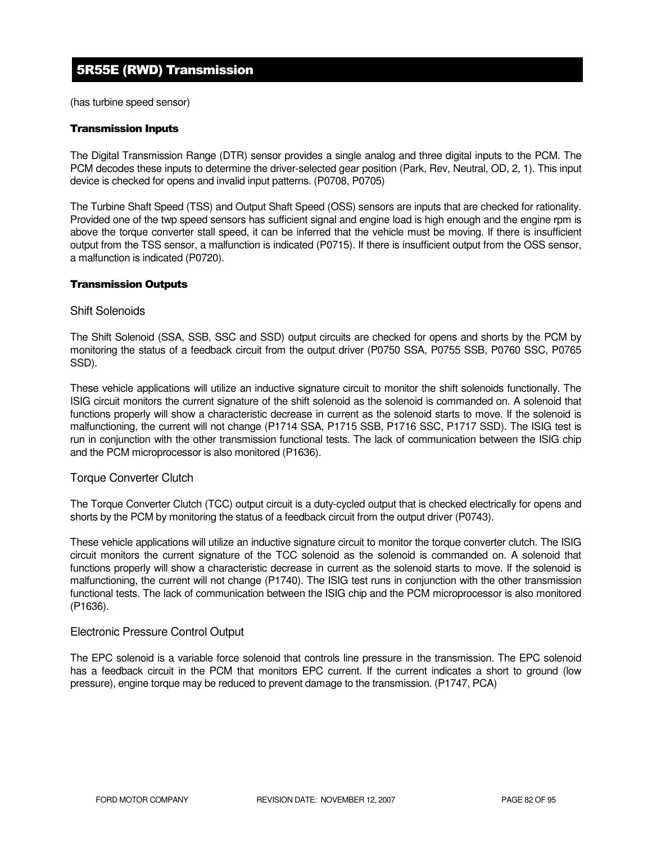# 5R55E (RWD) Transmission

(has turbine speed sensor)

#### Transmission Inputs

The Digital Transmission Range (DTR) sensor provides a single analog and three digital inputs to the PCM. The PCM decodes these inputs to determine the driver-selected gear position (Park, Rev, Neutral, OD, 2, 1). This input device is checked for opens and invalid input patterns. (P0708, P0705)

The Turbine Shaft Speed (TSS) and Output Shaft Speed (OSS) sensors are inputs that are checked for rationality. Provided one of the twp speed sensors has sufficient signal and engine load is high enough and the engine rpm is above the torque converter stall speed, it can be inferred that the vehicle must be moving. If there is insufficient output from the TSS sensor, a malfunction is indicated (P0715). If there is insufficient output from the OSS sensor, a malfunction is indicated (P0720).

#### Transmission Outputs

#### Shift Solenoids

The Shift Solenoid (SSA, SSB, SSC and SSD) output circuits are checked for opens and shorts by the PCM by monitoring the status of a feedback circuit from the output driver (P0750 SSA, P0755 SSB, P0760 SSC, P0765 SSD).

These vehicle applications will utilize an inductive signature circuit to monitor the shift solenoids functionally. The ISIG circuit monitors the current signature of the shift solenoid as the solenoid is commanded on. A solenoid that functions properly will show a characteristic decrease in current as the solenoid starts to move. If the solenoid is malfunctioning, the current will not change (P1714 SSA, P1715 SSB, P1716 SSC, P1717 SSD). The ISIG test is run in conjunction with the other transmission functional tests. The lack of communication between the ISIG chip and the PCM microprocessor is also monitored (P1636).

#### Torque Converter Clutch

The Torque Converter Clutch (TCC) output circuit is a duty-cycled output that is checked electrically for opens and shorts by the PCM by monitoring the status of a feedback circuit from the output driver (P0743).

These vehicle applications will utilize an inductive signature circuit to monitor the torque converter clutch. The ISIG circuit monitors the current signature of the TCC solenoid as the solenoid is commanded on. A solenoid that functions properly will show a characteristic decrease in current as the solenoid starts to move. If the solenoid is malfunctioning, the current will not change (P1740). The ISIG test runs in conjunction with the other transmission functional tests. The lack of communication between the ISIG chip and the PCM microprocessor is also monitored (P1636).

#### Electronic Pressure Control Output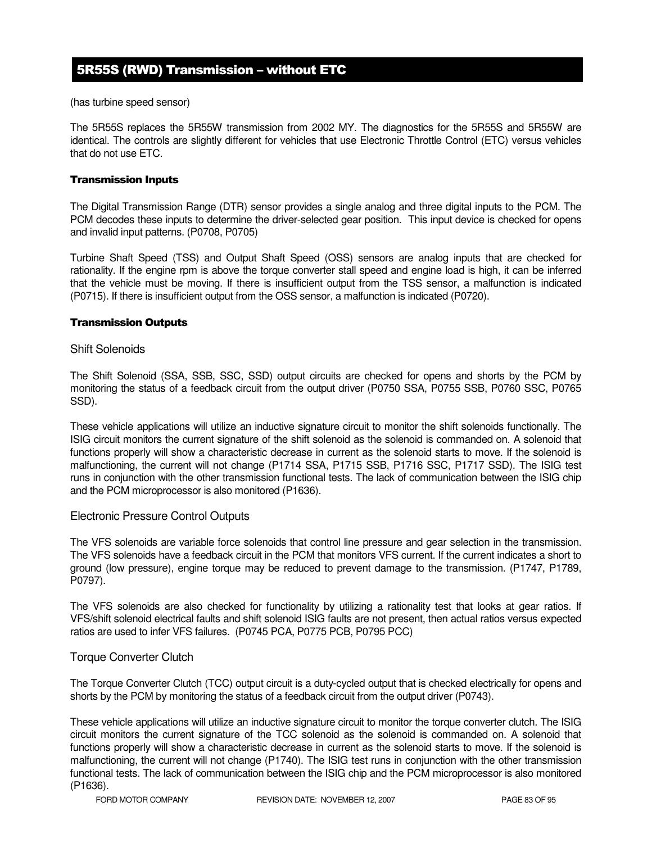## 5R55S (RWD) Transmission – without ETC

(has turbine speed sensor)

The 5R55S replaces the 5R55W transmission from 2002 MY. The diagnostics for the 5R55S and 5R55W are identical. The controls are slightly different for vehicles that use Electronic Throttle Control (ETC) versus vehicles that do not use ETC.

#### Transmission Inputs

The Digital Transmission Range (DTR) sensor provides a single analog and three digital inputs to the PCM. The PCM decodes these inputs to determine the driver-selected gear position. This input device is checked for opens and invalid input patterns. (P0708, P0705)

Turbine Shaft Speed (TSS) and Output Shaft Speed (OSS) sensors are analog inputs that are checked for rationality. If the engine rpm is above the torque converter stall speed and engine load is high, it can be inferred that the vehicle must be moving. If there is insufficient output from the TSS sensor, a malfunction is indicated (P0715). If there is insufficient output from the OSS sensor, a malfunction is indicated (P0720).

#### Transmission Outputs

#### Shift Solenoids

The Shift Solenoid (SSA, SSB, SSC, SSD) output circuits are checked for opens and shorts by the PCM by monitoring the status of a feedback circuit from the output driver (P0750 SSA, P0755 SSB, P0760 SSC, P0765 SSD).

These vehicle applications will utilize an inductive signature circuit to monitor the shift solenoids functionally. The ISIG circuit monitors the current signature of the shift solenoid as the solenoid is commanded on. A solenoid that functions properly will show a characteristic decrease in current as the solenoid starts to move. If the solenoid is malfunctioning, the current will not change (P1714 SSA, P1715 SSB, P1716 SSC, P1717 SSD). The ISIG test runs in conjunction with the other transmission functional tests. The lack of communication between the ISIG chip and the PCM microprocessor is also monitored (P1636).

#### Electronic Pressure Control Outputs

The VFS solenoids are variable force solenoids that control line pressure and gear selection in the transmission. The VFS solenoids have a feedback circuit in the PCM that monitors VFS current. If the current indicates a short to ground (low pressure), engine torque may be reduced to prevent damage to the transmission. (P1747, P1789, P0797).

The VFS solenoids are also checked for functionality by utilizing a rationality test that looks at gear ratios. If VFS/shift solenoid electrical faults and shift solenoid ISIG faults are not present, then actual ratios versus expected ratios are used to infer VFS failures. (P0745 PCA, P0775 PCB, P0795 PCC)

#### Torque Converter Clutch

The Torque Converter Clutch (TCC) output circuit is a duty-cycled output that is checked electrically for opens and shorts by the PCM by monitoring the status of a feedback circuit from the output driver (P0743).

These vehicle applications will utilize an inductive signature circuit to monitor the torque converter clutch. The ISIG circuit monitors the current signature of the TCC solenoid as the solenoid is commanded on. A solenoid that functions properly will show a characteristic decrease in current as the solenoid starts to move. If the solenoid is malfunctioning, the current will not change (P1740). The ISIG test runs in conjunction with the other transmission functional tests. The lack of communication between the ISIG chip and the PCM microprocessor is also monitored (P1636).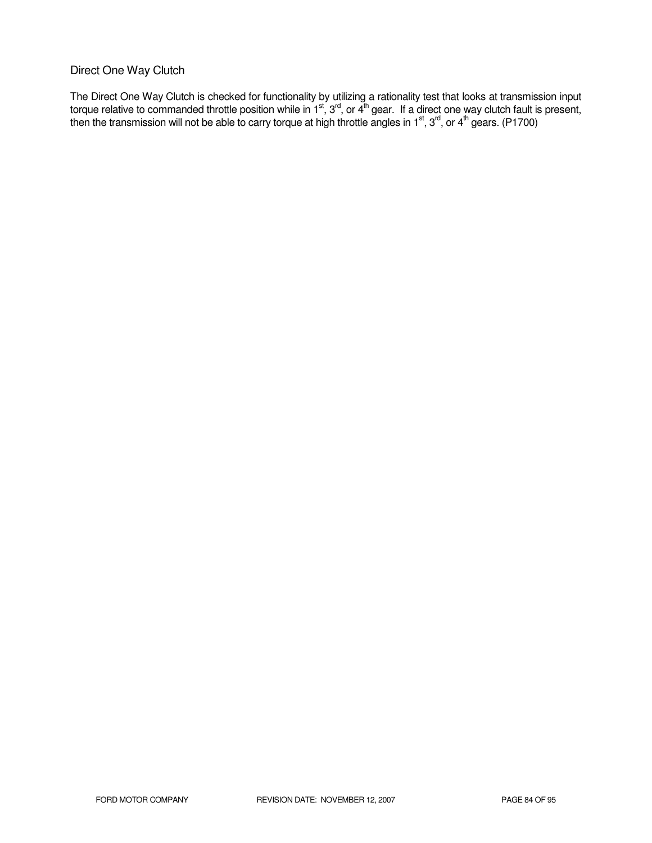### Direct One Way Clutch

The Direct One Way Clutch is checked for functionality by utilizing a rationality test that looks at transmission input torque relative to commanded throttle position while in 1<sup>st</sup>, 3<sup>rd</sup>, or 4<sup>th</sup> gear. If a direct one way clutch fault is present, then the transmission will not be able to carry torque at high throttle angles in 1<sup>st</sup>, 3<sup>rd</sup>, or 4<sup>th</sup> gears. (P1700)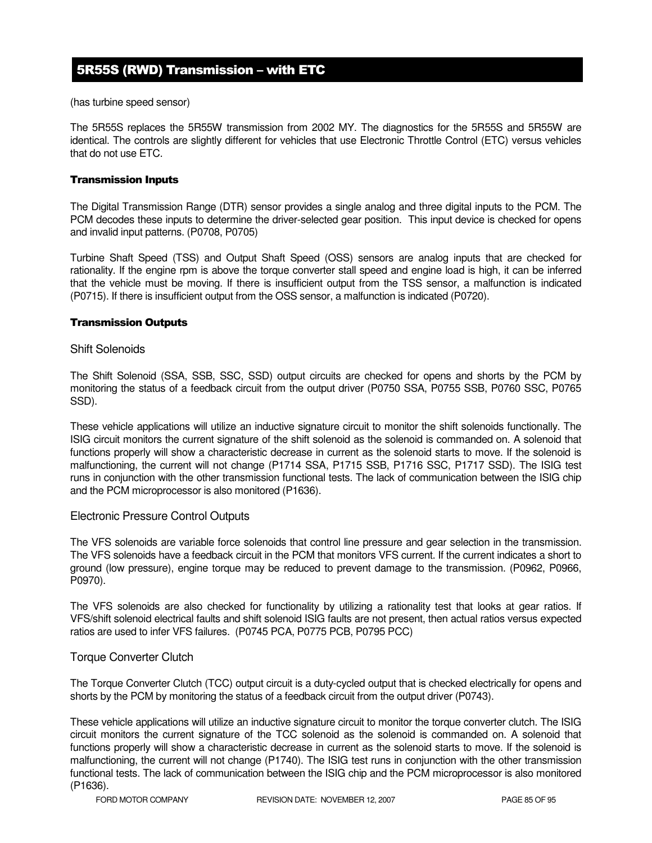# 5R55S (RWD) Transmission – with ETC

(has turbine speed sensor)

The 5R55S replaces the 5R55W transmission from 2002 MY. The diagnostics for the 5R55S and 5R55W are identical. The controls are slightly different for vehicles that use Electronic Throttle Control (ETC) versus vehicles that do not use ETC.

#### Transmission Inputs

The Digital Transmission Range (DTR) sensor provides a single analog and three digital inputs to the PCM. The PCM decodes these inputs to determine the driver-selected gear position. This input device is checked for opens and invalid input patterns. (P0708, P0705)

Turbine Shaft Speed (TSS) and Output Shaft Speed (OSS) sensors are analog inputs that are checked for rationality. If the engine rpm is above the torque converter stall speed and engine load is high, it can be inferred that the vehicle must be moving. If there is insufficient output from the TSS sensor, a malfunction is indicated (P0715). If there is insufficient output from the OSS sensor, a malfunction is indicated (P0720).

#### Transmission Outputs

#### Shift Solenoids

The Shift Solenoid (SSA, SSB, SSC, SSD) output circuits are checked for opens and shorts by the PCM by monitoring the status of a feedback circuit from the output driver (P0750 SSA, P0755 SSB, P0760 SSC, P0765 SSD).

These vehicle applications will utilize an inductive signature circuit to monitor the shift solenoids functionally. The ISIG circuit monitors the current signature of the shift solenoid as the solenoid is commanded on. A solenoid that functions properly will show a characteristic decrease in current as the solenoid starts to move. If the solenoid is malfunctioning, the current will not change (P1714 SSA, P1715 SSB, P1716 SSC, P1717 SSD). The ISIG test runs in conjunction with the other transmission functional tests. The lack of communication between the ISIG chip and the PCM microprocessor is also monitored (P1636).

#### Electronic Pressure Control Outputs

The VFS solenoids are variable force solenoids that control line pressure and gear selection in the transmission. The VFS solenoids have a feedback circuit in the PCM that monitors VFS current. If the current indicates a short to ground (low pressure), engine torque may be reduced to prevent damage to the transmission. (P0962, P0966, P0970).

The VFS solenoids are also checked for functionality by utilizing a rationality test that looks at gear ratios. If VFS/shift solenoid electrical faults and shift solenoid ISIG faults are not present, then actual ratios versus expected ratios are used to infer VFS failures. (P0745 PCA, P0775 PCB, P0795 PCC)

#### Torque Converter Clutch

The Torque Converter Clutch (TCC) output circuit is a duty-cycled output that is checked electrically for opens and shorts by the PCM by monitoring the status of a feedback circuit from the output driver (P0743).

These vehicle applications will utilize an inductive signature circuit to monitor the torque converter clutch. The ISIG circuit monitors the current signature of the TCC solenoid as the solenoid is commanded on. A solenoid that functions properly will show a characteristic decrease in current as the solenoid starts to move. If the solenoid is malfunctioning, the current will not change (P1740). The ISIG test runs in conjunction with the other transmission functional tests. The lack of communication between the ISIG chip and the PCM microprocessor is also monitored (P1636).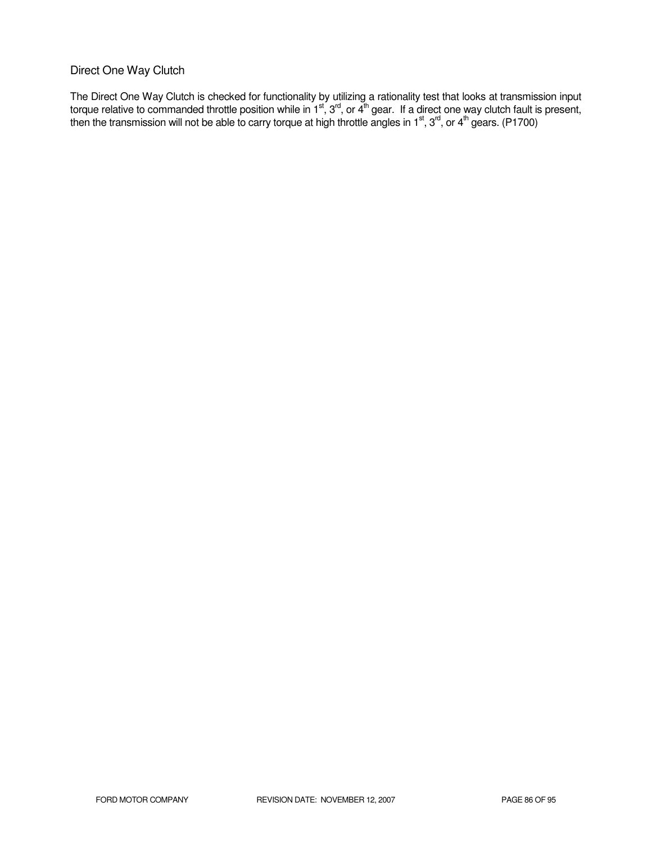## Direct One Way Clutch

The Direct One Way Clutch is checked for functionality by utilizing a rationality test that looks at transmission input torque relative to commanded throttle position while in 1<sup>st</sup>, 3<sup>rd</sup>, or 4<sup>th</sup> gear. If a direct one way clutch fault is present, then the transmission will not be able to carry torque at high throttle angles in 1<sup>st</sup>, 3<sup>rd</sup>, or 4<sup>th</sup> gears. (P1700)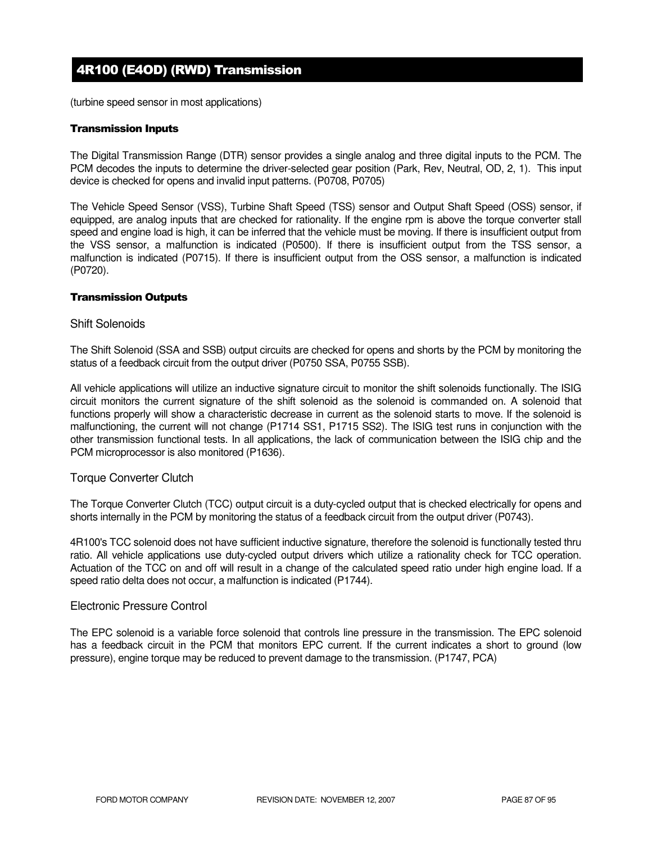# 4R100 (E4OD) (RWD) Transmission

(turbine speed sensor in most applications)

#### Transmission Inputs

The Digital Transmission Range (DTR) sensor provides a single analog and three digital inputs to the PCM. The PCM decodes the inputs to determine the driver-selected gear position (Park, Rev, Neutral, OD, 2, 1). This input device is checked for opens and invalid input patterns. (P0708, P0705)

The Vehicle Speed Sensor (VSS), Turbine Shaft Speed (TSS) sensor and Output Shaft Speed (OSS) sensor, if equipped, are analog inputs that are checked for rationality. If the engine rpm is above the torque converter stall speed and engine load is high, it can be inferred that the vehicle must be moving. If there is insufficient output from the VSS sensor, a malfunction is indicated (P0500). If there is insufficient output from the TSS sensor, a malfunction is indicated (P0715). If there is insufficient output from the OSS sensor, a malfunction is indicated (P0720).

#### Transmission Outputs

#### Shift Solenoids

The Shift Solenoid (SSA and SSB) output circuits are checked for opens and shorts by the PCM by monitoring the status of a feedback circuit from the output driver (P0750 SSA, P0755 SSB).

All vehicle applications will utilize an inductive signature circuit to monitor the shift solenoids functionally. The ISIG circuit monitors the current signature of the shift solenoid as the solenoid is commanded on. A solenoid that functions properly will show a characteristic decrease in current as the solenoid starts to move. If the solenoid is malfunctioning, the current will not change (P1714 SS1, P1715 SS2). The ISIG test runs in conjunction with the other transmission functional tests. In all applications, the lack of communication between the ISIG chip and the PCM microprocessor is also monitored (P1636).

#### Torque Converter Clutch

The Torque Converter Clutch (TCC) output circuit is a duty-cycled output that is checked electrically for opens and shorts internally in the PCM by monitoring the status of a feedback circuit from the output driver (P0743).

4R100's TCC solenoid does not have sufficient inductive signature, therefore the solenoid is functionally tested thru ratio. All vehicle applications use duty-cycled output drivers which utilize a rationality check for TCC operation. Actuation of the TCC on and off will result in a change of the calculated speed ratio under high engine load. If a speed ratio delta does not occur, a malfunction is indicated (P1744).

### Electronic Pressure Control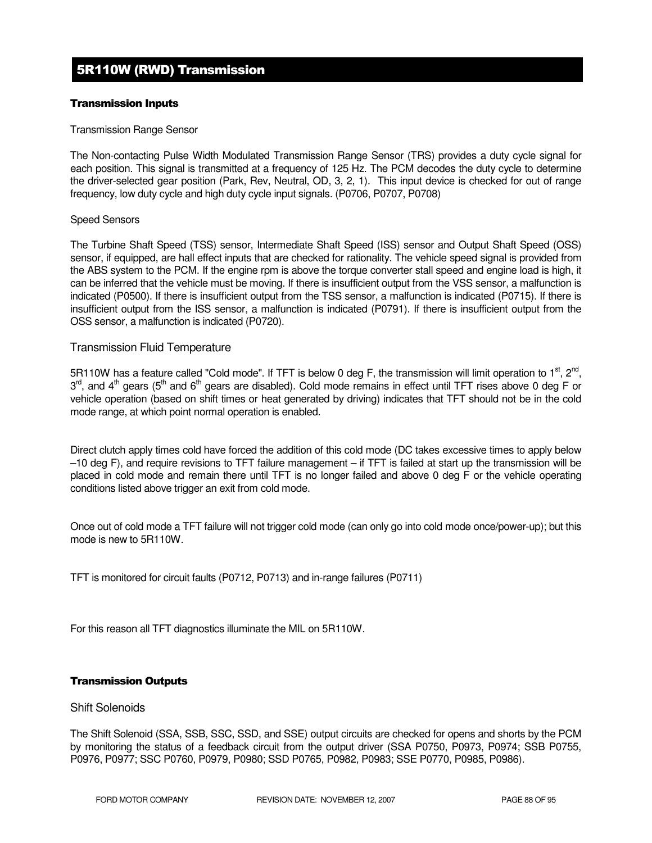# 5R110W (RWD) Transmission

### Transmission Inputs

#### Transmission Range Sensor

The Non-contacting Pulse Width Modulated Transmission Range Sensor (TRS) provides a duty cycle signal for each position. This signal is transmitted at a frequency of 125 Hz. The PCM decodes the duty cycle to determine the driver-selected gear position (Park, Rev, Neutral, OD, 3, 2, 1). This input device is checked for out of range frequency, low duty cycle and high duty cycle input signals. (P0706, P0707, P0708)

#### Speed Sensors

The Turbine Shaft Speed (TSS) sensor, Intermediate Shaft Speed (ISS) sensor and Output Shaft Speed (OSS) sensor, if equipped, are hall effect inputs that are checked for rationality. The vehicle speed signal is provided from the ABS system to the PCM. If the engine rpm is above the torque converter stall speed and engine load is high, it can be inferred that the vehicle must be moving. If there is insufficient output from the VSS sensor, a malfunction is indicated (P0500). If there is insufficient output from the TSS sensor, a malfunction is indicated (P0715). If there is insufficient output from the ISS sensor, a malfunction is indicated (P0791). If there is insufficient output from the OSS sensor, a malfunction is indicated (P0720).

### Transmission Fluid Temperature

5R110W has a feature called "Cold mode". If TFT is below 0 deg F, the transmission will limit operation to 1<sup>st</sup>, 2<sup>nd</sup>,  $3^{\text{rd}}$ , and 4<sup>th</sup> gears (5<sup>th</sup> and 6<sup>th</sup> gears are disabled). Cold mode remains in effect until TFT rises above 0 deg F or vehicle operation (based on shift times or heat generated by driving) indicates that TFT should not be in the cold mode range, at which point normal operation is enabled.

Direct clutch apply times cold have forced the addition of this cold mode (DC takes excessive times to apply below –10 deg F), and require revisions to TFT failure management – if TFT is failed at start up the transmission will be placed in cold mode and remain there until TFT is no longer failed and above 0 deg F or the vehicle operating conditions listed above trigger an exit from cold mode.

Once out of cold mode a TFT failure will not trigger cold mode (can only go into cold mode once/power-up); but this mode is new to 5R110W.

TFT is monitored for circuit faults (P0712, P0713) and in-range failures (P0711)

For this reason all TFT diagnostics illuminate the MIL on 5R110W.

#### Transmission Outputs

### Shift Solenoids

The Shift Solenoid (SSA, SSB, SSC, SSD, and SSE) output circuits are checked for opens and shorts by the PCM by monitoring the status of a feedback circuit from the output driver (SSA P0750, P0973, P0974; SSB P0755, P0976, P0977; SSC P0760, P0979, P0980; SSD P0765, P0982, P0983; SSE P0770, P0985, P0986).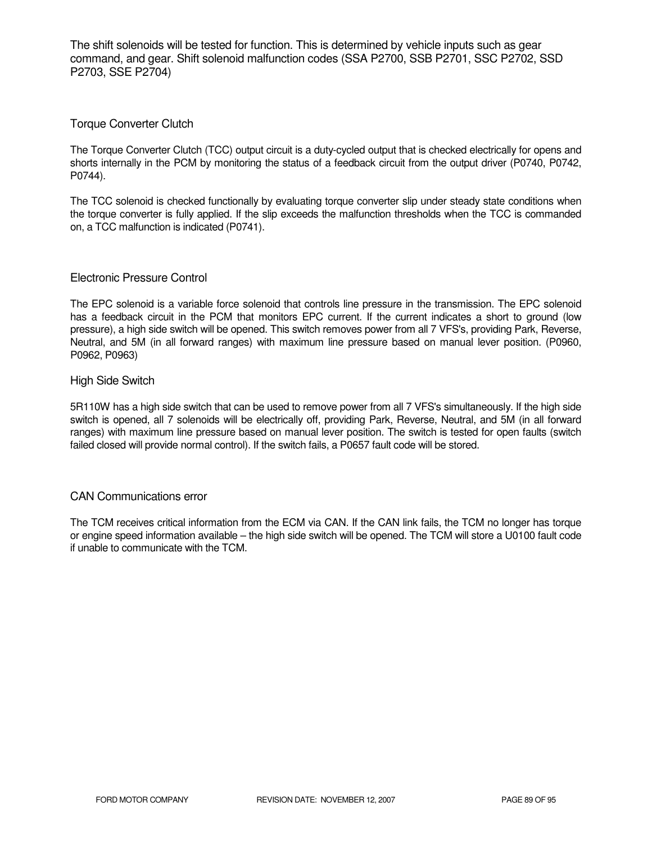The shift solenoids will be tested for function. This is determined by vehicle inputs such as gear command, and gear. Shift solenoid malfunction codes (SSA P2700, SSB P2701, SSC P2702, SSD P2703, SSE P2704)

### Torque Converter Clutch

The Torque Converter Clutch (TCC) output circuit is a duty-cycled output that is checked electrically for opens and shorts internally in the PCM by monitoring the status of a feedback circuit from the output driver (P0740, P0742, P0744).

The TCC solenoid is checked functionally by evaluating torque converter slip under steady state conditions when the torque converter is fully applied. If the slip exceeds the malfunction thresholds when the TCC is commanded on, a TCC malfunction is indicated (P0741).

### Electronic Pressure Control

The EPC solenoid is a variable force solenoid that controls line pressure in the transmission. The EPC solenoid has a feedback circuit in the PCM that monitors EPC current. If the current indicates a short to ground (low pressure), a high side switch will be opened. This switch removes power from all 7 VFS's, providing Park, Reverse, Neutral, and 5M (in all forward ranges) with maximum line pressure based on manual lever position. (P0960, P0962, P0963)

### High Side Switch

5R110W has a high side switch that can be used to remove power from all 7 VFS's simultaneously. If the high side switch is opened, all 7 solenoids will be electrically off, providing Park, Reverse, Neutral, and 5M (in all forward ranges) with maximum line pressure based on manual lever position. The switch is tested for open faults (switch failed closed will provide normal control). If the switch fails, a P0657 fault code will be stored.

#### CAN Communications error

The TCM receives critical information from the ECM via CAN. If the CAN link fails, the TCM no longer has torque or engine speed information available – the high side switch will be opened. The TCM will store a U0100 fault code if unable to communicate with the TCM.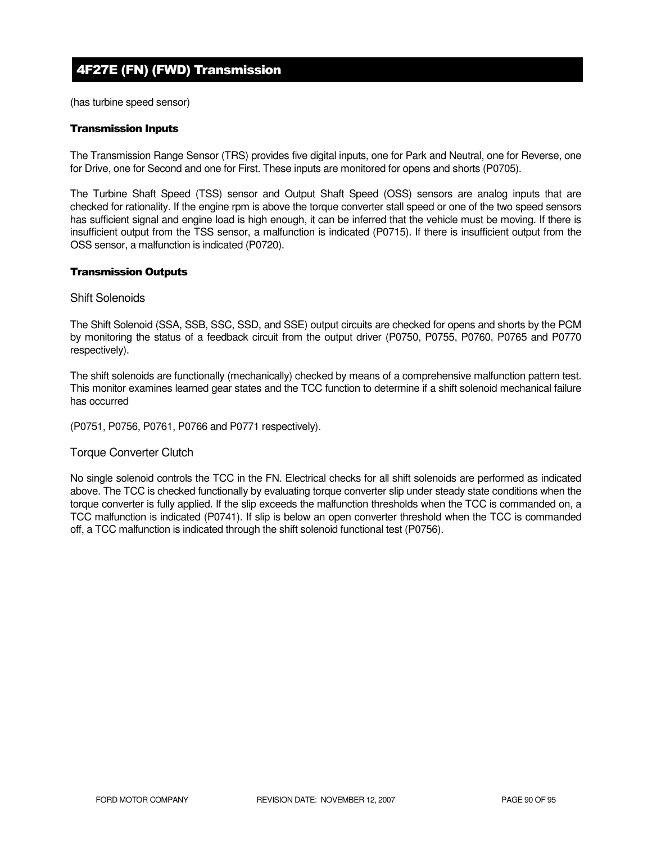# 4F27E (FN) (FWD) Transmission

(has turbine speed sensor)

#### Transmission Inputs

The Transmission Range Sensor (TRS) provides five digital inputs, one for Park and Neutral, one for Reverse, one for Drive, one for Second and one for First. These inputs are monitored for opens and shorts (P0705).

The Turbine Shaft Speed (TSS) sensor and Output Shaft Speed (OSS) sensors are analog inputs that are checked for rationality. If the engine rpm is above the torque converter stall speed or one of the two speed sensors has sufficient signal and engine load is high enough, it can be inferred that the vehicle must be moving. If there is insufficient output from the TSS sensor, a malfunction is indicated (P0715). If there is insufficient output from the OSS sensor, a malfunction is indicated (P0720).

#### Transmission Outputs

#### Shift Solenoids

The Shift Solenoid (SSA, SSB, SSC, SSD, and SSE) output circuits are checked for opens and shorts by the PCM by monitoring the status of a feedback circuit from the output driver (P0750, P0755, P0760, P0765 and P0770 respectively).

The shift solenoids are functionally (mechanically) checked by means of a comprehensive malfunction pattern test. This monitor examines learned gear states and the TCC function to determine if a shift solenoid mechanical failure has occurred

(P0751, P0756, P0761, P0766 and P0771 respectively).

#### Torque Converter Clutch

No single solenoid controls the TCC in the FN. Electrical checks for all shift solenoids are performed as indicated above. The TCC is checked functionally by evaluating torque converter slip under steady state conditions when the torque converter is fully applied. If the slip exceeds the malfunction thresholds when the TCC is commanded on, a TCC malfunction is indicated (P0741). If slip is below an open converter threshold when the TCC is commanded off, a TCC malfunction is indicated through the shift solenoid functional test (P0756).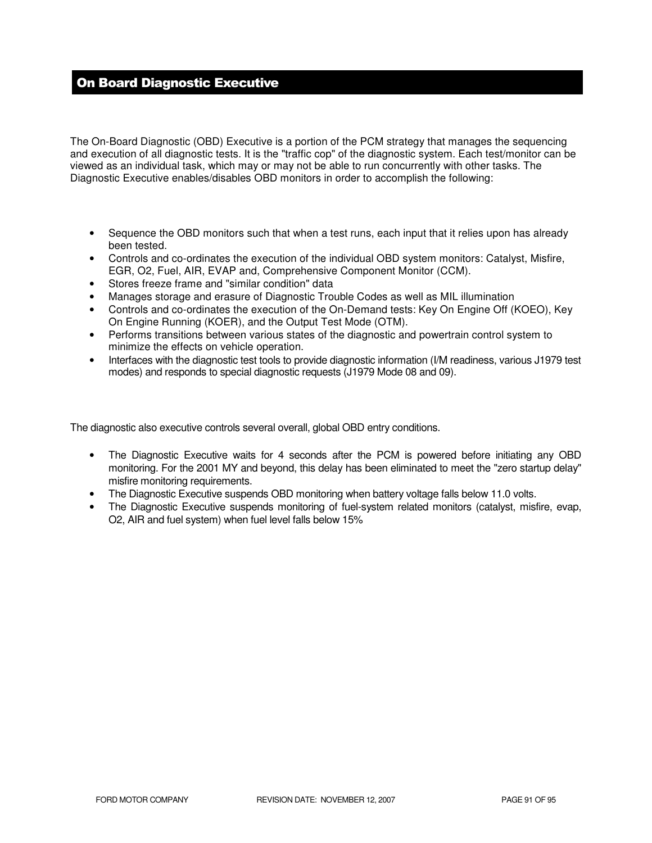# On Board Diagnostic Executive

The On-Board Diagnostic (OBD) Executive is a portion of the PCM strategy that manages the sequencing and execution of all diagnostic tests. It is the "traffic cop" of the diagnostic system. Each test/monitor can be viewed as an individual task, which may or may not be able to run concurrently with other tasks. The Diagnostic Executive enables/disables OBD monitors in order to accomplish the following:

- Sequence the OBD monitors such that when a test runs, each input that it relies upon has already been tested.
- Controls and co-ordinates the execution of the individual OBD system monitors: Catalyst, Misfire, EGR, O2, Fuel, AIR, EVAP and, Comprehensive Component Monitor (CCM).
- Stores freeze frame and "similar condition" data
- Manages storage and erasure of Diagnostic Trouble Codes as well as MIL illumination
- Controls and co-ordinates the execution of the On-Demand tests: Key On Engine Off (KOEO), Key On Engine Running (KOER), and the Output Test Mode (OTM).
- Performs transitions between various states of the diagnostic and powertrain control system to minimize the effects on vehicle operation.
- Interfaces with the diagnostic test tools to provide diagnostic information (I/M readiness, various J1979 test modes) and responds to special diagnostic requests (J1979 Mode 08 and 09).

The diagnostic also executive controls several overall, global OBD entry conditions.

- The Diagnostic Executive waits for 4 seconds after the PCM is powered before initiating any OBD monitoring. For the 2001 MY and beyond, this delay has been eliminated to meet the "zero startup delay" misfire monitoring requirements.
- The Diagnostic Executive suspends OBD monitoring when battery voltage falls below 11.0 volts.
- The Diagnostic Executive suspends monitoring of fuel-system related monitors (catalyst, misfire, evap, O2, AIR and fuel system) when fuel level falls below 15%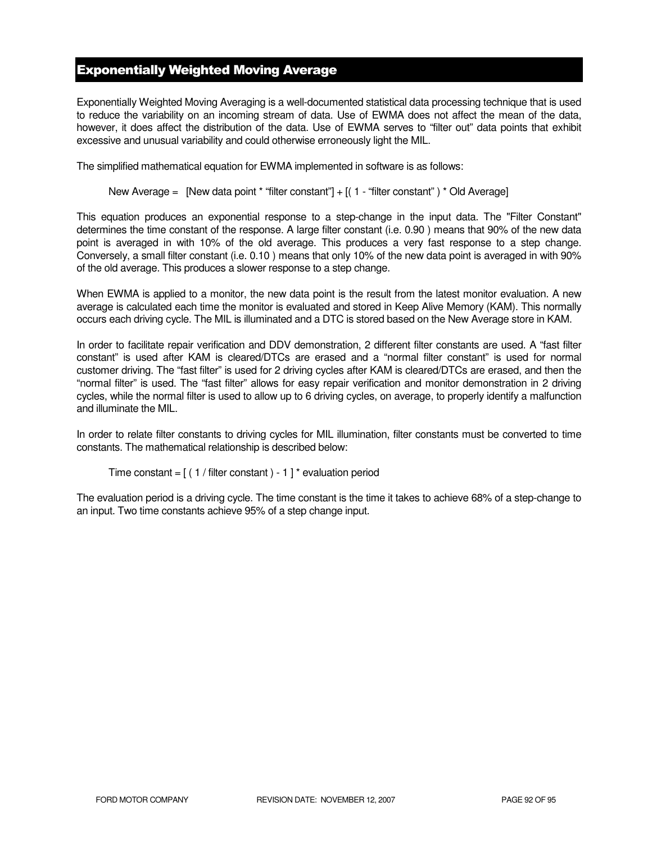## Exponentially Weighted Moving Average

Exponentially Weighted Moving Averaging is a well-documented statistical data processing technique that is used to reduce the variability on an incoming stream of data. Use of EWMA does not affect the mean of the data, however, it does affect the distribution of the data. Use of EWMA serves to "filter out" data points that exhibit excessive and unusual variability and could otherwise erroneously light the MIL.

The simplified mathematical equation for EWMA implemented in software is as follows:

New Average = [New data point \* "filter constant"] + [( 1 - "filter constant") \* Old Average]

This equation produces an exponential response to a step-change in the input data. The "Filter Constant" determines the time constant of the response. A large filter constant (i.e. 0.90 ) means that 90% of the new data point is averaged in with 10% of the old average. This produces a very fast response to a step change. Conversely, a small filter constant (i.e. 0.10 ) means that only 10% of the new data point is averaged in with 90% of the old average. This produces a slower response to a step change.

When EWMA is applied to a monitor, the new data point is the result from the latest monitor evaluation. A new average is calculated each time the monitor is evaluated and stored in Keep Alive Memory (KAM). This normally occurs each driving cycle. The MIL is illuminated and a DTC is stored based on the New Average store in KAM.

In order to facilitate repair verification and DDV demonstration, 2 different filter constants are used. A "fast filter constant" is used after KAM is cleared/DTCs are erased and a "normal filter constant" is used for normal customer driving. The "fast filter" is used for 2 driving cycles after KAM is cleared/DTCs are erased, and then the "normal filter" is used. The "fast filter" allows for easy repair verification and monitor demonstration in 2 driving cycles, while the normal filter is used to allow up to 6 driving cycles, on average, to properly identify a malfunction and illuminate the MIL.

In order to relate filter constants to driving cycles for MIL illumination, filter constants must be converted to time constants. The mathematical relationship is described below:

```
Time constant = [(1 / \text{filter constant}) - 1]^* evaluation period
```
The evaluation period is a driving cycle. The time constant is the time it takes to achieve 68% of a step-change to an input. Two time constants achieve 95% of a step change input.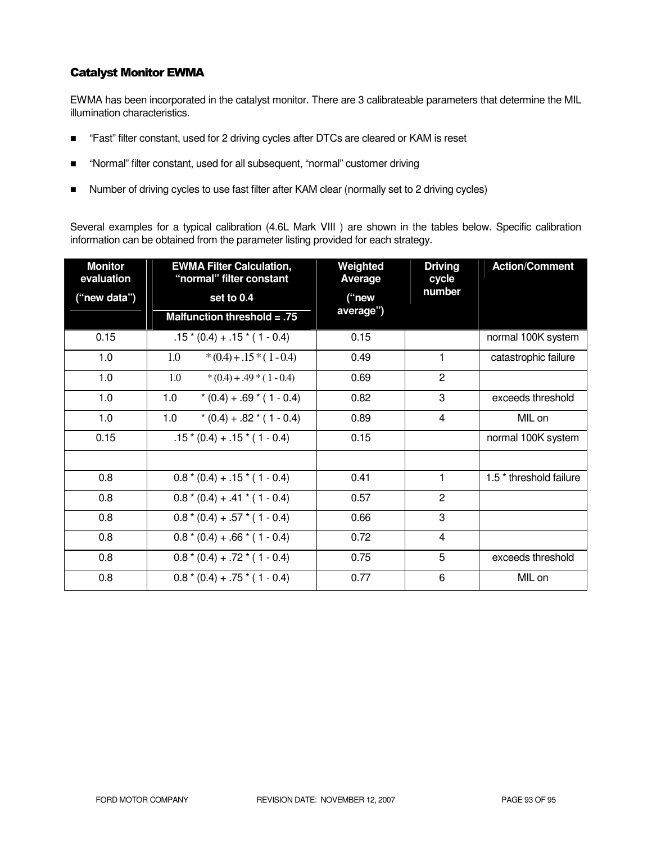### Catalyst Monitor EWMA

EWMA has been incorporated in the catalyst monitor. There are 3 calibrateable parameters that determine the MIL illumination characteristics.

- "Fast" filter constant, used for 2 driving cycles after DTCs are cleared or KAM is reset
- "Normal" filter constant, used for all subsequent, "normal" customer driving
- Number of driving cycles to use fast filter after KAM clear (normally set to 2 driving cycles)

Several examples for a typical calibration (4.6L Mark VIII ) are shown in the tables below. Specific calibration information can be obtained from the parameter listing provided for each strategy.

| <b>Monitor</b><br>evaluation | <b>EWMA Filter Calculation,</b><br>"normal" filter constant | Weighted<br>Average | <b>Driving</b><br>cycle | <b>Action/Comment</b>              |
|------------------------------|-------------------------------------------------------------|---------------------|-------------------------|------------------------------------|
| ("new data")                 | set to 0.4                                                  | ("new<br>average")  | number                  |                                    |
|                              | Malfunction threshold $= .75$                               |                     |                         |                                    |
| 0.15                         | $.15*(0.4) + .15*(1 - 0.4)$                                 | 0.15                |                         | normal 100K system                 |
| 1.0                          | $*(0.4) + .15*(1 - 0.4)$<br>1.0                             | 0.49                | 1                       | catastrophic failure               |
| 1.0                          | 1.0<br>$*(0.4) + .49 * (1 - 0.4)$                           | 0.69                | $\overline{2}$          |                                    |
| 1.0                          | 1.0<br>$*(0.4) + .69 * (1 - 0.4)$                           | 0.82                | 3                       | exceeds threshold                  |
| 1.0                          | 1.0<br>$*(0.4) + .82 * (1 - 0.4)$                           | 0.89                | 4                       | MIL on                             |
| 0.15                         | $.15*(0.4) + .15*(1 - 0.4)$                                 | 0.15                |                         | normal 100K system                 |
|                              |                                                             |                     |                         |                                    |
| 0.8                          | $0.8*(0.4) + .15*(1 - 0.4)$                                 | 0.41                | 1                       | 1.5 <sup>*</sup> threshold failure |
| 0.8                          | $0.8*(0.4) + .41*(1 - 0.4)$                                 | 0.57                | $\overline{2}$          |                                    |
| 0.8                          | $0.8*(0.4) + .57*(1 - 0.4)$                                 | 0.66                | 3                       |                                    |
| 0.8                          | $0.8*(0.4) + .66*(1 - 0.4)$                                 | 0.72                | 4                       |                                    |
| 0.8                          | $0.8*(0.4) + .72*(1 - 0.4)$                                 | 0.75                | 5                       | exceeds threshold                  |
| 0.8                          | $0.8*(0.4) + .75*(1 - 0.4)$                                 | 0.77                | 6                       | MIL on                             |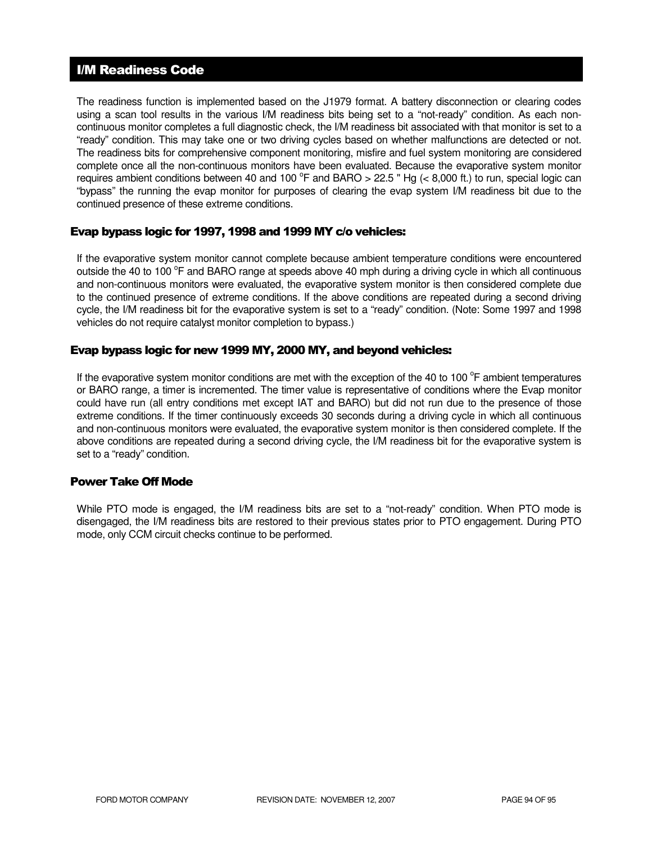## I/M Readiness Code

The readiness function is implemented based on the J1979 format. A battery disconnection or clearing codes using a scan tool results in the various I/M readiness bits being set to a "not-ready" condition. As each noncontinuous monitor completes a full diagnostic check, the I/M readiness bit associated with that monitor is set to a "ready" condition. This may take one or two driving cycles based on whether malfunctions are detected or not. The readiness bits for comprehensive component monitoring, misfire and fuel system monitoring are considered complete once all the non-continuous monitors have been evaluated. Because the evaporative system monitor requires ambient conditions between 40 and 100  $^{\circ}$ F and BARO > 22.5 " Hg (< 8,000 ft.) to run, special logic can "bypass" the running the evap monitor for purposes of clearing the evap system I/M readiness bit due to the continued presence of these extreme conditions.

### Evap bypass logic for 1997, 1998 and 1999 MY c/o vehicles:

If the evaporative system monitor cannot complete because ambient temperature conditions were encountered outside the 40 to 100 °F and BARO range at speeds above 40 mph during a driving cycle in which all continuous and non-continuous monitors were evaluated, the evaporative system monitor is then considered complete due to the continued presence of extreme conditions. If the above conditions are repeated during a second driving cycle, the I/M readiness bit for the evaporative system is set to a "ready" condition. (Note: Some 1997 and 1998 vehicles do not require catalyst monitor completion to bypass.)

### Evap bypass logic for new 1999 MY, 2000 MY, and beyond vehicles:

If the evaporative system monitor conditions are met with the exception of the 40 to 100 $^{\circ}$ F ambient temperatures or BARO range, a timer is incremented. The timer value is representative of conditions where the Evap monitor could have run (all entry conditions met except IAT and BARO) but did not run due to the presence of those extreme conditions. If the timer continuously exceeds 30 seconds during a driving cycle in which all continuous and non-continuous monitors were evaluated, the evaporative system monitor is then considered complete. If the above conditions are repeated during a second driving cycle, the I/M readiness bit for the evaporative system is set to a "ready" condition.

### Power Take Off Mode

While PTO mode is engaged, the I/M readiness bits are set to a "not-ready" condition. When PTO mode is disengaged, the I/M readiness bits are restored to their previous states prior to PTO engagement. During PTO mode, only CCM circuit checks continue to be performed.